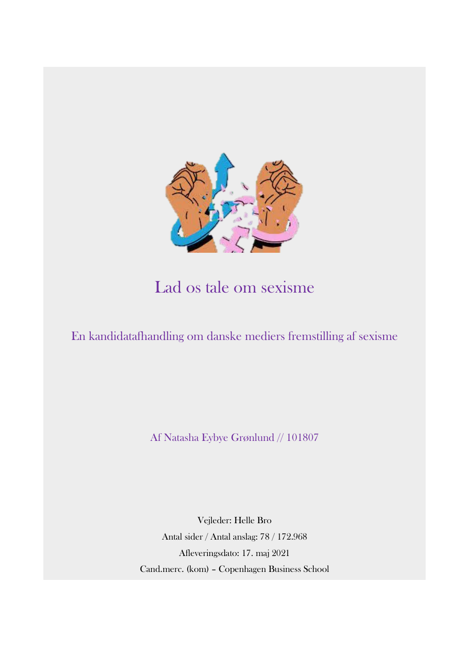

# Lad os tale om sexisme

En kandidatafhandling om danske mediers fremstilling af sexisme

Af Natasha Eybye Grønlund // 101807

Vejleder: Helle Bro Antal sider / Antal anslag: 78 / 172.968 Afleveringsdato: 17. maj 2021 Cand.merc. (kom) – Copenhagen Business School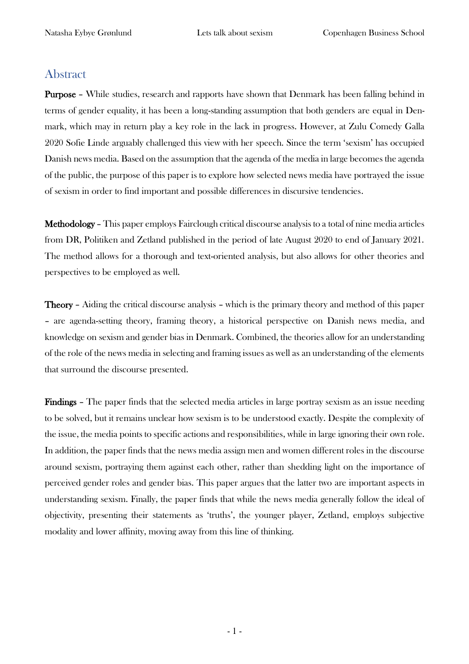# <span id="page-1-0"></span>Abstract

Purpose – While studies, research and rapports have shown that Denmark has been falling behind in terms of gender equality, it has been a long-standing assumption that both genders are equal in Denmark, which may in return play a key role in the lack in progress. However, at Zulu Comedy Galla 2020 Sofie Linde arguably challenged this view with her speech. Since the term 'sexism' has occupied Danish news media. Based on the assumption that the agenda of the media in large becomes the agenda of the public, the purpose of this paper is to explore how selected news media have portrayed the issue of sexism in order to find important and possible differences in discursive tendencies.

Methodology – This paper employs Fairclough critical discourse analysis to a total of nine media articles from DR, Politiken and Zetland published in the period of late August 2020 to end of January 2021. The method allows for a thorough and text-oriented analysis, but also allows for other theories and perspectives to be employed as well.

Theory – Aiding the critical discourse analysis – which is the primary theory and method of this paper – are agenda-setting theory, framing theory, a historical perspective on Danish news media, and knowledge on sexism and gender bias in Denmark. Combined, the theories allow for an understanding of the role of the news media in selecting and framing issues as well as an understanding of the elements that surround the discourse presented.

Findings – The paper finds that the selected media articles in large portray sexism as an issue needing to be solved, but it remains unclear how sexism is to be understood exactly. Despite the complexity of the issue, the media points to specific actions and responsibilities, while in large ignoring their own role. In addition, the paper finds that the news media assign men and women different roles in the discourse around sexism, portraying them against each other, rather than shedding light on the importance of perceived gender roles and gender bias. This paper argues that the latter two are important aspects in understanding sexism. Finally, the paper finds that while the news media generally follow the ideal of objectivity, presenting their statements as 'truths', the younger player, Zetland, employs subjective modality and lower affinity, moving away from this line of thinking.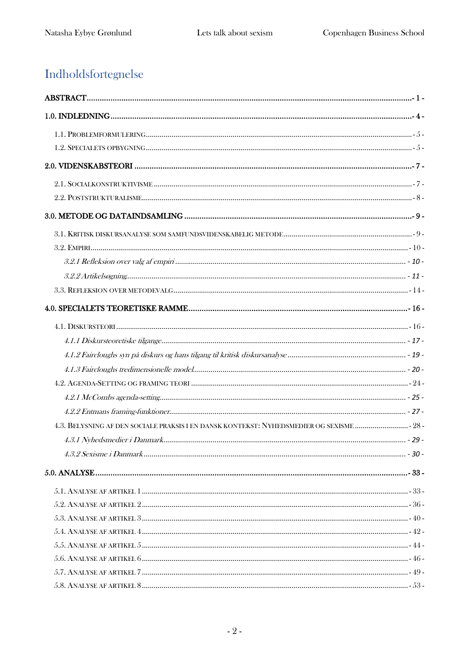# Indholdsfortegnelse

| 4.3. BELYSNING AF DEN SOCIALE PRAKSIS I EN DANSK KONTEKST: NYHEDSMEDIER OG SEXISME  28 - |  |
|------------------------------------------------------------------------------------------|--|
|                                                                                          |  |
|                                                                                          |  |
|                                                                                          |  |
|                                                                                          |  |
|                                                                                          |  |
|                                                                                          |  |
|                                                                                          |  |
|                                                                                          |  |
|                                                                                          |  |
|                                                                                          |  |
|                                                                                          |  |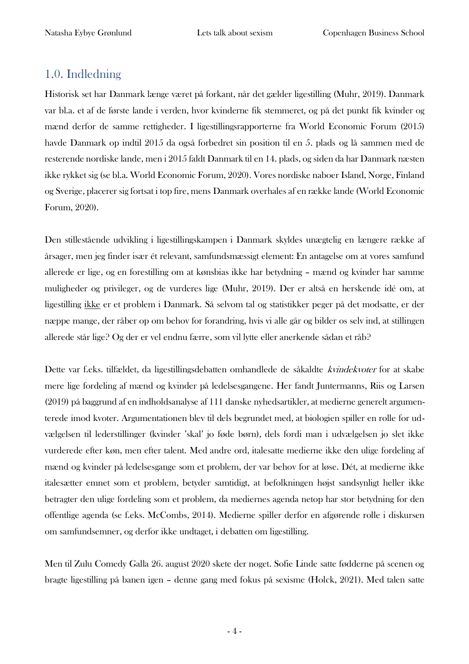# <span id="page-4-0"></span>1.0. Indledning

Historisk set har Danmark længe været på forkant, når det gælder ligestilling (Muhr, 2019). Danmark var bl.a. et af de første lande i verden, hvor kvinderne fik stemmeret, og på det punkt fik kvinder og mænd derfor de samme rettigheder. I ligestillingsrapporterne fra World Economic Forum (2015) havde Danmark op indtil 2015 da også forbedret sin position til en 5. plads og lå sammen med de resterende nordiske lande, men i 2015 faldt Danmark til en 14. plads, og siden da har Danmark næsten ikke rykket sig (se bl.a. World Economic Forum, 2020). Vores nordiske naboer Island, Norge, Finland og Sverige, placerer sig fortsat i top fire, mens Danmark overhales af en række lande (World Economic Forum, 2020).

Den stillestående udvikling i ligestillingskampen i Danmark skyldes unægtelig en længere række af årsager, men jeg finder især ét relevant, samfundsmæssigt element: En antagelse om at vores samfund allerede er lige, og en forestilling om at kønsbias ikke har betydning – mænd og kvinder har samme muligheder og privileger, og de vurderes lige (Muhr, 2019). Der er altså en herskende idé om, at ligestilling ikke er et problem i Danmark. Så selvom tal og statistikker peger på det modsatte, er der næppe mange, der råber op om behov for forandring, hvis vi alle går og bilder os selv ind, at stillingen allerede står lige? Og der er vel endnu færre, som vil lytte eller anerkende sådan et råb?

Dette var f.eks. tilfældet, da ligestillingsdebatten omhandlede de såkaldte *kvindekvoter* for at skabe mere lige fordeling af mænd og kvinder på ledelsesgangene. Her fandt Juntermanns, Riis og Larsen (2019) på baggrund af en indholdsanalyse af 111 danske nyhedsartikler, at medierne generelt argumenterede imod kvoter. Argumentationen blev til dels begrundet med, at biologien spiller en rolle for udvælgelsen til lederstillinger (kvinder 'skal' jo føde børn), dels fordi man i udvælgelsen jo slet ikke vurderede efter køn, men efter talent. Med andre ord, italesatte medierne ikke den ulige fordeling af mænd og kvinder på ledelsesgange som et problem, der var behov for at løse. Dét, at medierne ikke italesætter emnet som et problem, betyder samtidigt, at befolkningen højst sandsynligt heller ikke betragter den ulige fordeling som et problem, da mediernes agenda netop har stor betydning for den offentlige agenda (se f.eks. McCombs, 2014). Medierne spiller derfor en afgørende rolle i diskursen om samfundsemner, og derfor ikke undtaget, i debatten om ligestilling.

Men til Zulu Comedy Galla 26. august 2020 skete der noget. Sofie Linde satte fødderne på scenen og bragte ligestilling på banen igen – denne gang med fokus på sexisme (Holck, 2021). Med talen satte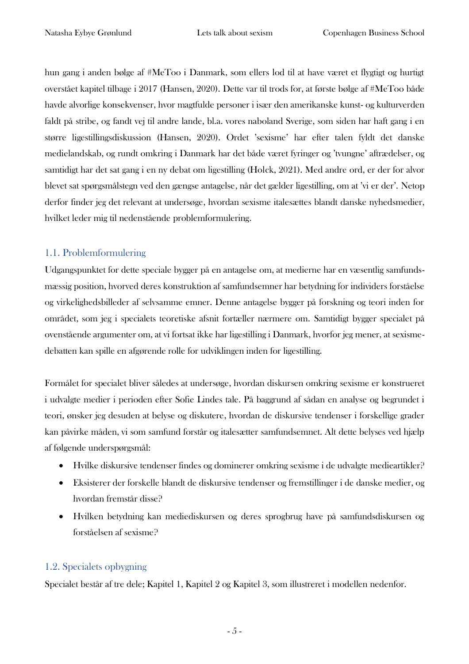hun gang i anden bølge af #MeToo i Danmark, som ellers lod til at have været et flygtigt og hurtigt overstået kapitel tilbage i 2017 (Hansen, 2020). Dette var til trods for, at første bølge af #MeToo både havde alvorlige konsekvenser, hvor magtfulde personer i især den amerikanske kunst- og kulturverden faldt på stribe, og fandt vej til andre lande, bl.a. vores naboland Sverige, som siden har haft gang i en større ligestillingsdiskussion (Hansen, 2020). Ordet 'sexisme' har efter talen fyldt det danske medielandskab, og rundt omkring i Danmark har det både været fyringer og 'tvungne' aftrædelser, og samtidigt har det sat gang i en ny debat om ligestilling (Holck, 2021). Med andre ord, er der for alvor blevet sat spørgsmålstegn ved den gængse antagelse, når det gælder ligestilling, om at 'vi er der'. Netop derfor finder jeg det relevant at undersøge, hvordan sexisme italesættes blandt danske nyhedsmedier, hvilket leder mig til nedenstående problemformulering.

# <span id="page-5-0"></span>1.1. Problemformulering

Udgangspunktet for dette speciale bygger på en antagelse om, at medierne har en væsentlig samfundsmæssig position, hvorved deres konstruktion af samfundsemner har betydning for individers forståelse og virkelighedsbilleder af selvsamme emner. Denne antagelse bygger på forskning og teori inden for området, som jeg i specialets teoretiske afsnit fortæller nærmere om. Samtidigt bygger specialet på ovenstående argumenter om, at vi fortsat ikke har ligestilling i Danmark, hvorfor jeg mener, at sexismedebatten kan spille en afgørende rolle for udviklingen inden for ligestilling.

Formålet for specialet bliver således at undersøge, hvordan diskursen omkring sexisme er konstrueret i udvalgte medier i perioden efter Sofie Lindes tale. På baggrund af sådan en analyse og begrundet i teori, ønsker jeg desuden at belyse og diskutere, hvordan de diskursive tendenser i forskellige grader kan påvirke måden, vi som samfund forstår og italesætter samfundsemnet. Alt dette belyses ved hjælp af følgende underspørgsmål:

- Hvilke diskursive tendenser findes og dominerer omkring sexisme i de udvalgte medieartikler?
- Eksisterer der forskelle blandt de diskursive tendenser og fremstillinger i de danske medier, og hvordan fremstår disse?
- Hvilken betydning kan mediediskursen og deres sprogbrug have på samfundsdiskursen og forståelsen af sexisme?

# <span id="page-5-1"></span>1.2. Specialets opbygning

Specialet består af tre dele; Kapitel 1, Kapitel 2 og Kapitel 3, som illustreret i modellen nedenfor.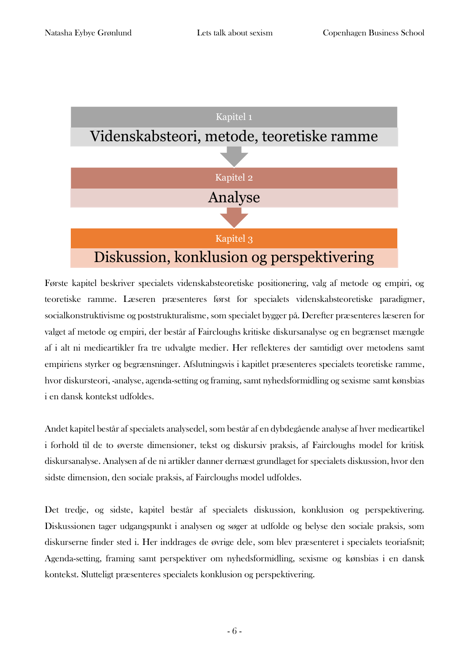

Første kapitel beskriver specialets videnskabsteoretiske positionering, valg af metode og empiri, og teoretiske ramme. Læseren præsenteres først for specialets videnskabsteoretiske paradigmer, socialkonstruktivisme og poststrukturalisme, som specialet bygger på. Derefter præsenteres læseren for valget af metode og empiri, der består af Faircloughs kritiske diskursanalyse og en begrænset mængde af i alt ni medieartikler fra tre udvalgte medier. Her reflekteres der samtidigt over metodens samt empiriens styrker og begrænsninger. Afslutningsvis i kapitlet præsenteres specialets teoretiske ramme, hvor diskursteori, -analyse, agenda-setting og framing, samt nyhedsformidling og sexisme samt kønsbias i en dansk kontekst udfoldes.

Andet kapitel består af specialets analysedel, som består af en dybdegående analyse af hver medieartikel i forhold til de to øverste dimensioner, tekst og diskursiv praksis, af Faircloughs model for kritisk diskursanalyse. Analysen af de ni artikler danner dernæst grundlaget for specialets diskussion, hvor den sidste dimension, den sociale praksis, af Faircloughs model udfoldes.

Det tredje, og sidste, kapitel består af specialets diskussion, konklusion og perspektivering. Diskussionen tager udgangspunkt i analysen og søger at udfolde og belyse den sociale praksis, som diskurserne finder sted i. Her inddrages de øvrige dele, som blev præsenteret i specialets teoriafsnit; Agenda-setting, framing samt perspektiver om nyhedsformidling, sexisme og kønsbias i en dansk kontekst. Slutteligt præsenteres specialets konklusion og perspektivering.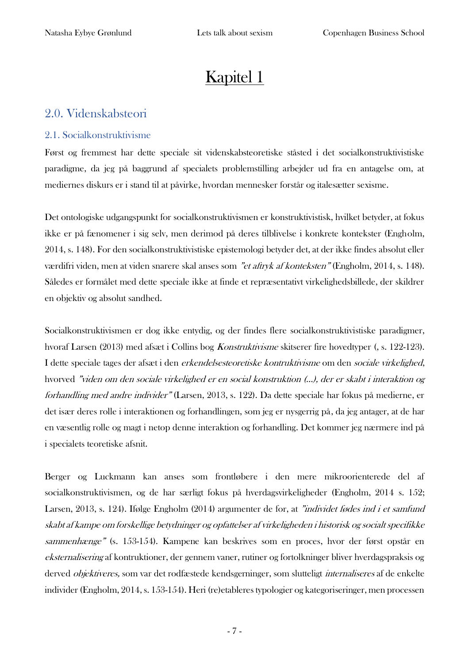# Kapitel 1

# <span id="page-7-0"></span>2.0. Videnskabsteori

# <span id="page-7-1"></span>2.1. Socialkonstruktivisme

Først og fremmest har dette speciale sit videnskabsteoretiske ståsted i det socialkonstruktivistiske paradigme, da jeg på baggrund af specialets problemstilling arbejder ud fra en antagelse om, at mediernes diskurs er i stand til at påvirke, hvordan mennesker forstår og italesætter sexisme.

Det ontologiske udgangspunkt for socialkonstruktivismen er konstruktivistisk, hvilket betyder, at fokus ikke er på fænomener i sig selv, men derimod på deres tilblivelse i konkrete kontekster (Engholm, 2014, s. 148). For den socialkonstruktivistiske epistemologi betyder det, at der ikke findes absolut eller værdifri viden, men at viden snarere skal anses som "et aftryk af konteksten" (Engholm, 2014, s. 148). Således er formålet med dette speciale ikke at finde et repræsentativt virkelighedsbillede, der skildrer en objektiv og absolut sandhed.

Socialkonstruktivismen er dog ikke entydig, og der findes flere socialkonstruktivistiske paradigmer, hvoraf Larsen (2013) med afsæt i Collins bog Konstruktivisme skitserer fire hovedtyper (, s. 122-123). I dette speciale tages der afsæt i den erkendelsesteoretiske kontruktivisme om den sociale virkelighed, hvorved "viden om den sociale virkelighed er en social konstruktion (…), der er skabt i interaktion og forhandling med andre individer" (Larsen, 2013, s. 122). Da dette speciale har fokus på medierne, er det især deres rolle i interaktionen og forhandlingen, som jeg er nysgerrig på, da jeg antager, at de har en væsentlig rolle og magt i netop denne interaktion og forhandling. Det kommer jeg nærmere ind på i specialets teoretiske afsnit.

Berger og Luckmann kan anses som frontløbere i den mere mikroorienterede del af socialkonstruktivismen, og de har særligt fokus på hverdagsvirkeligheder (Engholm, 2014 s. 152; Larsen, 2013, s. 124). Ifølge Engholm (2014) argumenter de for, at "individet fødes ind i et samfund skabt af kampe om forskellige betydninger og opfattelser af virkeligheden i historisk og socialt specifikke sammenhænge" (s. 153-154). Kampene kan beskrives som en proces, hvor der først opstår en eksternalisering af kontruktioner, der gennem vaner, rutiner og fortolkninger bliver hverdagspraksis og derved *objektiveres*, som var det rodfæstede kendsgerninger, som slutteligt *internaliseres* af de enkelte individer (Engholm, 2014, s. 153-154). Heri (re)etableres typologier og kategoriseringer, men processen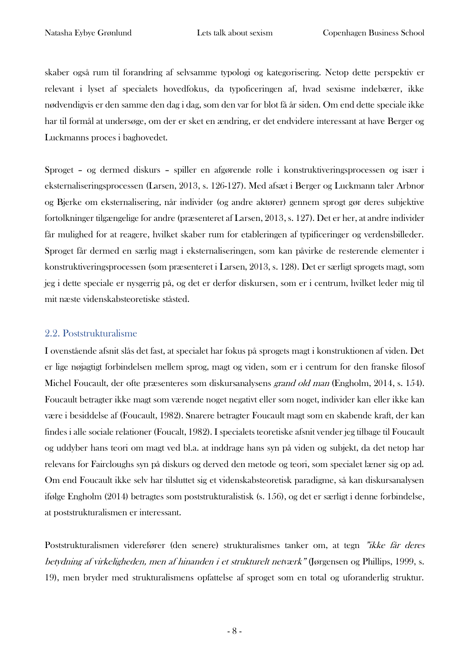skaber også rum til forandring af selvsamme typologi og kategorisering. Netop dette perspektiv er relevant i lyset af specialets hovedfokus, da typoficeringen af, hvad sexisme indebærer, ikke nødvendigvis er den samme den dag i dag, som den var for blot få år siden. Om end dette speciale ikke har til formål at undersøge, om der er sket en ændring, er det endvidere interessant at have Berger og Luckmanns proces i baghovedet.

Sproget – og dermed diskurs – spiller en afgørende rolle i konstruktiveringsprocessen og især i eksternaliseringsprocessen (Larsen, 2013, s. 126-127). Med afsæt i Berger og Luckmann taler Arbnor og Bjerke om eksternalisering, når individer (og andre aktører) gennem sprogt gør deres subjektive fortolkninger tilgængelige for andre (præsenteret af Larsen, 2013, s. 127). Det er her, at andre individer får mulighed for at reagere, hvilket skaber rum for etableringen af typificeringer og verdensbilleder. Sproget får dermed en særlig magt i eksternaliseringen, som kan påvirke de resterende elementer i konstruktiveringsprocessen (som præsenteret i Larsen, 2013, s. 128). Det er særligt sprogets magt, som jeg i dette speciale er nysgerrig på, og det er derfor diskursen, som er i centrum, hvilket leder mig til mit næste videnskabsteoretiske ståsted.

# <span id="page-8-0"></span>2.2. Poststrukturalisme

I ovenstående afsnit slås det fast, at specialet har fokus på sprogets magt i konstruktionen af viden. Det er lige nøjagtigt forbindelsen mellem sprog, magt og viden, som er i centrum for den franske filosof Michel Foucault, der ofte præsenteres som diskursanalysens grand old man (Engholm, 2014, s. 154). Foucault betragter ikke magt som værende noget negativt eller som noget, individer kan eller ikke kan være i besiddelse af (Foucault, 1982). Snarere betragter Foucault magt som en skabende kraft, der kan findes i alle sociale relationer (Foucalt, 1982). I specialets teoretiske afsnit vender jeg tilbage til Foucault og uddyber hans teori om magt ved bl.a. at inddrage hans syn på viden og subjekt, da det netop har relevans for Faircloughs syn på diskurs og derved den metode og teori, som specialet læner sig op ad. Om end Foucault ikke selv har tilsluttet sig et videnskabsteoretisk paradigme, så kan diskursanalysen ifølge Engholm (2014) betragtes som poststrukturalistisk (s. 156), og det er særligt i denne forbindelse, at poststrukturalismen er interessant.

Poststrukturalismen viderefører (den senere) strukturalismes tanker om, at tegn "ikke får deres betydning af virkeligheden, men af hinanden i et strukturelt netværk" (Jørgensen og Phillips, 1999, s. 19), men bryder med strukturalismens opfattelse af sproget som en total og uforanderlig struktur.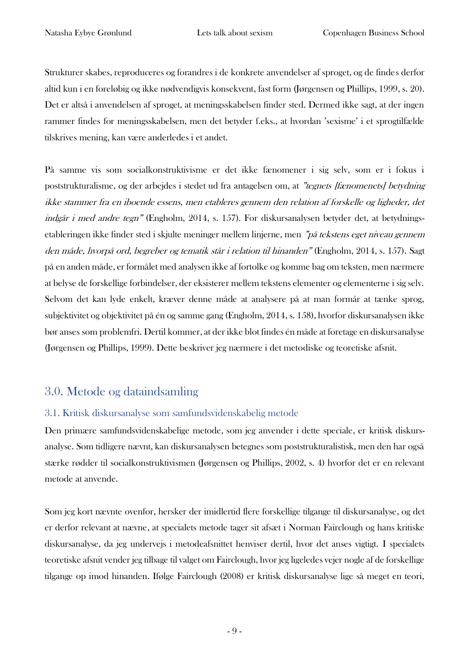Strukturer skabes, reproduceres og forandres i de konkrete anvendelser af sproget, og de findes derfor altid kun i en foreløbig og ikke nødvendigvis konsekvent, fast form (Jørgensen og Phillips, 1999, s. 20). Det er altså i anvendelsen af sproget, at meningsskabelsen finder sted. Dermed ikke sagt, at der ingen rammer findes for meningsskabelsen, men det betyder f.eks., at hvordan 'sexisme' i et sprogtilfælde tilskrives mening, kan være anderledes i et andet.

På samme vis som socialkonstruktivisme er det ikke fænomener i sig selv, som er i fokus i poststrukturalisme, og der arbejdes i stedet ud fra antagelsen om, at "tegnets [fænomenets] betydning ikke stammer fra en iboende essens, men etableres gennem den relation af forskelle og ligheder, det indgår i med andre tegn" (Engholm, 2014, s. 157). For diskursanalysen betyder det, at betydningsetableringen ikke finder sted i skjulte meninger mellem linjerne, men "på tekstens eget niveau gennem den måde, hvorpå ord, begreber og tematik står i relation til hinanden" (Engholm, 2014, s. 157). Sagt på en anden måde, er formålet med analysen ikke af fortolke og komme bag om teksten, men nærmere at belyse de forskellige forbindelser, der eksisterer mellem tekstens elementer og elementerne i sig selv. Selvom det kan lyde enkelt, kræver denne måde at analysere på at man formår at tænke sprog, subjektivitet og objektivitet på én og samme gang (Engholm, 2014, s. 158), hvorfor diskursanalysen ikke bør anses som problemfri. Dertil kommer, at der ikke blot findes én måde at foretage en diskursanalyse (Jørgensen og Phillips, 1999). Dette beskriver jeg nærmere i det metodiske og teoretiske afsnit.

# <span id="page-9-0"></span>3.0. Metode og dataindsamling

# <span id="page-9-1"></span>3.1. Kritisk diskursanalyse som samfundsvidenskabelig metode

Den primære samfundsvidenskabelige metode, som jeg anvender i dette speciale, er kritisk diskursanalyse. Som tidligere nævnt, kan diskursanalysen betegnes som poststrukturalistisk, men den har også stærke rødder til socialkonstruktivismen (Jørgensen og Phillips, 2002, s. 4) hvorfor det er en relevant metode at anvende.

Som jeg kort nævnte ovenfor, hersker der imidlertid flere forskellige tilgange til diskursanalyse, og det er derfor relevant at nævne, at specialets metode tager sit afsæt i Norman Fairclough og hans kritiske diskursanalyse, da jeg undervejs i metodeafsnittet henviser dertil, hvor det anses vigtigt. I specialets teoretiske afsnit vender jeg tilbage til valget om Fairclough, hvor jeg ligeledes vejer nogle af de forskellige tilgange op imod hinanden. Ifølge Fairclough (2008) er kritisk diskursanalyse lige så meget en teori,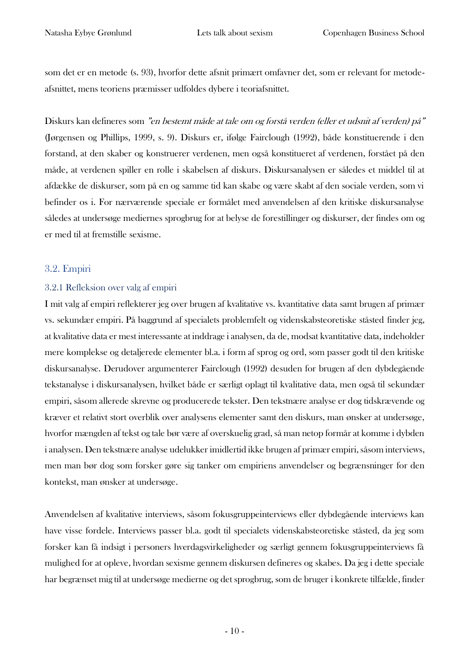som det er en metode (s. 93), hvorfor dette afsnit primært omfavner det, som er relevant for metodeafsnittet, mens teoriens præmisser udfoldes dybere i teoriafsnittet.

Diskurs kan defineres som "en bestemt måde at tale om og forstå verden (eller et udsnit af verden) på" (Jørgensen og Phillips, 1999, s. 9). Diskurs er, ifølge Fairclough (1992), både konstituerende i den forstand, at den skaber og konstruerer verdenen, men også konstitueret af verdenen, forstået på den måde, at verdenen spiller en rolle i skabelsen af diskurs. Diskursanalysen er således et middel til at afdække de diskurser, som på en og samme tid kan skabe og være skabt af den sociale verden, som vi befinder os i. For nærværende speciale er formålet med anvendelsen af den kritiske diskursanalyse således at undersøge mediernes sprogbrug for at belyse de forestillinger og diskurser, der findes om og er med til at fremstille sexisme.

# <span id="page-10-0"></span>3.2. Empiri

## <span id="page-10-1"></span>3.2.1 Refleksion over valg af empiri

I mit valg af empiri reflekterer jeg over brugen af kvalitative vs. kvantitative data samt brugen af primær vs. sekundær empiri. På baggrund af specialets problemfelt og videnskabsteoretiske ståsted finder jeg, at kvalitative data er mest interessante at inddrage i analysen, da de, modsat kvantitative data, indeholder mere komplekse og detaljerede elementer bl.a. i form af sprog og ord, som passer godt til den kritiske diskursanalyse. Derudover argumenterer Fairclough (1992) desuden for brugen af den dybdegående tekstanalyse i diskursanalysen, hvilket både er særligt oplagt til kvalitative data, men også til sekundær empiri, såsom allerede skrevne og producerede tekster. Den tekstnære analyse er dog tidskrævende og kræver et relativt stort overblik over analysens elementer samt den diskurs, man ønsker at undersøge, hvorfor mængden af tekst og tale bør være af overskuelig grad, så man netop formår at komme i dybden i analysen. Den tekstnære analyse udelukker imidlertid ikke brugen af primær empiri, såsom interviews, men man bør dog som forsker gøre sig tanker om empiriens anvendelser og begrænsninger for den kontekst, man ønsker at undersøge.

Anvendelsen af kvalitative interviews, såsom fokusgruppeinterviews eller dybdegående interviews kan have visse fordele. Interviews passer bl.a. godt til specialets videnskabsteoretiske ståsted, da jeg som forsker kan få indsigt i personers hverdagsvirkeligheder og særligt gennem fokusgruppeinterviews få mulighed for at opleve, hvordan sexisme gennem diskursen defineres og skabes. Da jeg i dette speciale har begrænset mig til at undersøge medierne og det sprogbrug, som de bruger i konkrete tilfælde, finder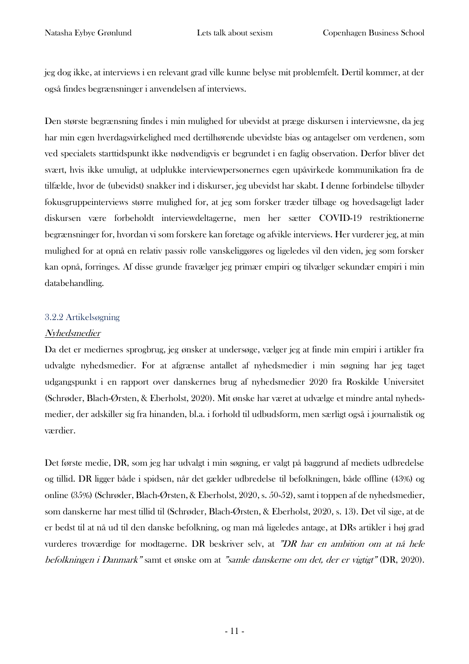jeg dog ikke, at interviews i en relevant grad ville kunne belyse mit problemfelt. Dertil kommer, at der også findes begrænsninger i anvendelsen af interviews.

Den største begrænsning findes i min mulighed for ubevidst at præge diskursen i interviewsne, da jeg har min egen hverdagsvirkelighed med dertilhørende ubevidste bias og antagelser om verdenen, som ved specialets starttidspunkt ikke nødvendigvis er begrundet i en faglig observation. Derfor bliver det svært, hvis ikke umuligt, at udplukke interviewpersonernes egen upåvirkede kommunikation fra de tilfælde, hvor de (ubevidst) snakker ind i diskurser, jeg ubevidst har skabt. I denne forbindelse tilbyder fokusgruppeinterviews større mulighed for, at jeg som forsker træder tilbage og hovedsageligt lader diskursen være forbeholdt interviewdeltagerne, men her sætter COVID-19 restriktionerne begrænsninger for, hvordan vi som forskere kan foretage og afvikle interviews. Her vurderer jeg, at min mulighed for at opnå en relativ passiv rolle vanskeliggøres og ligeledes vil den viden, jeg som forsker kan opnå, forringes. Af disse grunde fravælger jeg primær empiri og tilvælger sekundær empiri i min databehandling.

#### <span id="page-11-0"></span>3.2.2 Artikelsøgning

#### Nyhedsmedier

Da det er mediernes sprogbrug, jeg ønsker at undersøge, vælger jeg at finde min empiri i artikler fra udvalgte nyhedsmedier. For at afgrænse antallet af nyhedsmedier i min søgning har jeg taget udgangspunkt i en rapport over danskernes brug af nyhedsmedier 2020 fra Roskilde Universitet (Schrøder, Blach-Ørsten, & Eberholst, 2020). Mit ønske har været at udvælge et mindre antal nyhedsmedier, der adskiller sig fra hinanden, bl.a. i forhold til udbudsform, men særligt også i journalistik og værdier.

Det første medie, DR, som jeg har udvalgt i min søgning, er valgt på baggrund af mediets udbredelse og tillid. DR ligger både i spidsen, når det gælder udbredelse til befolkningen, både offline (43%) og online (35%) (Schrøder, Blach-Ørsten, & Eberholst, 2020, s. 50-52), samt i toppen af de nyhedsmedier, som danskerne har mest tillid til (Schrøder, Blach-Ørsten, & Eberholst, 2020, s. 13). Det vil sige, at de er bedst til at nå ud til den danske befolkning, og man må ligeledes antage, at DRs artikler i høj grad vurderes troværdige for modtagerne. DR beskriver selv, at "DR har en ambition om at nå hele befolkningen i Danmark" samt et ønske om at "samle danskerne om det, der er vigtigt" (DR, 2020).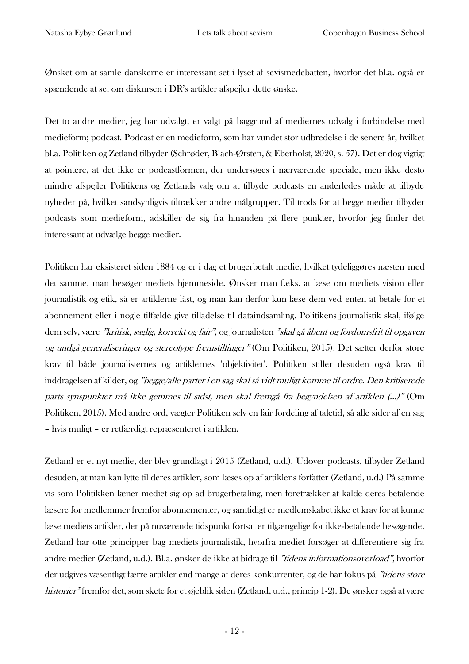Ønsket om at samle danskerne er interessant set i lyset af sexismedebatten, hvorfor det bl.a. også er spændende at se, om diskursen i DR's artikler afspejler dette ønske.

Det to andre medier, jeg har udvalgt, er valgt på baggrund af mediernes udvalg i forbindelse med medieform; podcast. Podcast er en medieform, som har vundet stor udbredelse i de senere år, hvilket bl.a. Politiken og Zetland tilbyder (Schrøder, Blach-Ørsten, & Eberholst, 2020, s. 57). Det er dog vigtigt at pointere, at det ikke er podcastformen, der undersøges i nærværende speciale, men ikke desto mindre afspejler Politikens og Zetlands valg om at tilbyde podcasts en anderledes måde at tilbyde nyheder på, hvilket sandsynligvis tiltrækker andre målgrupper. Til trods for at begge medier tilbyder podcasts som medieform, adskiller de sig fra hinanden på flere punkter, hvorfor jeg finder det interessant at udvælge begge medier.

Politiken har eksisteret siden 1884 og er i dag et brugerbetalt medie, hvilket tydeliggøres næsten med det samme, man besøger mediets hjemmeside. Ønsker man f.eks. at læse om mediets vision eller journalistik og etik, så er artiklerne låst, og man kan derfor kun læse dem ved enten at betale for et abonnement eller i nogle tilfælde give tilladelse til dataindsamling. Politikens journalistik skal, ifølge dem selv, være "kritisk, saglig, korrekt og fair", og journalisten "skal gå åbent og fordomsfrit til opgaven og undgå generaliseringer og stereotype fremstillinger" (Om Politiken, 2015). Det sætter derfor store krav til både journalisternes og artiklernes 'objektivitet'. Politiken stiller desuden også krav til inddragelsen af kilder, og "begge/alle parter i en sag skal så vidt muligt komme til ordre. Den kritiserede parts synspunkter må ikke gemmes til sidst, men skal fremgå fra begyndelsen af artiklen (…)" (Om Politiken, 2015). Med andre ord, vægter Politiken selv en fair fordeling af taletid, så alle sider af en sag – hvis muligt – er retfærdigt repræsenteret i artiklen.

Zetland er et nyt medie, der blev grundlagt i 2015 (Zetland, u.d.). Udover podcasts, tilbyder Zetland desuden, at man kan lytte til deres artikler, som læses op af artiklens forfatter (Zetland, u.d.) På samme vis som Politikken læner mediet sig op ad brugerbetaling, men foretrækker at kalde deres betalende læsere for medlemmer fremfor abonnementer, og samtidigt er medlemskabet ikke et krav for at kunne læse mediets artikler, der på nuværende tidspunkt fortsat er tilgængelige for ikke-betalende besøgende. Zetland har otte principper bag mediets journalistik, hvorfra mediet forsøger at differentiere sig fra andre medier (Zetland, u.d.). Bl.a. ønsker de ikke at bidrage til "tidens informationsoverload", hvorfor der udgives væsentligt færre artikler end mange af deres konkurrenter, og de har fokus på "tidens store historier" fremfor det, som skete for et øjeblik siden (Zetland, u.d., princip 1-2). De ønsker også at være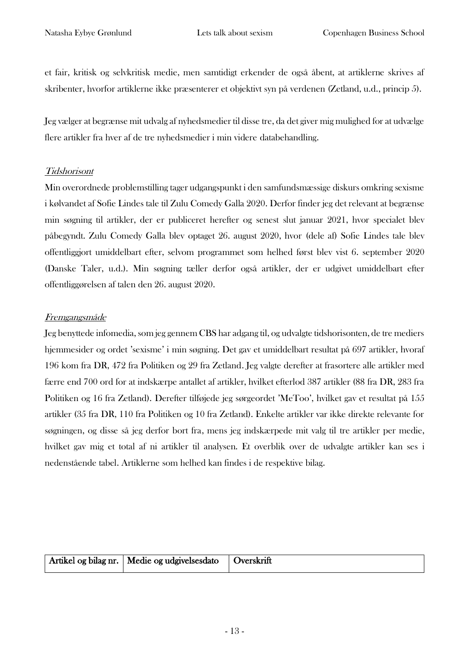et fair, kritisk og selvkritisk medie, men samtidigt erkender de også åbent, at artiklerne skrives af skribenter, hvorfor artiklerne ikke præsenterer et objektivt syn på verdenen (Zetland, u.d., princip 5).

Jeg vælger at begrænse mit udvalg af nyhedsmedier til disse tre, da det giver mig mulighed for at udvælge flere artikler fra hver af de tre nyhedsmedier i min videre databehandling.

# Tidshorisont

Min overordnede problemstilling tager udgangspunkt i den samfundsmæssige diskurs omkring sexisme i kølvandet af Sofie Lindes tale til Zulu Comedy Galla 2020. Derfor finder jeg det relevant at begrænse min søgning til artikler, der er publiceret herefter og senest slut januar 2021, hvor specialet blev påbegyndt. Zulu Comedy Galla blev optaget 26. august 2020, hvor (dele af) Sofie Lindes tale blev offentliggjort umiddelbart efter, selvom programmet som helhed først blev vist 6. september 2020 (Danske Taler, u.d.). Min søgning tæller derfor også artikler, der er udgivet umiddelbart efter offentliggørelsen af talen den 26. august 2020.

# Fremgangsmåde

Jeg benyttede infomedia, som jeg gennem CBS har adgang til, og udvalgte tidshorisonten, de tre mediers hjemmesider og ordet 'sexisme' i min søgning. Det gav et umiddelbart resultat på 697 artikler, hvoraf 196 kom fra DR, 472 fra Politiken og 29 fra Zetland. Jeg valgte derefter at frasortere alle artikler med færre end 700 ord for at indskærpe antallet af artikler, hvilket efterlod 387 artikler (88 fra DR, 283 fra Politiken og 16 fra Zetland). Derefter tilføjede jeg sørgeordet 'MeToo', hvilket gav et resultat på 155 artikler (35 fra DR, 110 fra Politiken og 10 fra Zetland). Enkelte artikler var ikke direkte relevante for søgningen, og disse så jeg derfor bort fra, mens jeg indskærpede mit valg til tre artikler per medie, hvilket gav mig et total af ni artikler til analysen. Et overblik over de udvalgte artikler kan ses i nedenstående tabel. Artiklerne som helhed kan findes i de respektive bilag.

| Artikel og bilag nr.   Medie og udgivelsesdato   Overskrift |  |
|-------------------------------------------------------------|--|
|                                                             |  |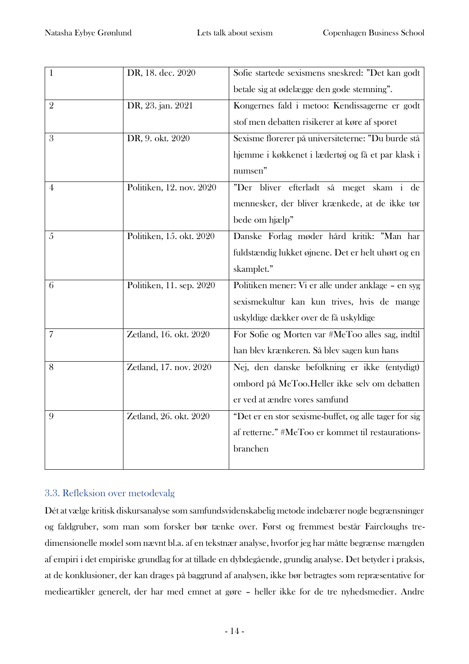| $\mathbf{1}$   | DR, 18. dec. 2020        | Sofie startede sexismens sneskred: "Det kan godt      |
|----------------|--------------------------|-------------------------------------------------------|
|                |                          | betale sig at ødelægge den gode stemning".            |
| $\overline{2}$ | DR, 23. jan. 2021        | Kongernes fald i metoo: Kendissagerne er godt         |
|                |                          | stof men debatten risikerer at køre af sporet         |
| 3              | DR, 9. okt. 2020         | Sexisme florerer på universiteterne: "Du burde stå    |
|                |                          | hjemme i køkkenet i lædertøj og få et par klask i     |
|                |                          | numsen"                                               |
| 4              | Politiken, 12. nov. 2020 | "Der bliver efterladt så meget skam i de              |
|                |                          | mennesker, der bliver krænkede, at de ikke tør        |
|                |                          | bede om hjælp"                                        |
| 5              | Politiken, 15. okt. 2020 | Danske Forlag møder hård kritik: "Man har             |
|                |                          | fuldstændig lukket øjnene. Det er helt uhørt og en    |
|                |                          | skamplet."                                            |
| 6              | Politiken, 11. sep. 2020 | Politiken mener: Vi er alle under anklage - en syg    |
|                |                          | sexismekultur kan kun trives, hvis de mange           |
|                |                          | uskyldige dækker over de få uskyldige                 |
| 7              | Zetland, 16. okt. 2020   | For Sofie og Morten var #MeToo alles sag, indtil      |
|                |                          | han blev krænkeren. Så blev sagen kun hans            |
| 8              | Zetland, 17. nov. 2020   | Nej, den danske befolkning er ikke (entydigt)         |
|                |                          | ombord på MeToo.Heller ikke selv om debatten          |
|                |                          | er ved at ændre vores samfund                         |
| 9              | Zetland, 26. okt. 2020   | "Det er en stor sexisme-buffet, og alle tager for sig |
|                |                          | af retterne." #MeToo er kommet til restaurations-     |
|                |                          | branchen                                              |
|                |                          |                                                       |

# <span id="page-14-0"></span>3.3. Refleksion over metodevalg

Dét at vælge kritisk diskursanalyse som samfundsvidenskabelig metode indebærer nogle begrænsninger og faldgruber, som man som forsker bør tænke over. Først og fremmest består Faircloughs tredimensionelle model som nævnt bl.a. af en tekstnær analyse, hvorfor jeg har måtte begrænse mængden af empiri i det empiriske grundlag for at tillade en dybdegående, grundig analyse. Det betyder i praksis, at de konklusioner, der kan drages på baggrund af analysen, ikke bør betragtes som repræsentative for medieartikler generelt, der har med emnet at gøre – heller ikke for de tre nyhedsmedier. Andre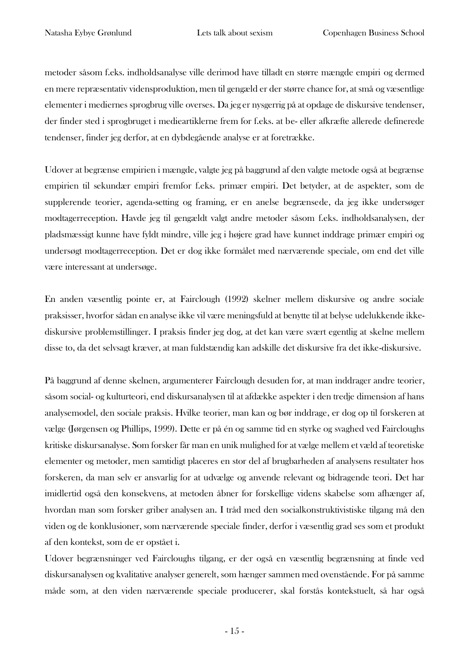metoder såsom f.eks. indholdsanalyse ville derimod have tilladt en større mængde empiri og dermed en mere repræsentativ vidensproduktion, men til gengæld er der større chance for, at små og væsentlige elementer i mediernes sprogbrug ville overses. Da jeg er nysgerrig på at opdage de diskursive tendenser, der finder sted i sprogbruget i medieartiklerne frem for f.eks. at be- eller afkræfte allerede definerede tendenser, finder jeg derfor, at en dybdegående analyse er at foretrække.

Udover at begrænse empirien i mængde, valgte jeg på baggrund af den valgte metode også at begrænse empirien til sekundær empiri fremfor f.eks. primær empiri. Det betyder, at de aspekter, som de supplerende teorier, agenda-setting og framing, er en anelse begrænsede, da jeg ikke undersøger modtagerreception. Havde jeg til gengældt valgt andre metoder såsom f.eks. indholdsanalysen, der pladsmæssigt kunne have fyldt mindre, ville jeg i højere grad have kunnet inddrage primær empiri og undersøgt modtagerreception. Det er dog ikke formålet med nærværende speciale, om end det ville være interessant at undersøge.

En anden væsentlig pointe er, at Fairclough (1992) skelner mellem diskursive og andre sociale praksisser, hvorfor sådan en analyse ikke vil være meningsfuld at benytte til at belyse udelukkende ikkediskursive problemstillinger. I praksis finder jeg dog, at det kan være svært egentlig at skelne mellem disse to, da det selvsagt kræver, at man fuldstændig kan adskille det diskursive fra det ikke-diskursive.

På baggrund af denne skelnen, argumenterer Fairclough desuden for, at man inddrager andre teorier, såsom social- og kulturteori, end diskursanalysen til at afdække aspekter i den tredje dimension af hans analysemodel, den sociale praksis. Hvilke teorier, man kan og bør inddrage, er dog op til forskeren at vælge (Jørgensen og Phillips, 1999). Dette er på én og samme tid en styrke og svaghed ved Faircloughs kritiske diskursanalyse. Som forsker får man en unik mulighed for at vælge mellem et væld af teoretiske elementer og metoder, men samtidigt placeres en stor del af brugbarheden af analysens resultater hos forskeren, da man selv er ansvarlig for at udvælge og anvende relevant og bidragende teori. Det har imidlertid også den konsekvens, at metoden åbner for forskellige videns skabelse som afhænger af, hvordan man som forsker griber analysen an. I tråd med den socialkonstruktivistiske tilgang må den viden og de konklusioner, som nærværende speciale finder, derfor i væsentlig grad ses som et produkt af den kontekst, som de er opstået i.

Udover begrænsninger ved Faircloughs tilgang, er der også en væsentlig begrænsning at finde ved diskursanalysen og kvalitative analyser generelt, som hænger sammen med ovenstående. For på samme måde som, at den viden nærværende speciale producerer, skal forstås kontekstuelt, så har også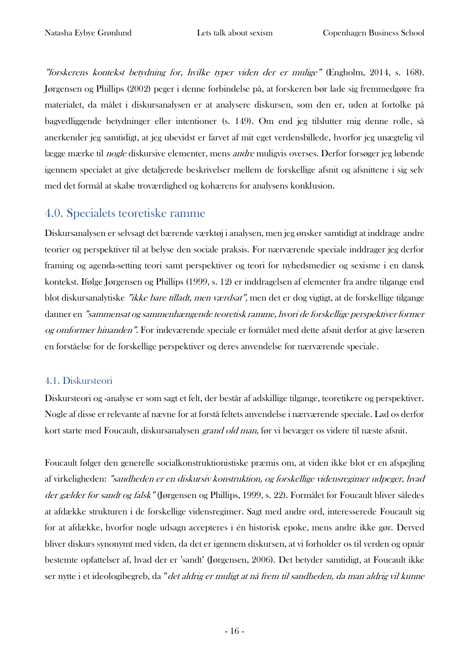"forskerens kontekst betydning for, hvilke typer viden der er mulige" (Engholm, 2014, s. 168). Jørgensen og Phillips (2002) peger i denne forbindelse på, at forskeren bør lade sig fremmedgøre fra materialet, da målet i diskursanalysen er at analysere diskursen, som den er, uden at fortolke på bagvedliggende betydninger eller intentioner (s. 149). Om end jeg tilslutter mig denne rolle, så anerkender jeg samtidigt, at jeg ubevidst er farvet af mit eget verdensbillede, hvorfor jeg unægtelig vil lægge mærke til nogle diskursive elementer, mens andre muligvis overses. Derfor forsøger jeg løbende igennem specialet at give detaljerede beskrivelser mellem de forskellige afsnit og afsnittene i sig selv med det formål at skabe troværdighed og kohærens for analysens konklusion.

# <span id="page-16-0"></span>4.0. Specialets teoretiske ramme

Diskursanalysen er selvsagt det bærende værktøj i analysen, men jeg ønsker samtidigt at inddrage andre teorier og perspektiver til at belyse den sociale praksis. For nærværende speciale inddrager jeg derfor framing og agenda-setting teori samt perspektiver og teori for nyhedsmedier og sexisme i en dansk kontekst. Ifølge Jørgensen og Phillips (1999, s. 12) er inddragelsen af elementer fra andre tilgange end blot diskursanalytiske "ikke bare tilladt, men værdsat", men det er dog vigtigt, at de forskellige tilgange danner en "sammensat og sammenhængende teoretisk ramme, hvori de forskellige perspektiver former og omformer hinanden". For indeværende speciale er formålet med dette afsnit derfor at give læseren en forståelse for de forskellige perspektiver og deres anvendelse for nærværende speciale.

# <span id="page-16-1"></span>4.1. Diskursteori

Diskursteori og -analyse er som sagt et felt, der består af adskillige tilgange, teoretikere og perspektiver. Nogle af disse er relevante af nævne for at forstå feltets anvendelse i nærværende speciale. Lad os derfor kort starte med Foucault, diskursanalysen *grand old man*, før vi bevæger os videre til næste afsnit.

Foucault følger den generelle socialkonstruktionistiske præmis om, at viden ikke blot er en afspejling af virkeligheden: "sandheden er en diskursiv konstruktion, og forskellige vidensregimer udpeger, hvad der gælder for sandt og falsk" (Jørgensen og Phillips, 1999, s. 22). Formålet for Foucault bliver således at afdække strukturen i de forskellige vidensregimer. Sagt med andre ord, interesserede Foucault sig for at afdække, hvorfor nogle udsagn accepteres i én historisk epoke, mens andre ikke gør. Derved bliver diskurs synonymt med viden, da det er igennem diskursen, at vi forholder os til verden og opnår bestemte opfattelser af, hvad der er 'sandt' (Jørgensen, 2006). Det betyder samtidigt, at Foucault ikke ser nytte i et ideologibegreb, da "det aldrig er muligt at nå frem til sandheden, da man aldrig vil kunne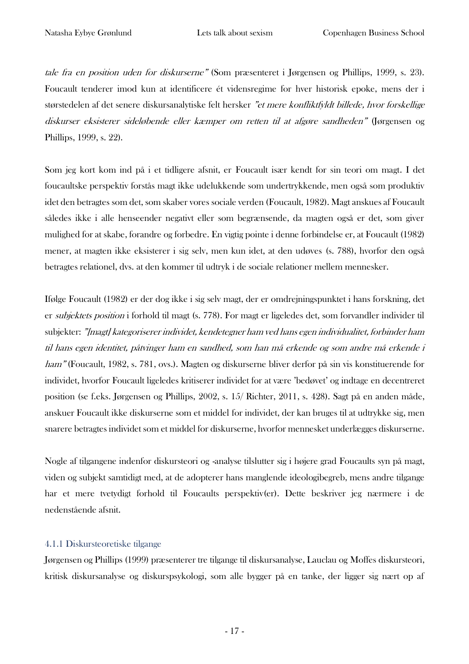tale fra en position uden for diskurserne" (Som præsenteret i Jørgensen og Phillips, 1999, s. 23). Foucault tenderer imod kun at identificere ét vidensregime for hver historisk epoke, mens der i størstedelen af det senere diskursanalytiske felt hersker "et mere konfliktfyldt billede, hvor forskellige diskurser eksisterer sideløbende eller kæmper om retten til at afgøre sandheden" (Jørgensen og Phillips, 1999, s. 22).

Som jeg kort kom ind på i et tidligere afsnit, er Foucault især kendt for sin teori om magt. I det foucaultske perspektiv forstås magt ikke udelukkende som undertrykkende, men også som produktiv idet den betragtes som det, som skaber vores sociale verden (Foucault, 1982). Magt anskues af Foucault således ikke i alle henseender negativt eller som begrænsende, da magten også er det, som giver mulighed for at skabe, forandre og forbedre. En vigtig pointe i denne forbindelse er, at Foucault (1982) mener, at magten ikke eksisterer i sig selv, men kun idet, at den udøves (s. 788), hvorfor den også betragtes relationel, dvs. at den kommer til udtryk i de sociale relationer mellem mennesker.

Ifølge Foucault (1982) er der dog ikke i sig selv magt, der er omdrejningspunktet i hans forskning, det er subjektets position i forhold til magt (s. 778). For magt er ligeledes det, som forvandler individer til subjekter: "[magt] kategoriserer individet, kendetegner ham ved hans egen individualitet, forbinder ham til hans egen identitet, påtvinger ham en sandhed, som han må erkende og som andre må erkende i ham" (Foucault, 1982, s. 781, ovs.). Magten og diskurserne bliver derfor på sin vis konstituerende for individet, hvorfor Foucault ligeledes kritiserer individet for at være 'bedøvet' og indtage en decentreret position (se f.eks. Jørgensen og Phillips, 2002, s. 15/ Richter, 2011, s. 428). Sagt på en anden måde, anskuer Foucault ikke diskurserne som et middel for individet, der kan bruges til at udtrykke sig, men snarere betragtes individet som et middel for diskurserne, hvorfor mennesket underlægges diskurserne.

Nogle af tilgangene indenfor diskursteori og -analyse tilslutter sig i højere grad Foucaults syn på magt, viden og subjekt samtidigt med, at de adopterer hans manglende ideologibegreb, mens andre tilgange har et mere tvetydigt forhold til Foucaults perspektiv(er). Dette beskriver jeg nærmere i de nedenstående afsnit.

#### <span id="page-17-0"></span>4.1.1 Diskursteoretiske tilgange

Jørgensen og Phillips (1999) præsenterer tre tilgange til diskursanalyse, Lauclau og Moffes diskursteori, kritisk diskursanalyse og diskurspsykologi, som alle bygger på en tanke, der ligger sig nært op af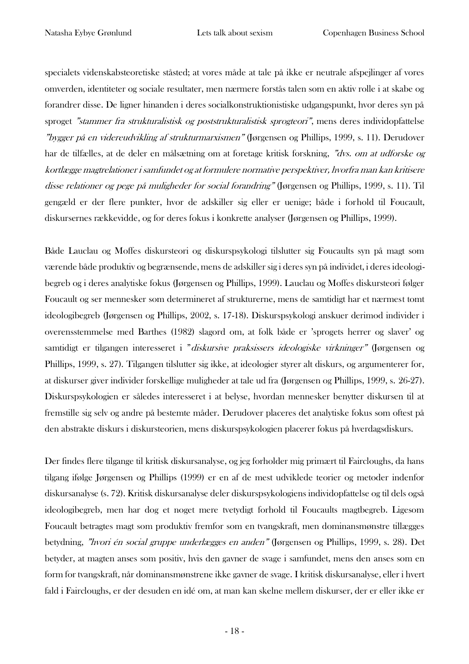specialets videnskabsteoretiske ståsted; at vores måde at tale på ikke er neutrale afspejlinger af vores omverden, identiteter og sociale resultater, men nærmere forstås talen som en aktiv rolle i at skabe og forandrer disse. De ligner hinanden i deres socialkonstruktionistiske udgangspunkt, hvor deres syn på sproget "stammer fra strukturalistisk og poststrukturalistisk sprogteori", mens deres individopfattelse "bygger på en videreudvikling af strukturmarxismen" (Jørgensen og Phillips, 1999, s. 11). Derudover har de tilfælles, at de deler en målsætning om at foretage kritisk forskning, "dvs. om at udforske og kortlægge magtrelationer i samfundet og at formulere normative perspektiver, hvorfra man kan kritisere disse relationer og pege på muligheder for social forandring" (Jørgensen og Phillips, 1999, s. 11). Til gengæld er der flere punkter, hvor de adskiller sig eller er uenige; både i forhold til Foucault, diskursernes rækkevidde, og for deres fokus i konkrette analyser (Jørgensen og Phillips, 1999).

Både Lauclau og Moffes diskursteori og diskurspsykologi tilslutter sig Foucaults syn på magt som værende både produktiv og begrænsende, mens de adskiller sig i deres syn på individet, i deres ideologibegreb og i deres analytiske fokus (Jørgensen og Phillips, 1999). Lauclau og Moffes diskursteori følger Foucault og ser mennesker som determineret af strukturerne, mens de samtidigt har et nærmest tomt ideologibegreb (Jørgensen og Phillips, 2002, s. 17-18). Diskurspsykologi anskuer derimod individer i overensstemmelse med Barthes (1982) slagord om, at folk både er 'sprogets herrer og slaver' og samtidigt er tilgangen interesseret i "diskursive praksissers ideologiske virkninger" (Jørgensen og Phillips, 1999, s. 27). Tilgangen tilslutter sig ikke, at ideologier styrer alt diskurs, og argumenterer for, at diskurser giver individer forskellige muligheder at tale ud fra (Jørgensen og Phillips, 1999, s. 26-27). Diskurspsykologien er således interesseret i at belyse, hvordan mennesker benytter diskursen til at fremstille sig selv og andre på bestemte måder. Derudover placeres det analytiske fokus som oftest på den abstrakte diskurs i diskursteorien, mens diskurspsykologien placerer fokus på hverdagsdiskurs.

Der findes flere tilgange til kritisk diskursanalyse, og jeg forholder mig primært til Faircloughs, da hans tilgang ifølge Jørgensen og Phillips (1999) er en af de mest udviklede teorier og metoder indenfor diskursanalyse (s. 72). Kritisk diskursanalyse deler diskurspsykologiens individopfattelse og til dels også ideologibegreb, men har dog et noget mere tvetydigt forhold til Foucaults magtbegreb. Ligesom Foucault betragtes magt som produktiv fremfor som en tvangskraft, men dominansmønstre tillægges betydning, "hvori én social gruppe underlægges en anden" (Jørgensen og Phillips, 1999, s. 28). Det betyder, at magten anses som positiv, hvis den gavner de svage i samfundet, mens den anses som en form for tvangskraft, når dominansmønstrene ikke gavner de svage. I kritisk diskursanalyse, eller i hvert fald i Faircloughs, er der desuden en idé om, at man kan skelne mellem diskurser, der er eller ikke er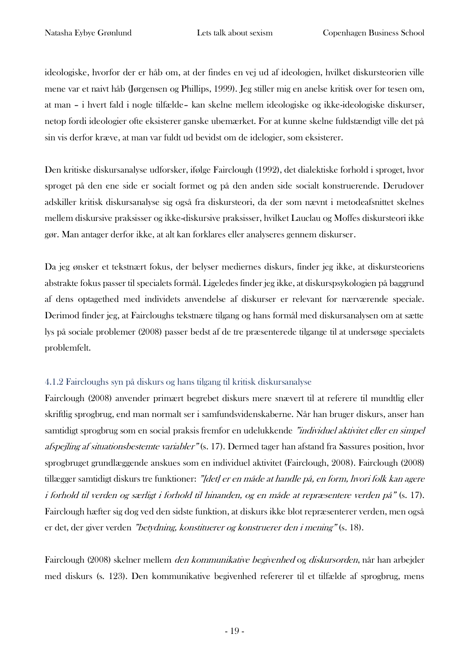ideologiske, hvorfor der er håb om, at der findes en vej ud af ideologien, hvilket diskursteorien ville mene var et naivt håb (Jørgensen og Phillips, 1999). Jeg stiller mig en anelse kritisk over for tesen om, at man – i hvert fald i nogle tilfælde– kan skelne mellem ideologiske og ikke-ideologiske diskurser, netop fordi ideologier ofte eksisterer ganske ubemærket. For at kunne skelne fuldstændigt ville det på sin vis derfor kræve, at man var fuldt ud bevidst om de idelogier, som eksisterer.

Den kritiske diskursanalyse udforsker, ifølge Fairclough (1992), det dialektiske forhold i sproget, hvor sproget på den ene side er socialt formet og på den anden side socialt konstruerende. Derudover adskiller kritisk diskursanalyse sig også fra diskursteori, da der som nævnt i metodeafsnittet skelnes mellem diskursive praksisser og ikke-diskursive praksisser, hvilket Lauclau og Moffes diskursteori ikke gør. Man antager derfor ikke, at alt kan forklares eller analyseres gennem diskurser.

Da jeg ønsker et tekstnært fokus, der belyser mediernes diskurs, finder jeg ikke, at diskursteoriens abstrakte fokus passer til specialets formål. Ligeledes finder jeg ikke, at diskurspsykologien på baggrund af dens optagethed med individets anvendelse af diskurser er relevant for nærværende speciale. Derimod finder jeg, at Faircloughs tekstnære tilgang og hans formål med diskursanalysen om at sætte lys på sociale problemer (2008) passer bedst af de tre præsenterede tilgange til at undersøge specialets problemfelt.

## <span id="page-19-0"></span>4.1.2 Faircloughs syn på diskurs og hans tilgang til kritisk diskursanalyse

Fairclough (2008) anvender primært begrebet diskurs mere snævert til at referere til mundtlig eller skriftlig sprogbrug, end man normalt ser i samfundsvidenskaberne. Når han bruger diskurs, anser han samtidigt sprogbrug som en social praksis fremfor en udelukkende "individuel aktivitet eller en simpel afspejling af situationsbestemte variabler" (s. 17). Dermed tager han afstand fra Sassures position, hvor sprogbruget grundlæggende anskues som en individuel aktivitet (Fairclough, 2008). Fairclough (2008) tillægger samtidigt diskurs tre funktioner: "[det] er en måde at handle på, en form, hvori folk kan agere i forhold til verden og særligt i forhold til hinanden, og en måde at repræsentere verden på" (s. 17). Fairclough hæfter sig dog ved den sidste funktion, at diskurs ikke blot repræsenterer verden, men også er det, der giver verden "betydning, konstituerer og konstruerer den i mening" (s. 18).

Fairclough (2008) skelner mellem den kommunikative begivenhed og diskursorden, når han arbejder med diskurs (s. 123). Den kommunikative begivenhed refererer til et tilfælde af sprogbrug, mens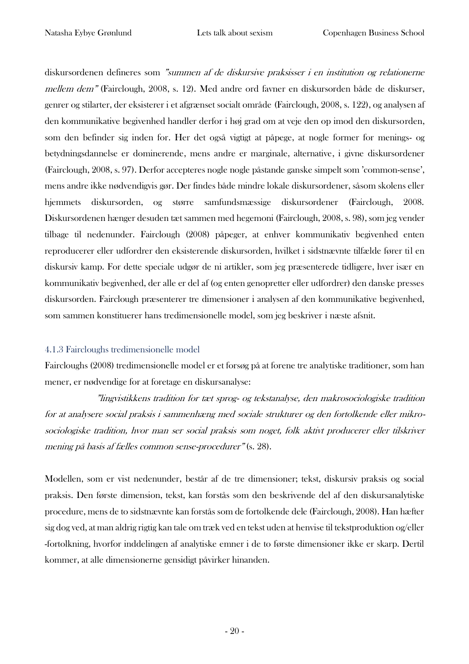diskursordenen defineres som "summen af de diskursive praksisser i en institution og relationerne mellem dem" (Fairclough, 2008, s. 12). Med andre ord favner en diskursorden både de diskurser, genrer og stilarter, der eksisterer i et afgrænset socialt område (Fairclough, 2008, s. 122), og analysen af den kommunikative begivenhed handler derfor i høj grad om at veje den op imod den diskursorden, som den befinder sig inden for. Her det også vigtigt at påpege, at nogle former for menings- og betydningsdannelse er dominerende, mens andre er marginale, alternative, i givne diskursordener (Fairclough, 2008, s. 97). Derfor accepteres nogle nogle påstande ganske simpelt som 'common-sense', mens andre ikke nødvendigvis gør. Der findes både mindre lokale diskursordener, såsom skolens eller hjemmets diskursorden, og større samfundsmæssige diskursordener (Fairclough, 2008. Diskursordenen hænger desuden tæt sammen med hegemoni (Fairclough, 2008, s. 98), som jeg vender tilbage til nedenunder. Fairclough (2008) påpeger, at enhver kommunikativ begivenhed enten reproducerer eller udfordrer den eksisterende diskursorden, hvilket i sidstnævnte tilfælde fører til en diskursiv kamp. For dette speciale udgør de ni artikler, som jeg præsenterede tidligere, hver især en kommunikativ begivenhed, der alle er del af (og enten genopretter eller udfordrer) den danske presses diskursorden. Fairclough præsenterer tre dimensioner i analysen af den kommunikative begivenhed, som sammen konstituerer hans tredimensionelle model, som jeg beskriver i næste afsnit.

#### <span id="page-20-0"></span>4.1.3 Faircloughs tredimensionelle model

Faircloughs (2008) tredimensionelle model er et forsøg på at forene tre analytiske traditioner, som han mener, er nødvendige for at foretage en diskursanalyse:

"lingvistikkens tradition for tæt sprog- og tekstanalyse, den makrosociologiske tradition for at analysere social praksis i sammenhæng med sociale strukturer og den fortolkende eller mikrosociologiske tradition, hvor man ser social praksis som noget, folk aktivt producerer eller tilskriver mening på basis af fælles common sense-procedurer" (s. 28).

Modellen, som er vist nedenunder, består af de tre dimensioner; tekst, diskursiv praksis og social praksis. Den første dimension, tekst, kan forstås som den beskrivende del af den diskursanalytiske procedure, mens de to sidstnævnte kan forstås som de fortolkende dele (Fairclough, 2008). Han hæfter sig dog ved, at man aldrig rigtig kan tale om træk ved en tekst uden at henvise til tekstproduktion og/eller -fortolkning, hvorfor inddelingen af analytiske emner i de to første dimensioner ikke er skarp. Dertil kommer, at alle dimensionerne gensidigt påvirker hinanden.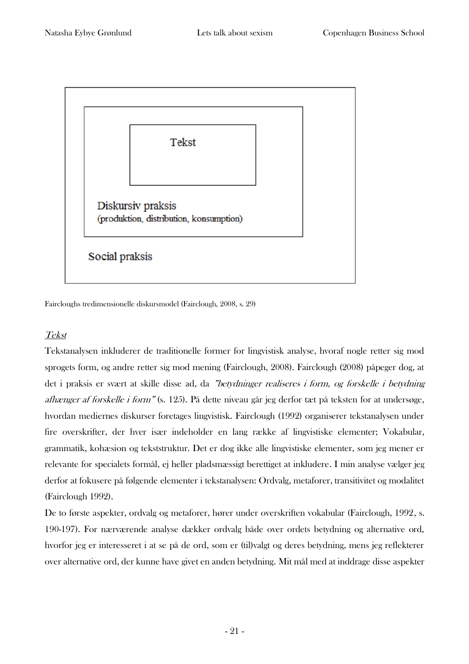

Faircloughs tredimensionelle diskursmodel (Fairclough, 2008, s. 29)

# Tekst

Tekstanalysen inkluderer de traditionelle former for lingvistisk analyse, hvoraf nogle retter sig mod sprogets form, og andre retter sig mod mening (Fairclough, 2008). Fairclough (2008) påpeger dog, at det i praksis er svært at skille disse ad, da "betydninger realiseres i form, og forskelle i betydning afhænger af forskelle i form" (s. 125). På dette niveau går jeg derfor tæt på teksten for at undersøge, hvordan mediernes diskurser foretages lingvistisk. Fairclough (1992) organiserer tekstanalysen under fire overskrifter, der hver især indeholder en lang række af lingvistiske elementer; Vokabular, grammatik, kohæsion og tekststruktur. Det er dog ikke alle lingvistiske elementer, som jeg mener er relevante for specialets formål, ej heller pladsmæssigt berettiget at inkludere. I min analyse vælger jeg derfor at fokusere på følgende elementer i tekstanalysen: Ordvalg, metaforer, transitivitet og modalitet (Fairclough 1992).

De to første aspekter, ordvalg og metaforer, hører under overskriften vokabular (Fairclough, 1992, s. 190-197). For nærværende analyse dækker ordvalg både over ordets betydning og alternative ord, hvorfor jeg er interesseret i at se på de ord, som er (til)valgt og deres betydning, mens jeg reflekterer over alternative ord, der kunne have givet en anden betydning. Mit mål med at inddrage disse aspekter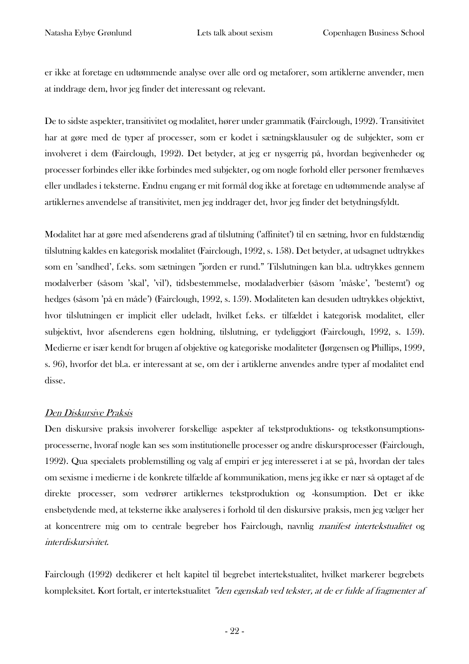er ikke at foretage en udtømmende analyse over alle ord og metaforer, som artiklerne anvender, men at inddrage dem, hvor jeg finder det interessant og relevant.

De to sidste aspekter, transitivitet og modalitet, hører under grammatik (Fairclough, 1992). Transitivitet har at gøre med de typer af processer, som er kodet i sætningsklausuler og de subjekter, som er involveret i dem (Fairclough, 1992). Det betyder, at jeg er nysgerrig på, hvordan begivenheder og processer forbindes eller ikke forbindes med subjekter, og om nogle forhold eller personer fremhæves eller undlades i teksterne. Endnu engang er mit formål dog ikke at foretage en udtømmende analyse af artiklernes anvendelse af transitivitet, men jeg inddrager det, hvor jeg finder det betydningsfyldt.

Modalitet har at gøre med afsenderens grad af tilslutning ('affinitet') til en sætning, hvor en fuldstændig tilslutning kaldes en kategorisk modalitet (Fairclough, 1992, s. 158). Det betyder, at udsagnet udtrykkes som en 'sandhed', f.eks. som sætningen "jorden er rund." Tilslutningen kan bl.a. udtrykkes gennem modalverber (såsom 'skal', 'vil'), tidsbestemmelse, modaladverbier (såsom 'måske', 'bestemt') og hedges (såsom 'på en måde') (Fairclough, 1992, s. 159). Modaliteten kan desuden udtrykkes objektivt, hvor tilslutningen er implicit eller udeladt, hvilket f.eks. er tilfældet i kategorisk modalitet, eller subjektivt, hvor afsenderens egen holdning, tilslutning, er tydeliggjort (Fairclough, 1992, s. 159). Medierne er især kendt for brugen af objektive og kategoriske modaliteter (Jørgensen og Phillips, 1999, s. 96), hvorfor det bl.a. er interessant at se, om der i artiklerne anvendes andre typer af modalitet end disse.

## Den Diskursive Praksis

Den diskursive praksis involverer forskellige aspekter af tekstproduktions- og tekstkonsumptionsprocesserne, hvoraf nogle kan ses som institutionelle processer og andre diskursprocesser (Fairclough, 1992). Qua specialets problemstilling og valg af empiri er jeg interesseret i at se på, hvordan der tales om sexisme i medierne i de konkrete tilfælde af kommunikation, mens jeg ikke er nær så optaget af de direkte processer, som vedrører artiklernes tekstproduktion og -konsumption. Det er ikke ensbetydende med, at teksterne ikke analyseres i forhold til den diskursive praksis, men jeg vælger her at koncentrere mig om to centrale begreber hos Fairclough, navnlig manifest intertekstualitet og interdiskursivitet.

Fairclough (1992) dedikerer et helt kapitel til begrebet intertekstualitet, hvilket markerer begrebets kompleksitet. Kort fortalt, er intertekstualitet "den egenskab ved tekster, at de er fulde af fragmenter af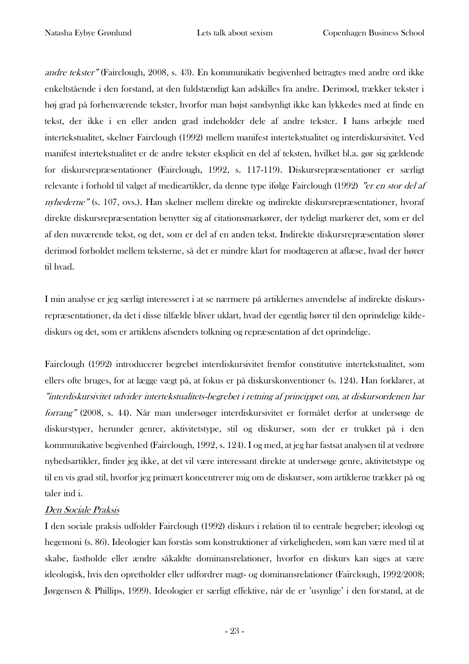andre tekster" (Fairclough, 2008, s. 43). En kommunikativ begivenhed betragtes med andre ord ikke enkeltstående i den forstand, at den fuldstændigt kan adskilles fra andre. Derimod, trækker tekster i høj grad på forhenværende tekster, hvorfor man højst sandsynligt ikke kan lykkedes med at finde en tekst, der ikke i en eller anden grad indeholder dele af andre tekster. I hans arbejde med intertekstualitet, skelner Fairclough (1992) mellem manifest intertekstualitet og interdiskursivitet. Ved manifest intertekstualitet er de andre tekster eksplicit en del af teksten, hvilket bl.a. gør sig gældende for diskursrepræsentationer (Fairclough, 1992, s. 117-119). Diskursrepræsentationer er særligt relevante i forhold til valget af medieartikler, da denne type ifølge Fairclough (1992) "er en stor del af nyhederne" (s. 107, ovs.). Han skelner mellem direkte og indirekte diskursrepræsentationer, hvoraf direkte diskursrepræsentation benytter sig af citationsmarkører, der tydeligt markerer det, som er del af den nuværende tekst, og det, som er del af en anden tekst. Indirekte diskursrepræsentation slører derimod forholdet mellem teksterne, så det er mindre klart for modtageren at aflæse, hvad der hører til hvad.

I min analyse er jeg særligt interesseret i at se nærmere på artiklernes anvendelse af indirekte diskursrepræsentationer, da det i disse tilfælde bliver uklart, hvad der egentlig hører til den oprindelige kildediskurs og det, som er artiklens afsenders tolkning og repræsentation af det oprindelige.

Fairclough (1992) introducerer begrebet interdiskursivitet fremfor constitutive intertekstualitet, som ellers ofte bruges, for at lægge vægt på, at fokus er på diskurskonventioner (s. 124). Han forklarer, at "interdiskursivitet udvider intertekstualitets-begrebet i retning af princippet om, at diskursordenen har forrang" (2008, s. 44). Når man undersøger interdiskursivitet er formålet derfor at undersøge de diskurstyper, herunder genrer, aktivitetstype, stil og diskurser, som der er trukket på i den kommunikative begivenhed (Fairclough, 1992, s. 124). I og med, at jeg har fastsat analysen til at vedrøre nyhedsartikler, finder jeg ikke, at det vil være interessant direkte at undersøge genre, aktivitetstype og til en vis grad stil, hvorfor jeg primært koncentrerer mig om de diskurser, som artiklerne trækker på og taler ind i.

## Den Sociale Praksis

I den sociale praksis udfolder Fairclough (1992) diskurs i relation til to centrale begreber; ideologi og hegemoni (s. 86). Ideologier kan forstås som konstruktioner af virkeligheden, som kan være med til at skabe, fastholde eller ændre såkaldte dominansrelationer, hvorfor en diskurs kan siges at være ideologisk, hvis den opretholder eller udfordrer magt- og dominansrelationer (Fairclough, 1992/2008; Jørgensen & Phillips, 1999). Ideologier er særligt effektive, når de er 'usynlige' i den forstand, at de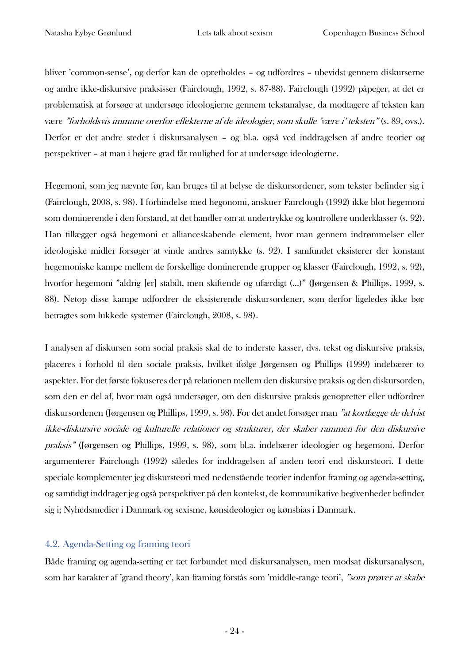bliver 'common-sense', og derfor kan de opretholdes – og udfordres – ubevidst gennem diskurserne og andre ikke-diskursive praksisser (Fairclough, 1992, s. 87-88). Fairclough (1992) påpeger, at det er problematisk at forsøge at undersøge ideologierne gennem tekstanalyse, da modtagere af teksten kan være "forholdsvis immune overfor effekterne af de ideologier, som skulle 'være i' teksten" (s. 89, ovs.). Derfor er det andre steder i diskursanalysen – og bl.a. også ved inddragelsen af andre teorier og perspektiver – at man i højere grad får mulighed for at undersøge ideologierne.

Hegemoni, som jeg nævnte før, kan bruges til at belyse de diskursordener, som tekster befinder sig i (Fairclough, 2008, s. 98). I forbindelse med hegonomi, anskuer Fairclough (1992) ikke blot hegemoni som dominerende i den forstand, at det handler om at undertrykke og kontrollere underklasser (s. 92). Han tillægger også hegemoni et allianceskabende element, hvor man gennem indrømmelser eller ideologiske midler forsøger at vinde andres samtykke (s. 92). I samfundet eksisterer der konstant hegemoniske kampe mellem de forskellige dominerende grupper og klasser (Fairclough, 1992, s. 92), hvorfor hegemoni "aldrig [er] stabilt, men skiftende og ufærdigt (…)" (Jørgensen & Phillips, 1999, s. 88). Netop disse kampe udfordrer de eksisterende diskursordener, som derfor ligeledes ikke bør betragtes som lukkede systemer (Fairclough, 2008, s. 98).

I analysen af diskursen som social praksis skal de to inderste kasser, dvs. tekst og diskursive praksis, placeres i forhold til den sociale praksis, hvilket ifølge Jørgensen og Phillips (1999) indebærer to aspekter. For det første fokuseres der på relationen mellem den diskursive praksis og den diskursorden, som den er del af, hvor man også undersøger, om den diskursive praksis genopretter eller udfordrer diskursordenen (Jørgensen og Phillips, 1999, s. 98). For det andet forsøger man "at kortlægge de delvist ikke-diskursive sociale og kulturelle relationer og strukturer, der skaber rammen for den diskursive praksis" (Jørgensen og Phillips, 1999, s. 98), som bl.a. indebærer ideologier og hegemoni. Derfor argumenterer Fairclough (1992) således for inddragelsen af anden teori end diskursteori. I dette speciale komplementer jeg diskursteori med nedenstående teorier indenfor framing og agenda-setting, og samtidigt inddrager jeg også perspektiver på den kontekst, de kommunikative begivenheder befinder sig i; Nyhedsmedier i Danmark og sexisme, kønsideologier og kønsbias i Danmark.

## <span id="page-24-0"></span>4.2. Agenda-Setting og framing teori

Både framing og agenda-setting er tæt forbundet med diskursanalysen, men modsat diskursanalysen, som har karakter af 'grand theory', kan framing forstås som 'middle-range teori', "som prøver at skabe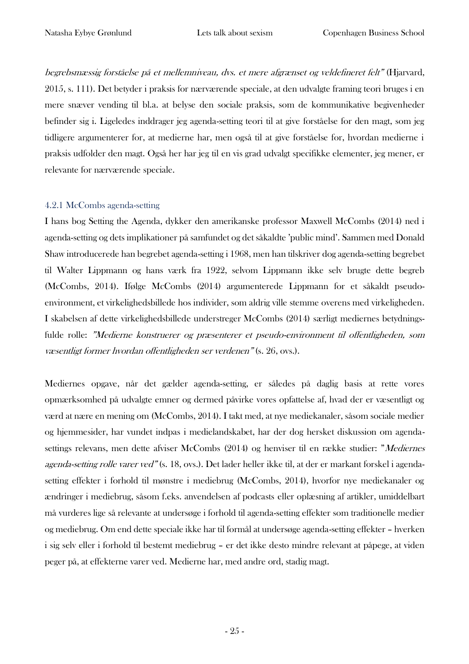begrebsmæssig forståelse på et mellemniveau, dvs. et mere afgrænset og veldefineret felt" (Hjarvard, 2015, s. 111). Det betyder i praksis for nærværende speciale, at den udvalgte framing teori bruges i en mere snæver vending til bl.a. at belyse den sociale praksis, som de kommunikative begivenheder befinder sig i. Ligeledes inddrager jeg agenda-setting teori til at give forståelse for den magt, som jeg tidligere argumenterer for, at medierne har, men også til at give forståelse for, hvordan medierne i praksis udfolder den magt. Også her har jeg til en vis grad udvalgt specifikke elementer, jeg mener, er relevante for nærværende speciale.

#### <span id="page-25-0"></span>4.2.1 McCombs agenda-setting

I hans bog Setting the Agenda, dykker den amerikanske professor Maxwell McCombs (2014) ned i agenda-setting og dets implikationer på samfundet og det såkaldte 'public mind'. Sammen med Donald Shaw introducerede han begrebet agenda-setting i 1968, men han tilskriver dog agenda-setting begrebet til Walter Lippmann og hans værk fra 1922, selvom Lippmann ikke selv brugte dette begreb (McCombs, 2014). Ifølge McCombs (2014) argumenterede Lippmann for et såkaldt pseudoenvironment, et virkelighedsbillede hos individer, som aldrig ville stemme overens med virkeligheden. I skabelsen af dette virkelighedsbillede understreger McCombs (2014) særligt mediernes betydningsfulde rolle: "Medierne konstruerer og præsenterer et pseudo-environment til offentligheden, som væsentligt former hvordan offentligheden ser verdenen" (s. 26, ovs.).

Mediernes opgave, når det gælder agenda-setting, er således på daglig basis at rette vores opmærksomhed på udvalgte emner og dermed påvirke vores opfattelse af, hvad der er væsentligt og værd at nære en mening om (McCombs, 2014). I takt med, at nye mediekanaler, såsom sociale medier og hjemmesider, har vundet indpas i medielandskabet, har der dog hersket diskussion om agendasettings relevans, men dette afviser McCombs (2014) og henviser til en række studier: "Mediernes agenda-setting rolle varer ved" (s. 18, ovs.). Det lader heller ikke til, at der er markant forskel i agendasetting effekter i forhold til mønstre i mediebrug (McCombs, 2014), hvorfor nye mediekanaler og ændringer i mediebrug, såsom f.eks. anvendelsen af podcasts eller oplæsning af artikler, umiddelbart må vurderes lige så relevante at undersøge i forhold til agenda-setting effekter som traditionelle medier og mediebrug. Om end dette speciale ikke har til formål at undersøge agenda-setting effekter – hverken i sig selv eller i forhold til bestemt mediebrug – er det ikke desto mindre relevant at påpege, at viden peger på, at effekterne varer ved. Medierne har, med andre ord, stadig magt.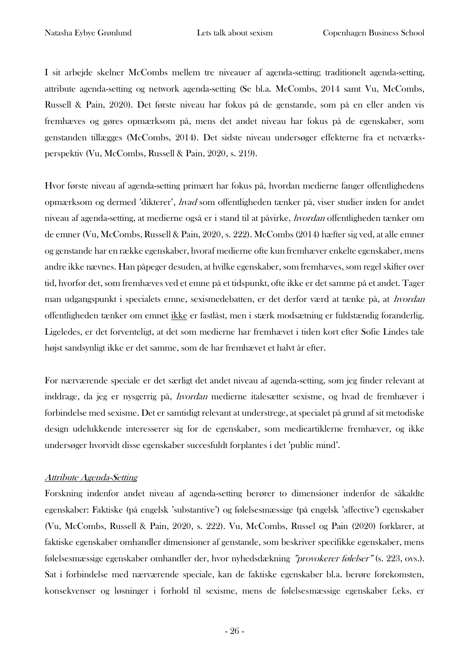I sit arbejde skelner McCombs mellem tre niveauer af agenda-setting; traditionelt agenda-setting, attribute agenda-setting og network agenda-setting (Se bl.a. McCombs, 2014 samt Vu, McCombs, Russell & Pain, 2020). Det første niveau har fokus på de genstande, som på en eller anden vis fremhæves og gøres opmærksom på, mens det andet niveau har fokus på de egenskaber, som genstanden tillægges (McCombs, 2014). Det sidste niveau undersøger effekterne fra et netværksperspektiv (Vu, McCombs, Russell & Pain, 2020, s. 219).

Hvor første niveau af agenda-setting primært har fokus på, hvordan medierne fanger offentlighedens opmærksom og dermed 'dikterer', hvad som offentligheden tænker på, viser studier inden for andet niveau af agenda-setting, at medierne også er i stand til at påvirke, hvordan offentligheden tænker om de emner (Vu, McCombs, Russell & Pain, 2020, s. 222). McCombs (2014) hæfter sig ved, at alle emner og genstande har en række egenskaber, hvoraf medierne ofte kun fremhæver enkelte egenskaber, mens andre ikke nævnes. Han påpeger desuden, at hvilke egenskaber, som fremhæves, som regel skifter over tid, hvorfor det, som fremhæves ved et emne på et tidspunkt, ofte ikke er det samme på et andet. Tager man udgangspunkt i specialets emne, sexismedebatten, er det derfor værd at tænke på, at hvordan offentligheden tænker om emnet ikke er fastlåst, men i stærk modsætning er fuldstændig foranderlig. Ligeledes, er det forventeligt, at det som medierne har fremhævet i tiden kort efter Sofie Lindes tale højst sandsynligt ikke er det samme, som de har fremhævet et halvt år efter.

For nærværende speciale er det særligt det andet niveau af agenda-setting, som jeg finder relevant at inddrage, da jeg er nysgerrig på, hvordan medierne italesætter sexisme, og hvad de fremhæver i forbindelse med sexisme. Det er samtidigt relevant at understrege, at specialet på grund af sit metodiske design udelukkende interesserer sig for de egenskaber, som medieartiklerne fremhæver, og ikke undersøger hvorvidt disse egenskaber succesfuldt forplantes i det 'public mind'.

#### Attribute Agenda-Setting

Forskning indenfor andet niveau af agenda-setting berører to dimensioner indenfor de såkaldte egenskaber: Faktiske (på engelsk 'substantive') og følelsesmæssige (på engelsk 'affective') egenskaber (Vu, McCombs, Russell & Pain, 2020, s. 222). Vu, McCombs, Russel og Pain (2020) forklarer, at faktiske egenskaber omhandler dimensioner af genstande, som beskriver specifikke egenskaber, mens følelsesmæssige egenskaber omhandler der, hvor nyhedsdækning "provokerer følelser" (s. 223, ovs.). Sat i forbindelse med nærværende speciale, kan de faktiske egenskaber bl.a. berøre forekomsten, konsekvenser og løsninger i forhold til sexisme, mens de følelsesmæssige egenskaber f.eks. er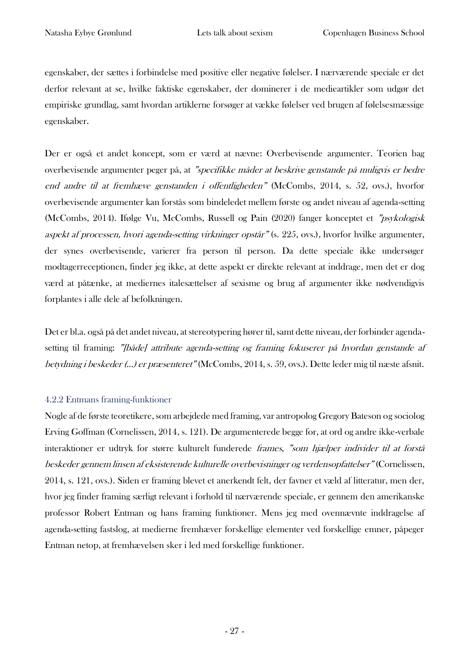egenskaber, der sættes i forbindelse med positive eller negative følelser. I nærværende speciale er det derfor relevant at se, hvilke faktiske egenskaber, der dominerer i de medieartikler som udgør det empiriske grundlag, samt hvordan artiklerne forsøger at vække følelser ved brugen af følelsesmæssige egenskaber.

Der er også et andet koncept, som er værd at nævne: Overbevisende argumenter. Teorien bag overbevisende argumenter peger på, at "specifikke måder at beskrive genstande på muligvis er bedre end andre til at fremhæve genstanden i offentligheden" (McCombs, 2014, s. 52, ovs.), hvorfor overbevisende argumenter kan forstås som bindeledet mellem første og andet niveau af agenda-setting (McCombs, 2014). Ifølge Vu, McCombs, Russell og Pain (2020) fanger konceptet et "psykologisk aspekt af processen, hvori agenda-setting virkninger opstår" (s. 225, ovs.), hvorfor hvilke argumenter, der synes overbevisende, varierer fra person til person. Da dette speciale ikke undersøger modtagerreceptionen, finder jeg ikke, at dette aspekt er direkte relevant at inddrage, men det er dog værd at påtænke, at mediernes italesættelser af sexisme og brug af argumenter ikke nødvendigvis forplantes i alle dele af befolkningen.

Det er bl.a. også på det andet niveau, at stereotypering hører til, samt dette niveau, der forbinder agendasetting til framing: "[både] attribute agenda-setting og framing fokuserer på hvordan genstande af betydning i beskeder (…) er præsenteret" (McCombs, 2014, s. 59, ovs.). Dette leder mig til næste afsnit.

## <span id="page-27-0"></span>4.2.2 Entmans framing-funktioner

Nogle af de første teoretikere, som arbejdede med framing, var antropolog Gregory Bateson og sociolog Erving Goffman (Cornelissen, 2014, s. 121). De argumenterede begge for, at ord og andre ikke-verbale interaktioner er udtryk for større kulturelt funderede frames, "som hjælper individer til at forstå beskeder gennem linsen af eksisterende kulturelle overbevisninger og verdensopfattelser" (Cornelissen, 2014, s. 121, ovs.). Siden er framing blevet et anerkendt felt, der favner et væld af litteratur, men der, hvor jeg finder framing særligt relevant i forhold til nærværende speciale, er gennem den amerikanske professor Robert Entman og hans framing funktioner. Mens jeg med ovennævnte inddragelse af agenda-setting fastslog, at medierne fremhæver forskellige elementer ved forskellige emner, påpeger Entman netop, at fremhævelsen sker i led med forskellige funktioner.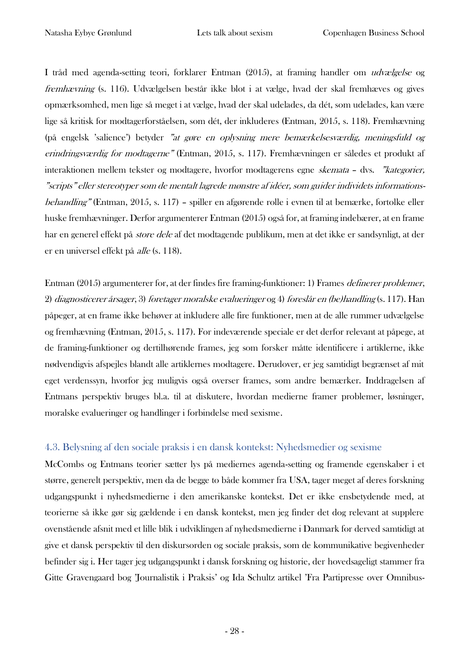I tråd med agenda-setting teori, forklarer Entman (2015), at framing handler om udvælgelse og fremhævning (s. 116). Udvælgelsen består ikke blot i at vælge, hvad der skal fremhæves og gives opmærksomhed, men lige så meget i at vælge, hvad der skal udelades, da dét, som udelades, kan være lige så kritisk for modtagerforståelsen, som dét, der inkluderes (Entman, 2015, s. 118). Fremhævning (på engelsk 'salience') betyder "at gøre en oplysning mere bemærkelsesværdig, meningsfuld og erindringsværdig for modtagerne" (Entman, 2015, s. 117). Fremhævningen er således et produkt af interaktionen mellem tekster og modtagere, hvorfor modtagerens egne skemata – dvs. "kategorier, "scripts" eller stereotyper som de mentalt lagrede mønstre af idéer, som guider individets informationsbehandling" (Entman, 2015, s. 117) – spiller en afgørende rolle i evnen til at bemærke, fortolke eller huske fremhævninger. Derfor argumenterer Entman (2015) også for, at framing indebærer, at en frame har en generel effekt på store dele af det modtagende publikum, men at det ikke er sandsynligt, at der er en universel effekt på alle (s. 118).

Entman (2015) argumenterer for, at der findes fire framing-funktioner: 1) Frames definerer problemer, 2) diagnosticerer årsager, 3) foretager moralske evalueringer og 4) foreslår en (be)handling (s. 117). Han påpeger, at en frame ikke behøver at inkludere alle fire funktioner, men at de alle rummer udvælgelse og fremhævning (Entman, 2015, s. 117). For indeværende speciale er det derfor relevant at påpege, at de framing-funktioner og dertilhørende frames, jeg som forsker måtte identificere i artiklerne, ikke nødvendigvis afspejles blandt alle artiklernes modtagere. Derudover, er jeg samtidigt begrænset af mit eget verdenssyn, hvorfor jeg muligvis også overser frames, som andre bemærker. Inddragelsen af Entmans perspektiv bruges bl.a. til at diskutere, hvordan medierne framer problemer, løsninger, moralske evalueringer og handlinger i forbindelse med sexisme.

## <span id="page-28-0"></span>4.3. Belysning af den sociale praksis i en dansk kontekst: Nyhedsmedier og sexisme

McCombs og Entmans teorier sætter lys på mediernes agenda-setting og framende egenskaber i et større, generelt perspektiv, men da de begge to både kommer fra USA, tager meget af deres forskning udgangspunkt i nyhedsmedierne i den amerikanske kontekst. Det er ikke ensbetydende med, at teorierne så ikke gør sig gældende i en dansk kontekst, men jeg finder det dog relevant at supplere ovenstående afsnit med et lille blik i udviklingen af nyhedsmedierne i Danmark for derved samtidigt at give et dansk perspektiv til den diskursorden og sociale praksis, som de kommunikative begivenheder befinder sig i. Her tager jeg udgangspunkt i dansk forskning og historie, der hovedsageligt stammer fra Gitte Gravengaard bog 'Journalistik i Praksis' og Ida Schultz artikel 'Fra Partipresse over Omnibus-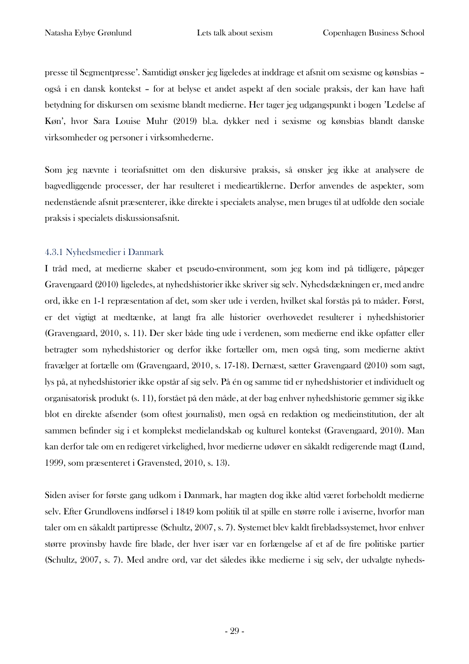presse til Segmentpresse'. Samtidigt ønsker jeg ligeledes at inddrage et afsnit om sexisme og kønsbias – også i en dansk kontekst – for at belyse et andet aspekt af den sociale praksis, der kan have haft betydning for diskursen om sexisme blandt medierne. Her tager jeg udgangspunkt i bogen 'Ledelse af Køn', hvor Sara Louise Muhr (2019) bl.a. dykker ned i sexisme og kønsbias blandt danske virksomheder og personer i virksomhederne.

Som jeg nævnte i teoriafsnittet om den diskursive praksis, så ønsker jeg ikke at analysere de bagvedliggende processer, der har resulteret i medieartiklerne. Derfor anvendes de aspekter, som nedenstående afsnit præsenterer, ikke direkte i specialets analyse, men bruges til at udfolde den sociale praksis i specialets diskussionsafsnit.

#### <span id="page-29-0"></span>4.3.1 Nyhedsmedier i Danmark

I tråd med, at medierne skaber et pseudo-environment, som jeg kom ind på tidligere, påpeger Gravengaard (2010) ligeledes, at nyhedshistorier ikke skriver sig selv. Nyhedsdækningen er, med andre ord, ikke en 1-1 repræsentation af det, som sker ude i verden, hvilket skal forstås på to måder. Først, er det vigtigt at medtænke, at langt fra alle historier overhovedet resulterer i nyhedshistorier (Gravengaard, 2010, s. 11). Der sker både ting ude i verdenen, som medierne end ikke opfatter eller betragter som nyhedshistorier og derfor ikke fortæller om, men også ting, som medierne aktivt fravælger at fortælle om (Gravengaard, 2010, s. 17-18). Dernæst, sætter Gravengaard (2010) som sagt, lys på, at nyhedshistorier ikke opstår af sig selv. På én og samme tid er nyhedshistorier et individuelt og organisatorisk produkt (s. 11), forstået på den måde, at der bag enhver nyhedshistorie gemmer sig ikke blot en direkte afsender (som oftest journalist), men også en redaktion og medieinstitution, der alt sammen befinder sig i et komplekst medielandskab og kulturel kontekst (Gravengaard, 2010). Man kan derfor tale om en redigeret virkelighed, hvor medierne udøver en såkaldt redigerende magt (Lund, 1999, som præsenteret i Gravensted, 2010, s. 13).

Siden aviser for første gang udkom i Danmark, har magten dog ikke altid været forbeholdt medierne selv. Efter Grundlovens indførsel i 1849 kom politik til at spille en større rolle i aviserne, hvorfor man taler om en såkaldt partipresse (Schultz, 2007, s. 7). Systemet blev kaldt firebladssystemet, hvor enhver større provinsby havde fire blade, der hver især var en forlængelse af et af de fire politiske partier (Schultz, 2007, s. 7). Med andre ord, var det således ikke medierne i sig selv, der udvalgte nyheds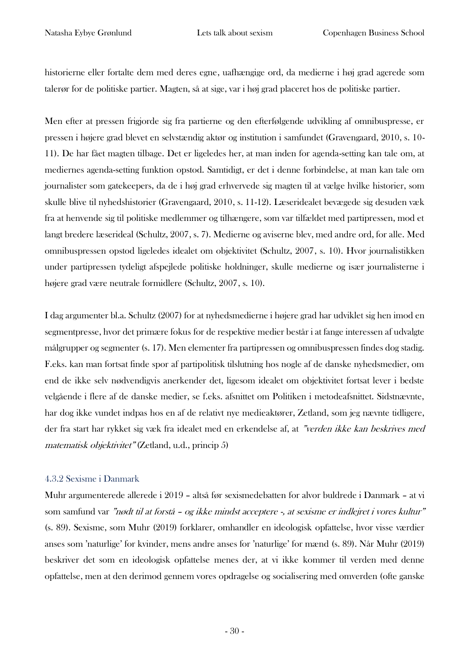historierne eller fortalte dem med deres egne, uafhængige ord, da medierne i høj grad agerede som talerør for de politiske partier. Magten, så at sige, var i høj grad placeret hos de politiske partier.

Men efter at pressen frigjorde sig fra partierne og den efterfølgende udvikling af omnibuspresse, er pressen i højere grad blevet en selvstændig aktør og institution i samfundet (Gravengaard, 2010, s. 10- 11). De har fået magten tilbage. Det er ligeledes her, at man inden for agenda-setting kan tale om, at mediernes agenda-setting funktion opstod. Samtidigt, er det i denne forbindelse, at man kan tale om journalister som gatekeepers, da de i høj grad erhvervede sig magten til at vælge hvilke historier, som skulle blive til nyhedshistorier (Gravengaard, 2010, s. 11-12). Læseridealet bevægede sig desuden væk fra at henvende sig til politiske medlemmer og tilhængere, som var tilfældet med partipressen, mod et langt bredere læserideal (Schultz, 2007, s. 7). Medierne og aviserne blev, med andre ord, for alle. Med omnibuspressen opstod ligeledes idealet om objektivitet (Schultz, 2007, s. 10). Hvor journalistikken under partipressen tydeligt afspejlede politiske holdninger, skulle medierne og især journalisterne i højere grad være neutrale formidlere (Schultz, 2007, s. 10).

I dag argumenter bl.a. Schultz (2007) for at nyhedsmedierne i højere grad har udviklet sig hen imod en segmentpresse, hvor det primære fokus for de respektive medier består i at fange interessen af udvalgte målgrupper og segmenter (s. 17). Men elementer fra partipressen og omnibuspressen findes dog stadig. F.eks. kan man fortsat finde spor af partipolitisk tilslutning hos nogle af de danske nyhedsmedier, om end de ikke selv nødvendigvis anerkender det, ligesom idealet om objektivitet fortsat lever i bedste velgående i flere af de danske medier, se f.eks. afsnittet om Politiken i metodeafsnittet. Sidstnævnte, har dog ikke vundet indpas hos en af de relativt nye medieaktører, Zetland, som jeg nævnte tidligere, der fra start har rykket sig væk fra idealet med en erkendelse af, at "verden ikke kan beskrives med matematisk objektivitet" (Zetland, u.d., princip 5)

#### <span id="page-30-0"></span>4.3.2 Sexisme i Danmark

Muhr argumenterede allerede i 2019 – altså før sexismedebatten for alvor buldrede i Danmark – at vi som samfund var "nødt til at forstå – og ikke mindst acceptere -, at sexisme er indlejret i vores kultur" (s. 89). Sexisme, som Muhr (2019) forklarer, omhandler en ideologisk opfattelse, hvor visse værdier anses som 'naturlige' for kvinder, mens andre anses for 'naturlige' for mænd (s. 89). Når Muhr (2019) beskriver det som en ideologisk opfattelse menes der, at vi ikke kommer til verden med denne opfattelse, men at den derimod gennem vores opdragelse og socialisering med omverden (ofte ganske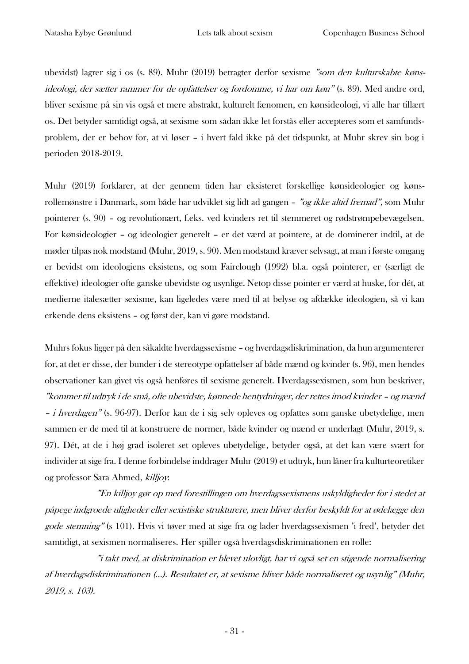ubevidst) lagrer sig i os (s. 89). Muhr (2019) betragter derfor sexisme "som den kulturskabte kønsideologi, der sætter rammer for de opfattelser og fordomme, vi har om køn" (s. 89). Med andre ord, bliver sexisme på sin vis også et mere abstrakt, kulturelt fænomen, en kønsideologi, vi alle har tillært os. Det betyder samtidigt også, at sexisme som sådan ikke let forstås eller accepteres som et samfundsproblem, der er behov for, at vi løser – i hvert fald ikke på det tidspunkt, at Muhr skrev sin bog i perioden 2018-2019.

Muhr (2019) forklarer, at der gennem tiden har eksisteret forskellige kønsideologier og kønsrollemønstre i Danmark, som både har udviklet sig lidt ad gangen - "og ikke altid fremad", som Muhr pointerer (s. 90) – og revolutionært, f.eks. ved kvinders ret til stemmeret og rødstrømpebevægelsen. For kønsideologier – og ideologier generelt – er det værd at pointere, at de dominerer indtil, at de møder tilpas nok modstand (Muhr, 2019, s. 90). Men modstand kræver selvsagt, at man i første omgang er bevidst om ideologiens eksistens, og som Fairclough (1992) bl.a. også pointerer, er (særligt de effektive) ideologier ofte ganske ubevidste og usynlige. Netop disse pointer er værd at huske, for dét, at medierne italesætter sexisme, kan ligeledes være med til at belyse og afdække ideologien, så vi kan erkende dens eksistens – og først der, kan vi gøre modstand.

Muhrs fokus ligger på den såkaldte hverdagssexisme – og hverdagsdiskrimination, da hun argumenterer for, at det er disse, der bunder i de stereotype opfattelser af både mænd og kvinder (s. 96), men hendes observationer kan givet vis også henføres til sexisme generelt. Hverdagssexismen, som hun beskriver, "kommer til udtryk i de små, ofte ubevidste, kønnede hentydninger, der rettes imod kvinder – og mænd - *i hverdagen*" (s. 96-97). Derfor kan de i sig selv opleves og opfattes som ganske ubetydelige, men sammen er de med til at konstruere de normer, både kvinder og mænd er underlagt (Muhr, 2019, s. 97). Dét, at de i høj grad isoleret set opleves ubetydelige, betyder også, at det kan være svært for individer at sige fra. I denne forbindelse inddrager Muhr (2019) et udtryk, hun låner fra kulturteoretiker og professor Sara Ahmed, killjoy:

"En killjoy gør op med forestillingen om hverdagssexismens uskyldigheder for i stedet at påpege indgroede uligheder eller sexistiske strukturere, men bliver derfor beskyldt for at ødelægge den gode stemning" (s 101). Hvis vi tøver med at sige fra og lader hverdagssexismen 'i fred', betyder det samtidigt, at sexismen normaliseres. Her spiller også hverdagsdiskriminationen en rolle:

"i takt med, at diskrimination er blevet ulovligt, har vi også set en stigende normalisering af hverdagsdiskriminationen (…). Resultatet er, at sexisme bliver både normaliseret og usynlig" (Muhr, 2019, s. 103).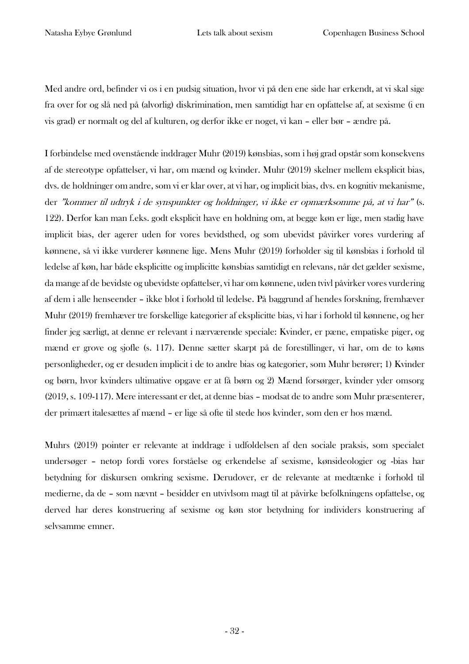Med andre ord, befinder vi os i en pudsig situation, hvor vi på den ene side har erkendt, at vi skal sige fra over for og slå ned på (alvorlig) diskrimination, men samtidigt har en opfattelse af, at sexisme (i en vis grad) er normalt og del af kulturen, og derfor ikke er noget, vi kan – eller bør – ændre på.

I forbindelse med ovenstående inddrager Muhr (2019) kønsbias, som i høj grad opstår som konsekvens af de stereotype opfattelser, vi har, om mænd og kvinder. Muhr (2019) skelner mellem eksplicit bias, dvs. de holdninger om andre, som vi er klar over, at vi har, og implicit bias, dvs. en kognitiv mekanisme, der "kommer til udtryk i de synspunkter og holdninger, vi ikke er opmærksomme på, at vi har" (s. 122). Derfor kan man f.eks. godt eksplicit have en holdning om, at begge køn er lige, men stadig have implicit bias, der agerer uden for vores bevidsthed, og som ubevidst påvirker vores vurdering af kønnene, så vi ikke vurderer kønnene lige. Mens Muhr (2019) forholder sig til kønsbias i forhold til ledelse af køn, har både eksplicitte og implicitte kønsbias samtidigt en relevans, når det gælder sexisme, da mange af de bevidste og ubevidste opfattelser, vi har om kønnene, uden tvivl påvirker vores vurdering af dem i alle henseender – ikke blot i forhold til ledelse. På baggrund af hendes forskning, fremhæver Muhr (2019) fremhæver tre forskellige kategorier af eksplicitte bias, vi har i forhold til kønnene, og her finder jeg særligt, at denne er relevant i nærværende speciale: Kvinder, er pæne, empatiske piger, og mænd er grove og sjofle (s. 117). Denne sætter skarpt på de forestillinger, vi har, om de to køns personligheder, og er desuden implicit i de to andre bias og kategorier, som Muhr berører; 1) Kvinder og børn, hvor kvinders ultimative opgave er at få børn og 2) Mænd forsørger, kvinder yder omsorg (2019, s. 109-117). Mere interessant er det, at denne bias – modsat de to andre som Muhr præsenterer, der primært italesættes af mænd – er lige så ofte til stede hos kvinder, som den er hos mænd.

Muhrs (2019) pointer er relevante at inddrage i udfoldelsen af den sociale praksis, som specialet undersøger – netop fordi vores forståelse og erkendelse af sexisme, kønsideologier og -bias har betydning for diskursen omkring sexisme. Derudover, er de relevante at medtænke i forhold til medierne, da de – som nævnt – besidder en utvivlsom magt til at påvirke befolkningens opfattelse, og derved har deres konstruering af sexisme og køn stor betydning for individers konstruering af selvsamme emner.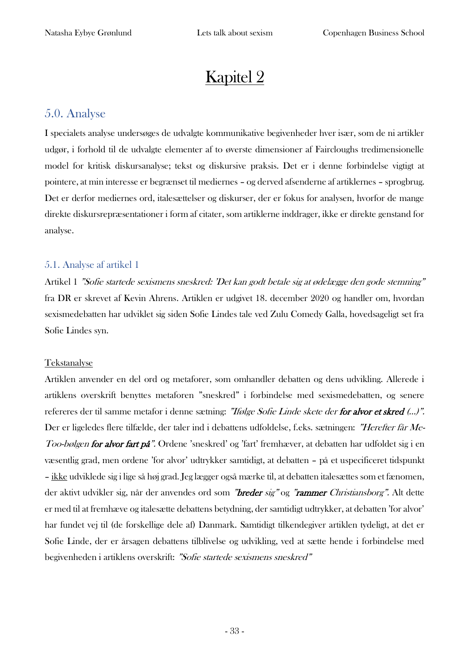# Kapitel 2

# <span id="page-33-0"></span>5.0. Analyse

I specialets analyse undersøges de udvalgte kommunikative begivenheder hver især, som de ni artikler udgør, i forhold til de udvalgte elementer af to øverste dimensioner af Faircloughs tredimensionelle model for kritisk diskursanalyse; tekst og diskursive praksis. Det er i denne forbindelse vigtigt at pointere, at min interesse er begrænset til mediernes – og derved afsenderne af artiklernes – sprogbrug. Det er derfor mediernes ord, italesættelser og diskurser, der er fokus for analysen, hvorfor de mange direkte diskursrepræsentationer i form af citater, som artiklerne inddrager, ikke er direkte genstand for analyse.

# <span id="page-33-1"></span>5.1. Analyse af artikel 1

Artikel 1 "Sofie startede sexismens sneskred: 'Det kan godt betale sig at ødelægge den gode stemning" fra DR er skrevet af Kevin Ahrens. Artiklen er udgivet 18. december 2020 og handler om, hvordan sexismedebatten har udviklet sig siden Sofie Lindes tale ved Zulu Comedy Galla, hovedsageligt set fra Sofie Lindes syn.

## Tekstanalyse

Artiklen anvender en del ord og metaforer, som omhandler debatten og dens udvikling. Allerede i artiklens overskrift benyttes metaforen "sneskred" i forbindelse med sexismedebatten, og senere refereres der til samme metafor i denne sætning: "Ifølge Sofie Linde skete der for alvor et skred (…)". Der er ligeledes flere tilfælde, der taler ind i debattens udfoldelse, f.eks. sætningen: "Herefter får Me-Too-bølgen for alvor fart på". Ordene 'sneskred' og 'fart' fremhæver, at debatten har udfoldet sig i en væsentlig grad, men ordene 'for alvor' udtrykker samtidigt, at debatten – på et uspecificeret tidspunkt – ikke udviklede sig i lige så høj grad. Jeg lægger også mærke til, at debatten italesættes som et fænomen, der aktivt udvikler sig, når der anvendes ord som "breder sig" og "rammer Christiansborg". Alt dette er med til at fremhæve og italesætte debattens betydning, der samtidigt udtrykker, at debatten 'for alvor' har fundet vej til (de forskellige dele af) Danmark. Samtidigt tilkendegiver artiklen tydeligt, at det er Sofie Linde, der er årsagen debattens tilblivelse og udvikling, ved at sætte hende i forbindelse med begivenheden i artiklens overskrift: "Sofie startede sexismens sneskred"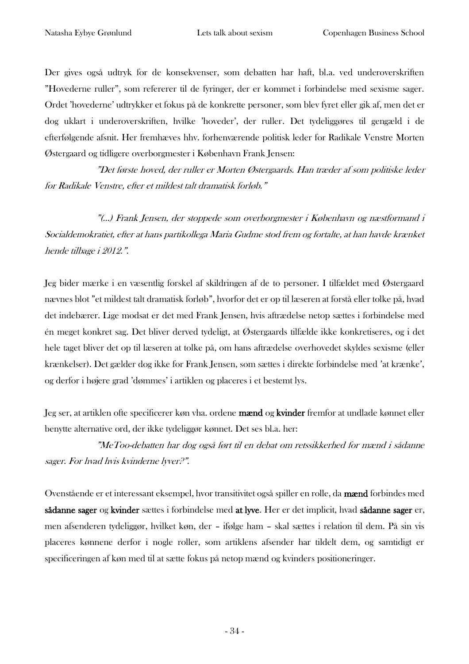Der gives også udtryk for de konsekvenser, som debatten har haft, bl.a. ved underoverskriften "Hovederne ruller", som refererer til de fyringer, der er kommet i forbindelse med sexisme sager. Ordet 'hovederne' udtrykker et fokus på de konkrette personer, som blev fyret eller gik af, men det er dog uklart i underoverskriften, hvilke 'hoveder', der ruller. Det tydeliggøres til gengæld i de efterfølgende afsnit. Her fremhæves hhv. forhenværende politisk leder for Radikale Venstre Morten Østergaard og tidligere overborgmester i København Frank Jensen:

"Det første hoved, der ruller er Morten Østergaards. Han træder af som politiske lede<sup>r</sup> for Radikale Venstre, efter et mildest talt dramatisk forløb."

"(…) Frank Jensen, der stoppede som overborgmester i København og næstformand i Socialdemokratiet, efter at hans partikollega Maria Gudme stod frem og fortalte, at han havde krænket hende tilbage i 2012.".

Jeg bider mærke i en væsentlig forskel af skildringen af de to personer. I tilfældet med Østergaard nævnes blot "et mildest talt dramatisk forløb", hvorfor det er op til læseren at forstå eller tolke på, hvad det indebærer. Lige modsat er det med Frank Jensen, hvis aftrædelse netop sættes i forbindelse med én meget konkret sag. Det bliver derved tydeligt, at Østergaards tilfælde ikke konkretiseres, og i det hele taget bliver det op til læseren at tolke på, om hans aftrædelse overhovedet skyldes sexisme (eller krænkelser). Det gælder dog ikke for Frank Jensen, som sættes i direkte forbindelse med 'at krænke', og derfor i højere grad 'dømmes' i artiklen og placeres i et bestemt lys.

Jeg ser, at artiklen ofte specificerer køn vha. ordene mænd og kvinder fremfor at undlade kønnet eller benytte alternative ord, der ikke tydeliggør kønnet. Det ses bl.a. her:

"MeToo-debatten har dog også ført til en debat om retssikkerhed for mænd i sådanne sager. For hvad hvis kvinderne lyver?".

Ovenstående er et interessant eksempel, hvor transitivitet også spiller en rolle, da mænd forbindes med sådanne sager og kvinder sættes i forbindelse med at lyve. Her er det implicit, hvad sådanne sager er, men afsenderen tydeliggør, hvilket køn, der – ifølge ham – skal sættes i relation til dem. På sin vis placeres kønnene derfor i nogle roller, som artiklens afsender har tildelt dem, og samtidigt er specificeringen af køn med til at sætte fokus på netop mænd og kvinders positioneringer.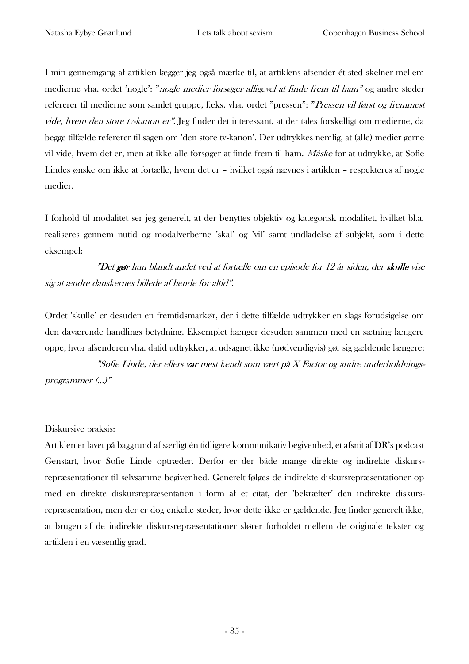I min gennemgang af artiklen lægger jeg også mærke til, at artiklens afsender ét sted skelner mellem medierne vha. ordet 'nogle': "nogle medier forsøger alligevel at finde frem til ham" og andre steder refererer til medierne som samlet gruppe, f.eks. vha. ordet "pressen": "Pressen vil først og fremmest vide, hvem den store tv-kanon er". Jeg finder det interessant, at der tales forskelligt om medierne, da begge tilfælde refererer til sagen om 'den store tv-kanon'. Der udtrykkes nemlig, at (alle) medier gerne vil vide, hvem det er, men at ikke alle forsøger at finde frem til ham. Måske for at udtrykke, at Sofie Lindes ønske om ikke at fortælle, hvem det er – hvilket også nævnes i artiklen – respekteres af nogle medier.

I forhold til modalitet ser jeg generelt, at der benyttes objektiv og kategorisk modalitet, hvilket bl.a. realiseres gennem nutid og modalverberne 'skal' og 'vil' samt undladelse af subjekt, som i dette eksempel:

"Det gør hun blandt andet ved at fortælle om en episode for 12 år siden, der skulle vise sig at ændre danskernes billede af hende for altid".

Ordet 'skulle' er desuden en fremtidsmarkør, der i dette tilfælde udtrykker en slags forudsigelse om den daværende handlings betydning. Eksemplet hænger desuden sammen med en sætning længere oppe, hvor afsenderen vha. datid udtrykker, at udsagnet ikke (nødvendigvis) gør sig gældende længere:

"Sofie Linde, der ellers var mest kendt som vært på X Factor og andre underholdningsprogrammer (…)"

## Diskursive praksis:

Artiklen er lavet på baggrund af særligt én tidligere kommunikativ begivenhed, et afsnit af DR's podcast Genstart, hvor Sofie Linde optræder. Derfor er der både mange direkte og indirekte diskursrepræsentationer til selvsamme begivenhed. Generelt følges de indirekte diskursrepræsentationer op med en direkte diskursrepræsentation i form af et citat, der 'bekræfter' den indirekte diskursrepræsentation, men der er dog enkelte steder, hvor dette ikke er gældende. Jeg finder generelt ikke, at brugen af de indirekte diskursrepræsentationer slører forholdet mellem de originale tekster og artiklen i en væsentlig grad.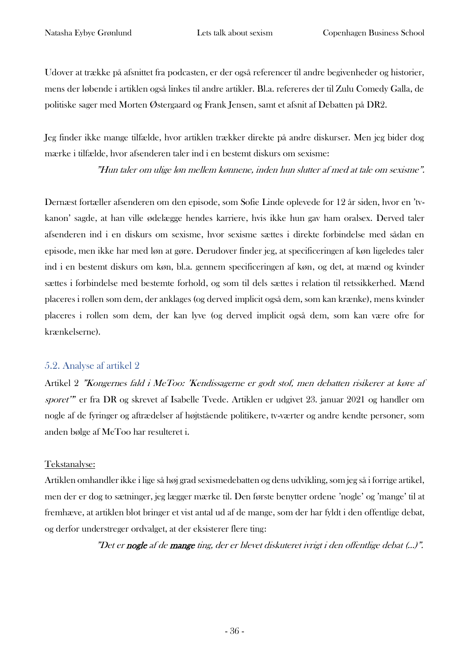Udover at trække på afsnittet fra podcasten, er der også referencer til andre begivenheder og historier, mens der løbende i artiklen også linkes til andre artikler. Bl.a. refereres der til Zulu Comedy Galla, de politiske sager med Morten Østergaard og Frank Jensen, samt et afsnit af Debatten på DR2.

Jeg finder ikke mange tilfælde, hvor artiklen trækker direkte på andre diskurser. Men jeg bider dog mærke i tilfælde, hvor afsenderen taler ind i en bestemt diskurs om sexisme:

"Hun taler om ulige løn mellem kønnene, inden hun slutter af med at tale om sexisme".

Dernæst fortæller afsenderen om den episode, som Sofie Linde oplevede for 12 år siden, hvor en 'tvkanon' sagde, at han ville ødelægge hendes karriere, hvis ikke hun gav ham oralsex. Derved taler afsenderen ind i en diskurs om sexisme, hvor sexisme sættes i direkte forbindelse med sådan en episode, men ikke har med løn at gøre. Derudover finder jeg, at specificeringen af køn ligeledes taler ind i en bestemt diskurs om køn, bl.a. gennem specificeringen af køn, og det, at mænd og kvinder sættes i forbindelse med bestemte forhold, og som til dels sættes i relation til retssikkerhed. Mænd placeres i rollen som dem, der anklages (og derved implicit også dem, som kan krænke), mens kvinder placeres i rollen som dem, der kan lyve (og derved implicit også dem, som kan være ofre for krænkelserne).

#### 5.2. Analyse af artikel 2

Artikel 2 "Kongernes fald i MeToo: 'Kendissagerne er godt stof, men debatten risikerer at køre af sporet'" er fra DR og skrevet af Isabelle Tvede. Artiklen er udgivet 23. januar 2021 og handler om nogle af de fyringer og aftrædelser af højtstående politikere, tv-værter og andre kendte personer, som anden bølge af MeToo har resulteret i.

#### Tekstanalyse:

Artiklen omhandler ikke i lige så høj grad sexismedebatten og dens udvikling, som jeg så i forrige artikel, men der er dog to sætninger, jeg lægger mærke til. Den første benytter ordene 'nogle' og 'mange' til at fremhæve, at artiklen blot bringer et vist antal ud af de mange, som der har fyldt i den offentlige debat, og derfor understreger ordvalget, at der eksisterer flere ting:

"Det er nogle af de mange ting, der er blevet diskuteret ivrigt i den offentlige debat (…)".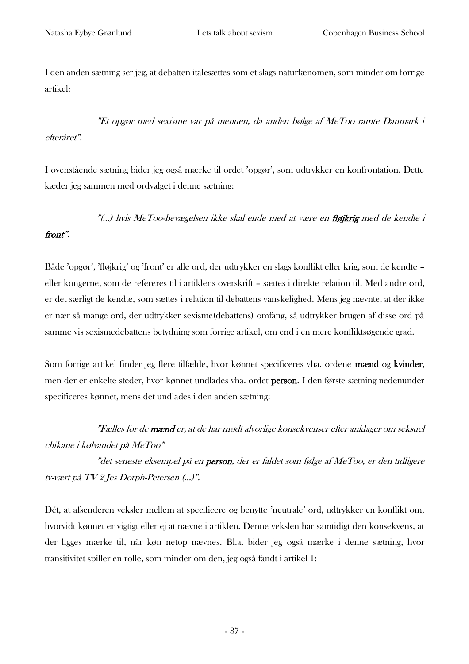I den anden sætning ser jeg, at debatten italesættes som et slags naturfænomen, som minder om forrige artikel:

"Et opgør med sexisme var på menuen, da anden bølge af MeToo ramte Danmark i efteråret".

I ovenstående sætning bider jeg også mærke til ordet 'opgør', som udtrykker en konfrontation. Dette kæder jeg sammen med ordvalget i denne sætning:

"(…) hvis MeToo-bevægelsen ikke skal ende med at være en fløjkrig med de kendte i

#### front".

Både 'opgør', 'fløjkrig' og 'front' er alle ord, der udtrykker en slags konflikt eller krig, som de kendte – eller kongerne, som de refereres til i artiklens overskrift – sættes i direkte relation til. Med andre ord, er det særligt de kendte, som sættes i relation til debattens vanskelighed. Mens jeg nævnte, at der ikke er nær så mange ord, der udtrykker sexisme(debattens) omfang, så udtrykker brugen af disse ord på samme vis sexismedebattens betydning som forrige artikel, om end i en mere konfliktsøgende grad.

Som forrige artikel finder jeg flere tilfælde, hvor kønnet specificeres vha. ordene mænd og kvinder, men der er enkelte steder, hvor kønnet undlades vha. ordet person. I den første sætning nedenunder specificeres kønnet, mens det undlades i den anden sætning:

"Fælles for de mænd er, at de har mødt alvorlige konsekvenser efter anklager om seksuel chikane i kølvandet på MeToo"

"det seneste eksempel på en **person**, der er faldet som følge af MeToo, er den tidligere tv-vært på TV 2 Jes Dorph-Petersen (…)".

Dét, at afsenderen veksler mellem at specificere og benytte 'neutrale' ord, udtrykker en konflikt om, hvorvidt kønnet er vigtigt eller ej at nævne i artiklen. Denne vekslen har samtidigt den konsekvens, at der ligges mærke til, når køn netop nævnes. Bl.a. bider jeg også mærke i denne sætning, hvor transitivitet spiller en rolle, som minder om den, jeg også fandt i artikel 1: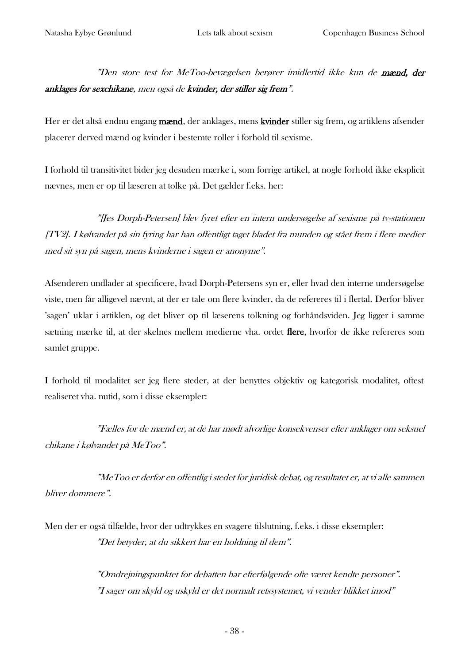"Den store test for MeToo-bevægelsen berører imidlertid ikke kun de mænd, der anklages for sexchikane, men også de kvinder, der stiller sig frem".

Her er det altså endnu engang mænd, der anklages, mens kvinder stiller sig frem, og artiklens afsender placerer derved mænd og kvinder i bestemte roller i forhold til sexisme.

I forhold til transitivitet bider jeg desuden mærke i, som forrige artikel, at nogle forhold ikke eksplicit nævnes, men er op til læseren at tolke på. Det gælder f.eks. her:

"[Jes Dorph-Petersen] blev fyret efter en intern undersøgelse af sexisme på tv-stationen [TV2]. I kølvandet på sin fyring har han offentligt taget bladet fra munden og stået frem i flere medier med sit syn på sagen, mens kvinderne i sagen er anonyme".

Afsenderen undlader at specificere, hvad Dorph-Petersens syn er, eller hvad den interne undersøgelse viste, men får alligevel nævnt, at der er tale om flere kvinder, da de refereres til i flertal. Derfor bliver 'sagen' uklar i artiklen, og det bliver op til læserens tolkning og forhåndsviden. Jeg ligger i samme sætning mærke til, at der skelnes mellem medierne vha. ordet flere, hvorfor de ikke refereres som samlet gruppe.

I forhold til modalitet ser jeg flere steder, at der benyttes objektiv og kategorisk modalitet, oftest realiseret vha. nutid, som i disse eksempler:

"Fælles for de mænd er, at de har mødt alvorlige konsekvenser efter anklager om seksuel chikane i kølvandet på MeToo".

"MeToo er derfor en offentlig i stedet for juridisk debat, og resultatet er, at vi alle sammen bliver dommere".

Men der er også tilfælde, hvor der udtrykkes en svagere tilslutning, f.eks. i disse eksempler: "Det betyder, at du sikkert har en holdning til dem".

> "Omdrejningspunktet for debatten har efterfølgende ofte været kendte personer". "I sager om skyld og uskyld er det normalt retssystemet, vi vender blikket imod"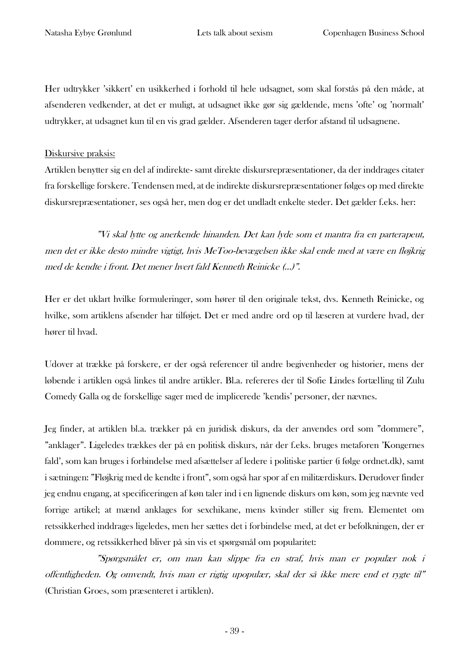Her udtrykker 'sikkert' en usikkerhed i forhold til hele udsagnet, som skal forstås på den måde, at afsenderen vedkender, at det er muligt, at udsagnet ikke gør sig gældende, mens 'ofte' og 'normalt' udtrykker, at udsagnet kun til en vis grad gælder. Afsenderen tager derfor afstand til udsagnene.

#### Diskursive praksis:

Artiklen benytter sig en del af indirekte- samt direkte diskursrepræsentationer, da der inddrages citater fra forskellige forskere. Tendensen med, at de indirekte diskursrepræsentationer følges op med direkte diskursrepræsentationer, ses også her, men dog er det undladt enkelte steder. Det gælder f.eks. her:

"Vi skal lytte og anerkende hinanden. Det kan lyde som et mantra fra en parterapeut, men det er ikke desto mindre vigtigt, hvis MeToo-bevægelsen ikke skal ende med at være en fløjkrig med de kendte i front. Det mener hvert fald Kenneth Reinicke (…)".

Her er det uklart hvilke formuleringer, som hører til den originale tekst, dvs. Kenneth Reinicke, og hvilke, som artiklens afsender har tilføjet. Det er med andre ord op til læseren at vurdere hvad, der hører til hvad.

Udover at trække på forskere, er der også referencer til andre begivenheder og historier, mens der løbende i artiklen også linkes til andre artikler. Bl.a. refereres der til Sofie Lindes fortælling til Zulu Comedy Galla og de forskellige sager med de implicerede 'kendis' personer, der nævnes.

Jeg finder, at artiklen bl.a. trækker på en juridisk diskurs, da der anvendes ord som "dommere", "anklager". Ligeledes trækkes der på en politisk diskurs, når der f.eks. bruges metaforen 'Kongernes fald', som kan bruges i forbindelse med afsættelser af ledere i politiske partier (i følge ordnet.dk), samt i sætningen: "Fløjkrig med de kendte i front", som også har spor af en militærdiskurs. Derudover finder jeg endnu engang, at specificeringen af køn taler ind i en lignende diskurs om køn, som jeg nævnte ved forrige artikel; at mænd anklages for sexchikane, mens kvinder stiller sig frem. Elementet om retssikkerhed inddrages ligeledes, men her sættes det i forbindelse med, at det er befolkningen, der er dommere, og retssikkerhed bliver på sin vis et spørgsmål om popularitet:

"Spørgsmålet er, om man kan slippe fra en straf, hvis man er populær nok i offentligheden. Og omvendt, hvis man er rigtig upopulær, skal der så ikke mere end et rygte til" (Christian Groes, som præsenteret i artiklen).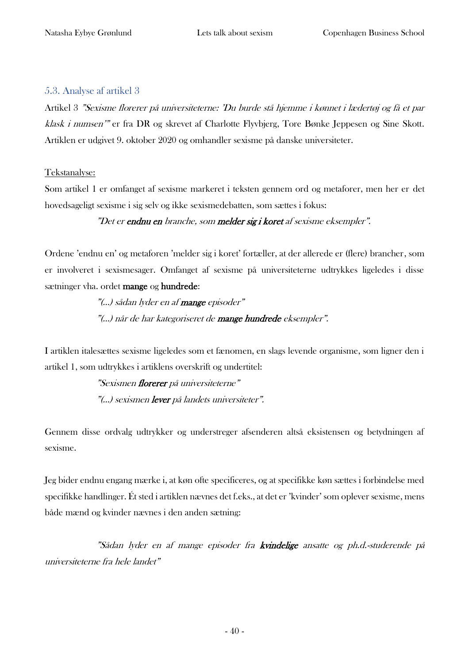#### 5.3. Analyse af artikel 3

Artikel 3 "Sexisme florerer på universiteterne: 'Du burde stå hjemme i kønnet i lædertøj og få et par klask i numsen'" er fra DR og skrevet af Charlotte Flyvbjerg, Tore Bønke Jeppesen og Sine Skott. Artiklen er udgivet 9. oktober 2020 og omhandler sexisme på danske universiteter.

#### Tekstanalyse:

Som artikel 1 er omfanget af sexisme markeret i teksten gennem ord og metaforer, men her er det hovedsageligt sexisme i sig selv og ikke sexismedebatten, som sættes i fokus:

"Det er endnu en branche, som melder sig i koret af sexisme eksempler".

Ordene 'endnu en' og metaforen 'melder sig i koret' fortæller, at der allerede er (flere) brancher, som er involveret i sexismesager. Omfanget af sexisme på universiteterne udtrykkes ligeledes i disse sætninger vha. ordet mange og hundrede:

> "(...) sådan lyder en af **mange** episoder" "(...) når de har kategoriseret de mange hundrede eksempler".

I artiklen italesættes sexisme ligeledes som et fænomen, en slags levende organisme, som ligner den i artikel 1, som udtrykkes i artiklens overskrift og undertitel:

> "Sexismen florerer på universiteterne" "(...) sexismen lever på landets universiteter".

Gennem disse ordvalg udtrykker og understreger afsenderen altså eksistensen og betydningen af sexisme.

Jeg bider endnu engang mærke i, at køn ofte specificeres, og at specifikke køn sættes i forbindelse med specifikke handlinger. Ét sted i artiklen nævnes det f.eks., at det er 'kvinder' som oplever sexisme, mens både mænd og kvinder nævnes i den anden sætning:

"Sådan lyder en af mange episoder fra kvindelige ansatte og ph.d.-studerende på universiteterne fra hele landet"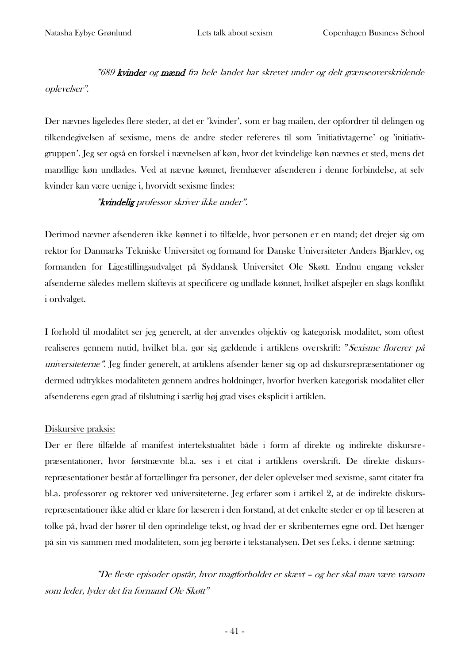"689 kvinder og mænd fra hele landet har skrevet under og delt grænseoverskridende oplevelser".

Der nævnes ligeledes flere steder, at det er 'kvinder', som er bag mailen, der opfordrer til delingen og tilkendegivelsen af sexisme, mens de andre steder refereres til som 'initiativtagerne' og 'initiativgruppen'. Jeg ser også en forskel i nævnelsen af køn, hvor det kvindelige køn nævnes et sted, mens det mandlige køn undlades. Ved at nævne kønnet, fremhæver afsenderen i denne forbindelse, at selv kvinder kan være uenige i, hvorvidt sexisme findes:

"kvindelig professor skriver ikke under".

Derimod nævner afsenderen ikke kønnet i to tilfælde, hvor personen er en mand; det drejer sig om rektor for Danmarks Tekniske Universitet og formand for Danske Universiteter Anders Bjarklev, og formanden for Ligestillingsudvalget på Syddansk Universitet Ole Skøtt. Endnu engang veksler afsenderne således mellem skiftevis at specificere og undlade kønnet, hvilket afspejler en slags konflikt i ordvalget.

I forhold til modalitet ser jeg generelt, at der anvendes objektiv og kategorisk modalitet, som oftest realiseres gennem nutid, hvilket bl.a. gør sig gældende i artiklens overskrift: "Sexisme florerer på universiteterne". Jeg finder generelt, at artiklens afsender læner sig op ad diskursrepræsentationer og dermed udtrykkes modaliteten gennem andres holdninger, hvorfor hverken kategorisk modalitet eller afsenderens egen grad af tilslutning i særlig høj grad vises eksplicit i artiklen.

#### Diskursive praksis:

Der er flere tilfælde af manifest intertekstualitet både i form af direkte og indirekte diskursrepræsentationer, hvor førstnævnte bl.a. ses i et citat i artiklens overskrift. De direkte diskursrepræsentationer består af fortællinger fra personer, der deler oplevelser med sexisme, samt citater fra bl.a. professorer og rektorer ved universiteterne. Jeg erfarer som i artikel 2, at de indirekte diskursrepræsentationer ikke altid er klare for læseren i den forstand, at det enkelte steder er op til læseren at tolke på, hvad der hører til den oprindelige tekst, og hvad der er skribenternes egne ord. Det hænger på sin vis sammen med modaliteten, som jeg berørte i tekstanalysen. Det ses f.eks. i denne sætning:

"De fleste episoder opstår, hvor magtforholdet er skævt – og her skal man være varsom som leder, lyder det fra formand Ole Skøtt"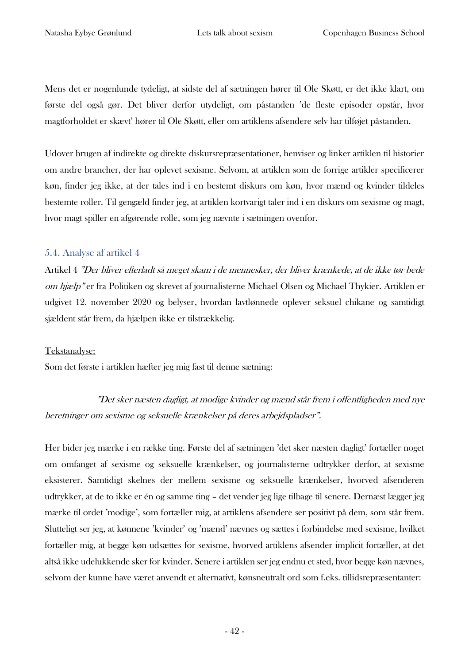Mens det er nogenlunde tydeligt, at sidste del af sætningen hører til Ole Skøtt, er det ikke klart, om første del også gør. Det bliver derfor utydeligt, om påstanden 'de fleste episoder opstår, hvor magtforholdet er skævt' hører til Ole Skøtt, eller om artiklens afsendere selv har tilføjet påstanden.

Udover brugen af indirekte og direkte diskursrepræsentationer, henviser og linker artiklen til historier om andre brancher, der har oplevet sexisme. Selvom, at artiklen som de forrige artikler specificerer køn, finder jeg ikke, at der tales ind i en bestemt diskurs om køn, hvor mænd og kvinder tildeles bestemte roller. Til gengæld finder jeg, at artiklen kortvarigt taler ind i en diskurs om sexisme og magt, hvor magt spiller en afgørende rolle, som jeg nævnte i sætningen ovenfor.

#### 5.4. Analyse af artikel 4

Artikel 4 "Der bliver efterladt så meget skam i de mennesker, der bliver krænkede, at de ikke tør bede om hjælp" er fra Politiken og skrevet af journalisterne Michael Olsen og Michael Thykier. Artiklen er udgivet 12. november 2020 og belyser, hvordan lavtlønnede oplever seksuel chikane og samtidigt sjældent står frem, da hjælpen ikke er tilstrækkelig.

#### Tekstanalyse:

Som det første i artiklen hæfter jeg mig fast til denne sætning:

"Det sker næsten dagligt, at modige kvinder og mænd står frem i offentligheden med nye beretninger om sexisme og seksuelle krænkelser på deres arbejdspladser".

Her bider jeg mærke i en række ting. Første del af sætningen 'det sker næsten dagligt' fortæller noget om omfanget af sexisme og seksuelle krænkelser, og journalisterne udtrykker derfor, at sexisme eksisterer. Samtidigt skelnes der mellem sexisme og seksuelle krænkelser, hvorved afsenderen udtrykker, at de to ikke er én og samme ting – det vender jeg lige tilbage til senere. Dernæst lægger jeg mærke til ordet 'modige', som fortæller mig, at artiklens afsendere ser positivt på dem, som står frem. Slutteligt ser jeg, at kønnene 'kvinder' og 'mænd' nævnes og sættes i forbindelse med sexisme, hvilket fortæller mig, at begge køn udsættes for sexisme, hvorved artiklens afsender implicit fortæller, at det altså ikke udelukkende sker for kvinder. Senere i artiklen ser jeg endnu et sted, hvor begge køn nævnes, selvom der kunne have været anvendt et alternativt, kønsneutralt ord som f.eks. tillidsrepræsentanter: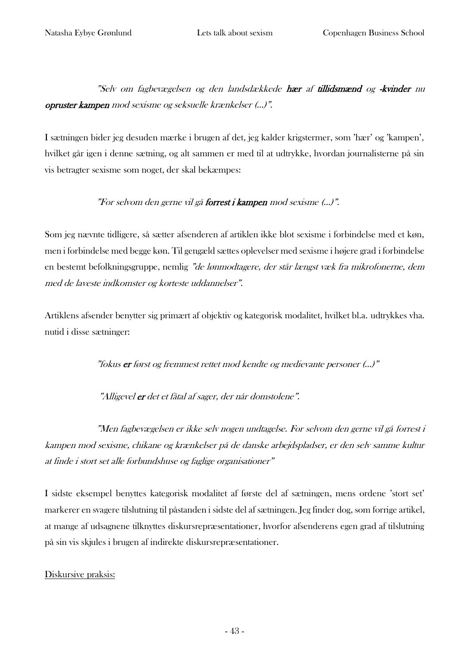"Selv om fagbevægelsen og den landsdækkede hær af tillidsmænd og -kvinder nu opruster kampen mod sexisme og seksuelle krænkelser (…)".

I sætningen bider jeg desuden mærke i brugen af det, jeg kalder krigstermer, som 'hær' og 'kampen', hvilket går igen i denne sætning, og alt sammen er med til at udtrykke, hvordan journalisterne på sin vis betragter sexisme som noget, der skal bekæmpes:

#### "For selvom den gerne vil gå forrest i kampen mod sexisme (...)".

Som jeg nævnte tidligere, så sætter afsenderen af artiklen ikke blot sexisme i forbindelse med et køn, men i forbindelse med begge køn. Til gengæld sættes oplevelser med sexisme i højere grad i forbindelse en bestemt befolkningsgruppe, nemlig "de lønmodtagere, der står længst væk fra mikrofonerne, dem med de laveste indkomster og korteste uddannelser".

Artiklens afsender benytter sig primært af objektiv og kategorisk modalitet, hvilket bl.a. udtrykkes vha. nutid i disse sætninger:

"fokus er først og fremmest rettet mod kendte og medievante personer (…)"

"Alligevel er det et fåtal af sager, der når domstolene".

"Men fagbevægelsen er ikke selv nogen undtagelse. For selvom den gerne vil gå forrest i kampen mod sexisme, chikane og krænkelser på de danske arbejdspladser, er den selv samme kultur at finde i stort set alle forbundshuse og faglige organisationer"

I sidste eksempel benyttes kategorisk modalitet af første del af sætningen, mens ordene 'stort set' markerer en svagere tilslutning til påstanden i sidste del af sætningen. Jeg finder dog, som forrige artikel, at mange af udsagnene tilknyttes diskursrepræsentationer, hvorfor afsenderens egen grad af tilslutning på sin vis skjules i brugen af indirekte diskursrepræsentationer.

#### Diskursive praksis: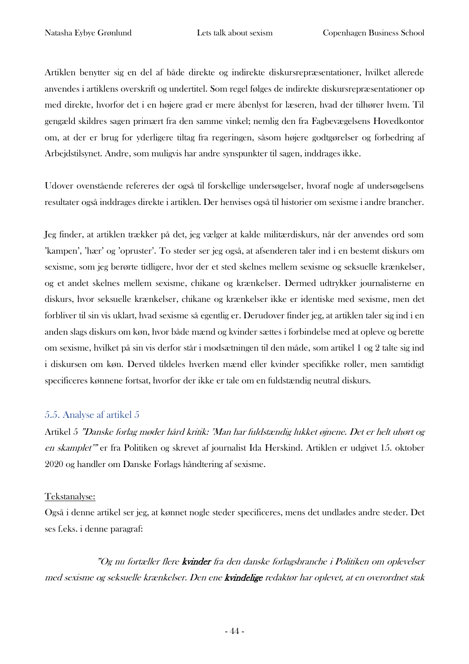Artiklen benytter sig en del af både direkte og indirekte diskursrepræsentationer, hvilket allerede anvendes i artiklens overskrift og undertitel. Som regel følges de indirekte diskursrepræsentationer op med direkte, hvorfor det i en højere grad er mere åbenlyst for læseren, hvad der tilhører hvem. Til gengæld skildres sagen primært fra den samme vinkel; nemlig den fra Fagbevægelsens Hovedkontor om, at der er brug for yderligere tiltag fra regeringen, såsom højere godtgørelser og forbedring af Arbejdstilsynet. Andre, som muligvis har andre synspunkter til sagen, inddrages ikke.

Udover ovenstående refereres der også til forskellige undersøgelser, hvoraf nogle af undersøgelsens resultater også inddrages direkte i artiklen. Der henvises også til historier om sexisme i andre brancher.

Jeg finder, at artiklen trækker på det, jeg vælger at kalde militærdiskurs, når der anvendes ord som 'kampen', 'hær' og 'opruster'. To steder ser jeg også, at afsenderen taler ind i en bestemt diskurs om sexisme, som jeg berørte tidligere, hvor der et sted skelnes mellem sexisme og seksuelle krænkelser, og et andet skelnes mellem sexisme, chikane og krænkelser. Dermed udtrykker journalisterne en diskurs, hvor seksuelle krænkelser, chikane og krænkelser ikke er identiske med sexisme, men det forbliver til sin vis uklart, hvad sexisme så egentlig er. Derudover finder jeg, at artiklen taler sig ind i en anden slags diskurs om køn, hvor både mænd og kvinder sættes i forbindelse med at opleve og berette om sexisme, hvilket på sin vis derfor står i modsætningen til den måde, som artikel 1 og 2 talte sig ind i diskursen om køn. Derved tildeles hverken mænd eller kvinder specifikke roller, men samtidigt specificeres kønnene fortsat, hvorfor der ikke er tale om en fuldstændig neutral diskurs.

#### 5.5. Analyse af artikel 5

Artikel 5 "Danske forlag møder hård kritik: 'Man har fuldstændig lukket øjnene. Det er helt uhørt og en skamplet'" er fra Politiken og skrevet af journalist Ida Herskind. Artiklen er udgivet 15. oktober 2020 og handler om Danske Forlags håndtering af sexisme.

#### Tekstanalyse:

Også i denne artikel ser jeg, at kønnet nogle steder specificeres, mens det undlades andre steder. Det ses f.eks. i denne paragraf:

"Og nu fortæller flere **kvinder** fra den danske forlagsbranche i Politiken om oplevelser med sexisme og seksuelle krænkelser. Den ene kvindelige redaktør har oplevet, at en overordnet stak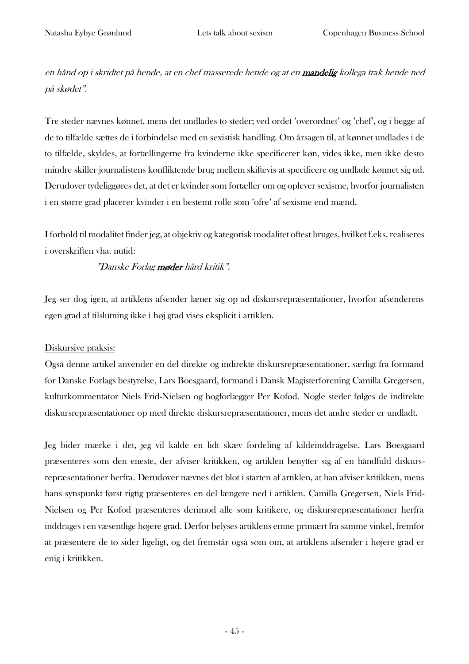en hånd op i skridtet på hende, at en chef masserede hende og at en mandelig kollega trak hende ned på skødet".

Tre steder nævnes kønnet, mens det undlades to steder; ved ordet 'overordnet' og 'chef', og i begge af de to tilfælde sættes de i forbindelse med en sexistisk handling. Om årsagen til, at kønnet undlades i de to tilfælde, skyldes, at fortællingerne fra kvinderne ikke specificerer køn, vides ikke, men ikke desto mindre skiller journalistens konfliktende brug mellem skiftevis at specificere og undlade kønnet sig ud. Derudover tydeliggøres det, at det er kvinder som fortæller om og oplever sexisme, hvorfor journalisten i en større grad placerer kvinder i en bestemt rolle som 'ofre' af sexisme end mænd.

I forhold til modalitet finder jeg, at objektiv og kategorisk modalitet oftest bruges, hvilket f.eks. realiseres i overskriften vha. nutid:

#### "Danske Forlag møder hård kritik".

Jeg ser dog igen, at artiklens afsender læner sig op ad diskursrepræsentationer, hvorfor afsenderens egen grad af tilslutning ikke i høj grad vises eksplicit i artiklen.

#### Diskursive praksis:

Også denne artikel anvender en del direkte og indirekte diskursrepræsentationer, særligt fra formand for Danske Forlags bestyrelse, Lars Boesgaard, formand i Dansk Magisterforening Camilla Gregersen, kulturkommentator Niels Frid-Nielsen og bogforlægger Per Kofod. Nogle steder følges de indirekte diskursrepræsentationer op med direkte diskursrepræsentationer, mens det andre steder er undladt.

Jeg bider mærke i det, jeg vil kalde en lidt skæv fordeling af kildeinddragelse. Lars Boesgaard præsenteres som den eneste, der afviser kritikken, og artiklen benytter sig af en håndfuld diskursrepræsentationer herfra. Derudover nævnes det blot i starten af artiklen, at han afviser kritikken, mens hans synspunkt først rigtig præsenteres en del længere ned i artiklen. Camilla Gregersen, Niels Frid-Nielsen og Per Kofod præsenteres derimod alle som kritikere, og diskursrepræsentationer herfra inddrages i en væsentlige højere grad. Derfor belyses artiklens emne primært fra samme vinkel, fremfor at præsentere de to sider ligeligt, og det fremstår også som om, at artiklens afsender i højere grad er enig i kritikken.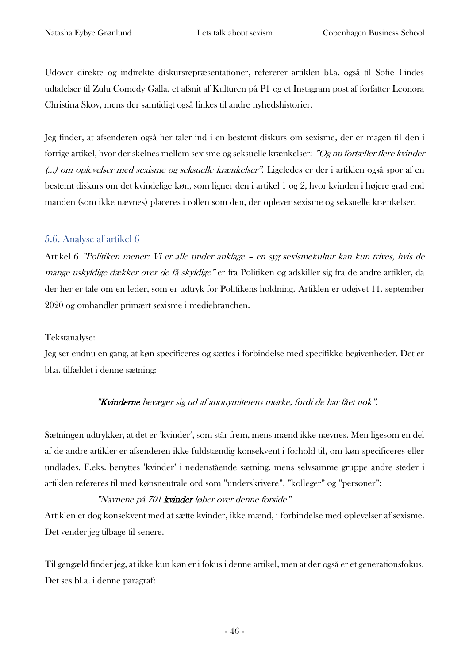Udover direkte og indirekte diskursrepræsentationer, refererer artiklen bl.a. også til Sofie Lindes udtalelser til Zulu Comedy Galla, et afsnit af Kulturen på P1 og et Instagram post af forfatter Leonora Christina Skov, mens der samtidigt også linkes til andre nyhedshistorier.

Jeg finder, at afsenderen også her taler ind i en bestemt diskurs om sexisme, der er magen til den i forrige artikel, hvor der skelnes mellem sexisme og seksuelle krænkelser: "Og nu fortæller flere kvinder (…) om oplevelser med sexisme og seksuelle krænkelser". Ligeledes er der i artiklen også spor af en bestemt diskurs om det kvindelige køn, som ligner den i artikel 1 og 2, hvor kvinden i højere grad end manden (som ikke nævnes) placeres i rollen som den, der oplever sexisme og seksuelle krænkelser.

#### 5.6. Analyse af artikel 6

Artikel 6 "Politiken mener: Vi er alle under anklage – en syg sexismekultur kan kun trives, hvis de mange uskyldige dækker over de få skyldige" er fra Politiken og adskiller sig fra de andre artikler, da der her er tale om en leder, som er udtryk for Politikens holdning. Artiklen er udgivet 11. september 2020 og omhandler primært sexisme i mediebranchen.

#### Tekstanalyse:

Jeg ser endnu en gang, at køn specificeres og sættes i forbindelse med specifikke begivenheder. Det er bl.a. tilfældet i denne sætning:

#### "Kvinderne bevæger sig ud af anonymitetens mørke, fordi de har fået nok".

Sætningen udtrykker, at det er 'kvinder', som står frem, mens mænd ikke nævnes. Men ligesom en del af de andre artikler er afsenderen ikke fuldstændig konsekvent i forhold til, om køn specificeres eller undlades. F.eks. benyttes 'kvinder' i nedenstående sætning, mens selvsamme gruppe andre steder i artiklen refereres til med kønsneutrale ord som "underskrivere", "kolleger" og "personer":

#### "Navnene på 701 kvinder løber over denne forside"

Artiklen er dog konsekvent med at sætte kvinder, ikke mænd, i forbindelse med oplevelser af sexisme. Det vender jeg tilbage til senere.

Til gengæld finder jeg, at ikke kun køn er i fokus i denne artikel, men at der også er et generationsfokus. Det ses bl.a. i denne paragraf: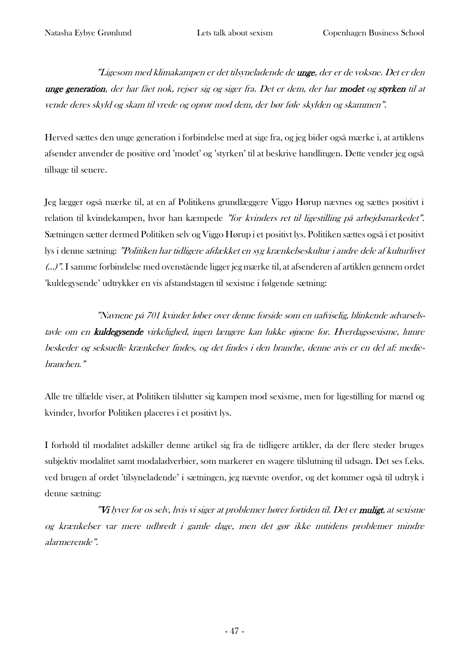"Ligesom med klimakampen er det tilsyneladende de unge, der er de voksne. Det er den unge generation, der har fået nok, rejser sig og siger fra. Det er dem, der har modet og styrken til at vende deres skyld og skam til vrede og oprør mod dem, der bør føle skylden og skammen".

Herved sættes den unge generation i forbindelse med at sige fra, og jeg bider også mærke i, at artiklens afsender anvender de positive ord 'modet' og 'styrken' til at beskrive handlingen. Dette vender jeg også tilbage til senere.

Jeg lægger også mærke til, at en af Politikens grundlæggere Viggo Hørup nævnes og sættes positivt i relation til kvindekampen, hvor han kæmpede "for kvinders ret til ligestilling på arbejdsmarkedet". Sætningen sætter dermed Politiken selv og Viggo Hørup i et positivt lys. Politiken sættes også i et positivt lys i denne sætning: "Politiken har tidligere afdækket en syg krænkelseskultur i andre dele af kulturlivet (…)". I samme forbindelse med ovenstående ligger jeg mærke til, at afsenderen af artiklen gennem ordet 'kuldegysende' udtrykker en vis afstandstagen til sexisme i følgende sætning:

"Navnene på 701 kvinder løber over denne forside som en uafviselig, blinkende advarselstavle om en kuldegysende virkelighed, ingen længere kan lukke øjnene for. Hverdagssexisme, lumre beskeder og seksuelle krænkelser findes, og det findes i den branche, denne avis er en del af: mediebranchen."

Alle tre tilfælde viser, at Politiken tilslutter sig kampen mod sexisme, men for ligestilling for mænd og kvinder, hvorfor Politiken placeres i et positivt lys.

I forhold til modalitet adskiller denne artikel sig fra de tidligere artikler, da der flere steder bruges subjektiv modalitet samt modaladverbier, som markerer en svagere tilslutning til udsagn. Det ses f.eks. ved brugen af ordet 'tilsyneladende' i sætningen, jeg nævnte ovenfor, og det kommer også til udtryk i denne sætning:

"Vi lyver for os selv, hvis vi siger at problemer hører fortiden til. Det er muligt, at sexisme og krænkelser var mere udbredt i gamle dage, men det gør ikke nutidens problemer mindre alarmerende".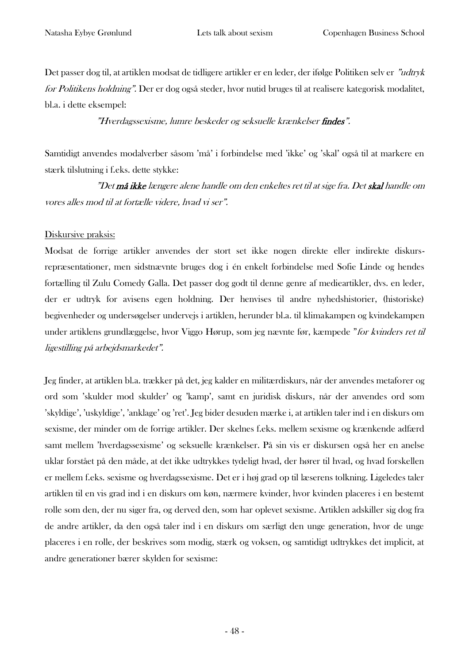Det passer dog til, at artiklen modsat de tidligere artikler er en leder, der ifølge Politiken selv er "udtryk for Politikens holdning". Der er dog også steder, hvor nutid bruges til at realisere kategorisk modalitet, bl.a. i dette eksempel:

"Hverdagssexisme, lumre beskeder og seksuelle krænkelser findes".

Samtidigt anvendes modalverber såsom 'må' i forbindelse med 'ikke' og 'skal' også til at markere en stærk tilslutning i f.eks. dette stykke:

"Det **må ikke** længere alene handle om den enkeltes ret til at sige fra. Det **skal** handle om vores alles mod til at fortælle videre, hvad vi ser".

#### Diskursive praksis:

Modsat de forrige artikler anvendes der stort set ikke nogen direkte eller indirekte diskursrepræsentationer, men sidstnævnte bruges dog i én enkelt forbindelse med Sofie Linde og hendes fortælling til Zulu Comedy Galla. Det passer dog godt til denne genre af medieartikler, dvs. en leder, der er udtryk for avisens egen holdning. Der henvises til andre nyhedshistorier, (historiske) begivenheder og undersøgelser undervejs i artiklen, herunder bl.a. til klimakampen og kvindekampen under artiklens grundlæggelse, hvor Viggo Hørup, som jeg nævnte før, kæmpede "for kvinders ret til ligestilling på arbejdsmarkedet".

Jeg finder, at artiklen bl.a. trækker på det, jeg kalder en militærdiskurs, når der anvendes metaforer og ord som 'skulder mod skulder' og 'kamp', samt en juridisk diskurs, når der anvendes ord som 'skyldige', 'uskyldige', 'anklage' og 'ret'. Jeg bider desuden mærke i, at artiklen taler ind i en diskurs om sexisme, der minder om de forrige artikler. Der skelnes f.eks. mellem sexisme og krænkende adfærd samt mellem 'hverdagssexisme' og seksuelle krænkelser. På sin vis er diskursen også her en anelse uklar forstået på den måde, at det ikke udtrykkes tydeligt hvad, der hører til hvad, og hvad forskellen er mellem f.eks. sexisme og hverdagssexisme. Det er i høj grad op til læserens tolkning. Ligeledes taler artiklen til en vis grad ind i en diskurs om køn, nærmere kvinder, hvor kvinden placeres i en bestemt rolle som den, der nu siger fra, og derved den, som har oplevet sexisme. Artiklen adskiller sig dog fra de andre artikler, da den også taler ind i en diskurs om særligt den unge generation, hvor de unge placeres i en rolle, der beskrives som modig, stærk og voksen, og samtidigt udtrykkes det implicit, at andre generationer bærer skylden for sexisme: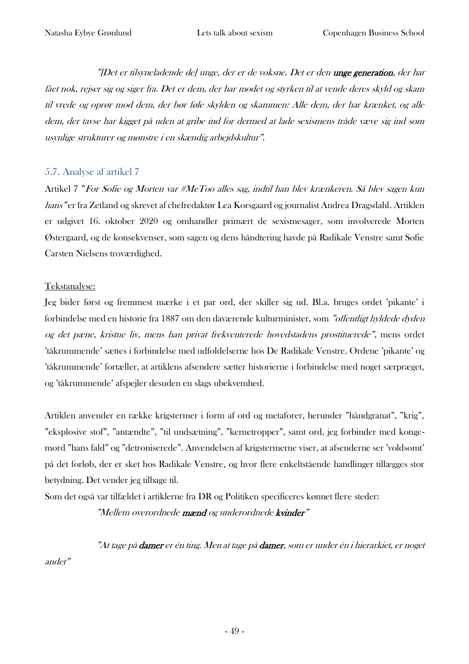"[Det er tilsyneladende de] unge, der er de voksne. Det er den unge generation, der har fået nok, rejser sig og siger fra. Det er dem, der har modet og styrken til at vende deres skyld og skam til vrede og oprør mod dem, der bør føle skylden og skammen: Alle dem, der har krænket, og alle dem, der tavse har kigget på uden at gribe ind for dermed at lade sexismens tråde væve sig ind som usynlige strukturer og mønstre i en skændig arbejdskultur".

#### 5.7. Analyse af artikel 7

Artikel 7 "For Sofie og Morten var #MeToo alles sag, indtil han blev krænkeren. Så blev sagen kun hans" er fra Zetland og skrevet af chefredaktør Lea Korsgaard og journalist Andrea Dragsdahl. Artiklen er udgivet 16. oktober 2020 og omhandler primært de sexismesager, som involverede Morten Østergaard, og de konsekvenser, som sagen og dens håndtering havde på Radikale Venstre samt Sofie Carsten Nielsens troværdighed.

#### Tekstanalyse:

Jeg bider først og fremmest mærke i et par ord, der skiller sig ud. Bl.a. bruges ordet 'pikante' i forbindelse med en historie fra 1887 om den daværende kulturminister, som "offentligt hyldede dyden og det pæne, kristne liv, mens han privat frekventerede hovedstadens prostituerede", mens ordet 'tåkrummende' sættes i forbindelse med udfoldelserne hos De Radikale Venstre. Ordene 'pikante' og 'tåkrummende' fortæller, at artiklens afsendere sætter historierne i forbindelse med noget særpræget, og 'tåkrummende' afspejler desuden en slags ubekvemhed.

Artiklen anvender en række krigstermer i form af ord og metaforer, herunder "håndgranat", "krig", "eksplosive stof", "antændte", "til undsætning", "kernetropper", samt ord, jeg forbinder med kongemord "hans fald" og "detroniserede". Anvendelsen af krigstermerne viser, at afsenderne ser 'voldsomt' på det forløb, der er sket hos Radikale Venstre, og hvor flere enkeltstående handlinger tillægges stor betydning. Det vender jeg tilbage til.

Som det også var tilfældet i artiklerne fra DR og Politiken specificeres kønnet flere steder:

"Mellem overordnede mænd og underordnede kvinder"

"At tage på **damer** er én ting. Men at tage på **damer**, som er under én i hierarkiet, er noget andet"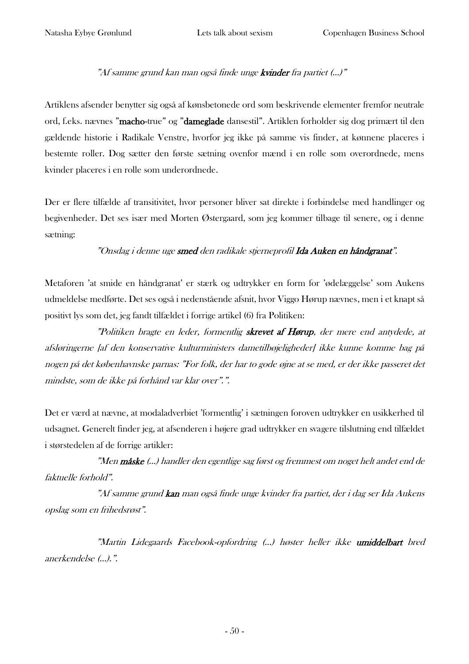#### "Af samme grund kan man også finde unge kvinder fra partiet (...)"

Artiklens afsender benytter sig også af kønsbetonede ord som beskrivende elementer fremfor neutrale ord, f.eks. nævnes "macho-true" og "dameglade dansestil". Artiklen forholder sig dog primært til den gældende historie i Radikale Venstre, hvorfor jeg ikke på samme vis finder, at kønnene placeres i bestemte roller. Dog sætter den første sætning ovenfor mænd i en rolle som overordnede, mens kvinder placeres i en rolle som underordnede.

Der er flere tilfælde af transitivitet, hvor personer bliver sat direkte i forbindelse med handlinger og begivenheder. Det ses især med Morten Østergaard, som jeg kommer tilbage til senere, og i denne sætning:

#### "Onsdag i denne uge smed den radikale stjerneprofil Ida Auken en håndgranat".

Metaforen 'at smide en håndgranat' er stærk og udtrykker en form for 'ødelæggelse' som Aukens udmeldelse medførte. Det ses også i nedenstående afsnit, hvor Viggo Hørup nævnes, men i et knapt så positivt lys som det, jeg fandt tilfældet i forrige artikel (6) fra Politiken:

"Politiken bragte en leder, formentlig skrevet af Hørup, der mere end antydede, at afsløringerne [af den konservative kulturministers dametilbøjeligheder] ikke kunne komme bag på nogen på det københavnske parnas: "For folk, der har to gode øjne at se med, er der ikke passeret det mindste, som de ikke på forhånd var klar over".".

Det er værd at nævne, at modaladverbiet 'formentlig' i sætningen foroven udtrykker en usikkerhed til udsagnet. Generelt finder jeg, at afsenderen i højere grad udtrykker en svagere tilslutning end tilfældet i størstedelen af de forrige artikler:

"Men måske (…) handler den egentlige sag først og fremmest om noget helt andet end de faktuelle forhold".

"Af samme grund kan man også finde unge kvinder fra partiet, der i dag ser Ida Aukens opslag som en frihedsrøst".

"Martin Lidegaards Facebook-opfordring (…) høster heller ikke umiddelbart bred anerkendelse (…).".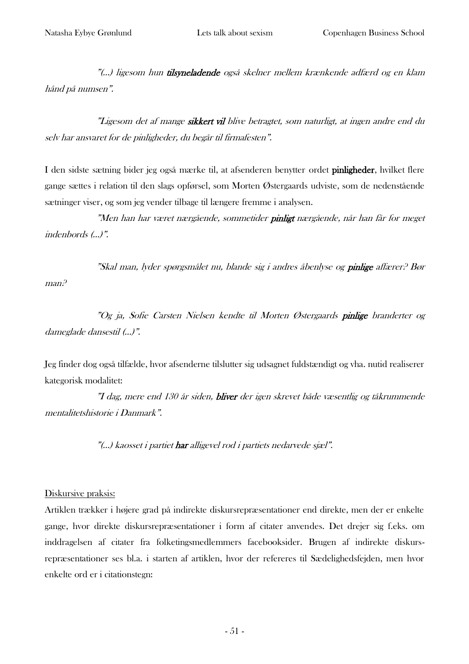"(...) ligesom hun tilsyneladende også skelner mellem krænkende adfærd og en klam hånd på numsen".

"Ligesom det af mange sikkert vil blive betragtet, som naturligt, at ingen andre end du selv har ansvaret for de pinligheder, du begår til firmafesten".

I den sidste sætning bider jeg også mærke til, at afsenderen benytter ordet pinligheder, hvilket flere gange sættes i relation til den slags opførsel, som Morten Østergaards udviste, som de nedenstående sætninger viser, og som jeg vender tilbage til længere fremme i analysen.

"Men han har været nærgående, sommetider pinligt nærgående, når han får for meget indenbords (…)".

"Skal man, lyder spørgsmålet nu, blande sig i andres åbenlyse og pinlige affærer? Bør man?

"Og ja, Sofie Carsten Nielsen kendte til Morten Østergaards pinlige branderter og dameglade dansestil (…)".

Jeg finder dog også tilfælde, hvor afsenderne tilslutter sig udsagnet fuldstændigt og vha. nutid realiserer kategorisk modalitet:

"I dag, mere end 130 år siden, bliver der igen skrevet både væsentlig og tåkrummende mentalitetshistorie i Danmark".

"(...) kaosset i partiet **har** alligevel rod i partiets nedarvede sjæl".

#### Diskursive praksis:

Artiklen trækker i højere grad på indirekte diskursrepræsentationer end direkte, men der er enkelte gange, hvor direkte diskursrepræsentationer i form af citater anvendes. Det drejer sig f.eks. om inddragelsen af citater fra folketingsmedlemmers facebooksider. Brugen af indirekte diskursrepræsentationer ses bl.a. i starten af artiklen, hvor der refereres til Sædelighedsfejden, men hvor enkelte ord er i citationstegn: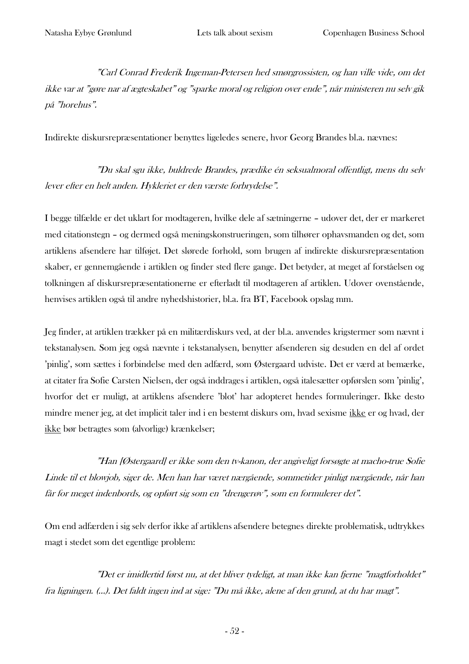"Carl Conrad Frederik Ingeman-Petersen hed smørgrossisten, og han ville vide, om det ikke var at "gøre nar af ægteskabet" og "sparke moral og religion over ende", når ministeren nu selv gik på "horehus".

Indirekte diskursrepræsentationer benyttes ligeledes senere, hvor Georg Brandes bl.a. nævnes:

"Du skal sgu ikke, buldrede Brandes, prædike én seksualmoral offentligt, mens du selv lever efter en helt anden. Hykleriet er den værste forbrydelse".

I begge tilfælde er det uklart for modtageren, hvilke dele af sætningerne – udover det, der er markeret med citationstegn – og dermed også meningskonstrueringen, som tilhører ophavsmanden og det, som artiklens afsendere har tilføjet. Det slørede forhold, som brugen af indirekte diskursrepræsentation skaber, er gennemgående i artiklen og finder sted flere gange. Det betyder, at meget af forståelsen og tolkningen af diskursrepræsentationerne er efterladt til modtageren af artiklen. Udover ovenstående, henvises artiklen også til andre nyhedshistorier, bl.a. fra BT, Facebook opslag mm.

Jeg finder, at artiklen trækker på en militærdiskurs ved, at der bl.a. anvendes krigstermer som nævnt i tekstanalysen. Som jeg også nævnte i tekstanalysen, benytter afsenderen sig desuden en del af ordet 'pinlig', som sættes i forbindelse med den adfærd, som Østergaard udviste. Det er værd at bemærke, at citater fra Sofie Carsten Nielsen, der også inddrages i artiklen, også italesætter opførslen som 'pinlig', hvorfor det er muligt, at artiklens afsendere 'blot' har adopteret hendes formuleringer. Ikke desto mindre mener jeg, at det implicit taler ind i en bestemt diskurs om, hvad sexisme ikke er og hvad, der ikke bør betragtes som (alvorlige) krænkelser;

"Han [Østergaard] er ikke som den tv-kanon, der angiveligt forsøgte at macho-true Sofie Linde til et blowjob, siger de. Men han har været nærgående, sommetider pinligt nærgående, når han får for meget indenbords, og opført sig som en "drengerøv", som en formulerer det".

Om end adfærden i sig selv derfor ikke af artiklens afsendere betegnes direkte problematisk, udtrykkes magt i stedet som det egentlige problem:

"Det er imidlertid først nu, at det bliver tydeligt, at man ikke kan fjerne "magtforholdet" fra ligningen. (…). Det faldt ingen ind at sige: "Du må ikke, alene af den grund, at du har magt".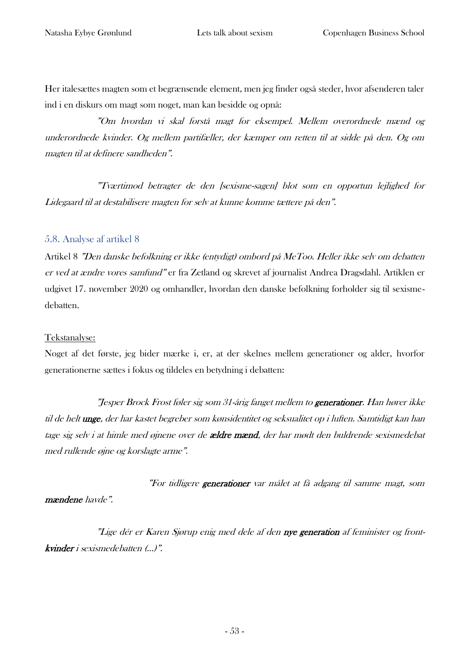Her italesættes magten som et begrænsende element, men jeg finder også steder, hvor afsenderen taler ind i en diskurs om magt som noget, man kan besidde og opnå:

"Om hvordan vi skal forstå magt for eksempel. Mellem overordnede mænd og underordnede kvinder. Og mellem partifæller, der kæmper om retten til at sidde på den. Og om magten til at definere sandheden".

"Tværtimod betragter de den [sexisme-sagen] blot som en opportun lejlighed for Lidegaard til at destabilisere magten for selv at kunne komme tættere på den".

#### 5.8. Analyse af artikel 8

Artikel 8 "Den danske befolkning er ikke (entydigt) ombord på MeToo. Heller ikke selv om debatten er ved at ændre vores samfund" er fra Zetland og skrevet af journalist Andrea Dragsdahl. Artiklen er udgivet 17. november 2020 og omhandler, hvordan den danske befolkning forholder sig til sexismedebatten.

#### Tekstanalyse:

Noget af det første, jeg bider mærke i, er, at der skelnes mellem generationer og alder, hvorfor generationerne sættes i fokus og tildeles en betydning i debatten:

"Jesper Brock Frost føler sig som 31-årig fanget mellem to generationer. Han hører ikke til de helt unge, der har kastet begreber som kønsidentitet og seksualitet op i luften. Samtidigt kan han tage sig selv i at himle med øjnene over de **ældre mænd**, der har mødt den buldrende sexismedebat med rullende øjne og korslagte arme".

"For tidligere generationer var målet at få adgang til samme magt, som mændene havde".

"Lige dér er Karen Sjørup enig med dele af den nye generation af feminister og frontkvinder i sexismedebatten (…)".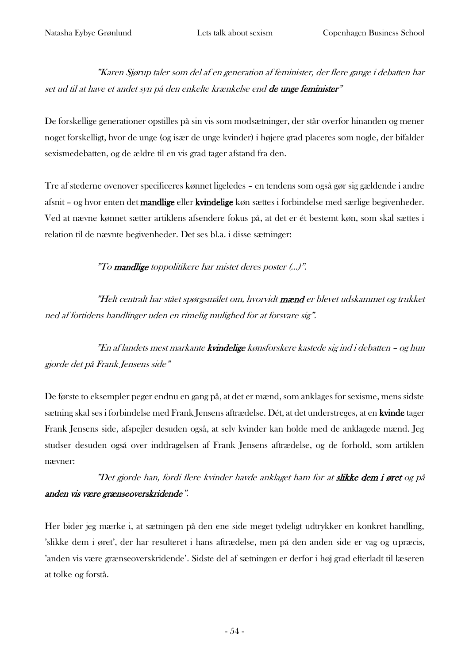"Karen Sjørup taler som del af en generation af feminister, der flere gange i debatten har set ud til at have et andet syn på den enkelte krænkelse end de unge feminister"

De forskellige generationer opstilles på sin vis som modsætninger, der står overfor hinanden og mener noget forskelligt, hvor de unge (og især de unge kvinder) i højere grad placeres som nogle, der bifalder sexismedebatten, og de ældre til en vis grad tager afstand fra den.

Tre af stederne ovenover specificeres kønnet ligeledes – en tendens som også gør sig gældende i andre afsnit – og hvor enten det mandlige eller kvindelige køn sættes i forbindelse med særlige begivenheder. Ved at nævne kønnet sætter artiklens afsendere fokus på, at det er ét bestemt køn, som skal sættes i relation til de nævnte begivenheder. Det ses bl.a. i disse sætninger:

"To mandlige toppolitikere har mistet deres poster (…)".

"Helt centralt har stået spørgsmålet om, hvorvidt mænd er blevet udskammet og trukket ned af fortidens handlinger uden en rimelig mulighed for at forsvare sig".

"En af landets mest markante **kvindelige** kønsforskere kastede sig ind i debatten – og hun gjorde det på Frank Jensens side"

De første to eksempler peger endnu en gang på, at det er mænd, som anklages for sexisme, mens sidste sætning skal ses i forbindelse med Frank Jensens aftrædelse. Dét, at det understreges, at en kvinde tager Frank Jensens side, afspejler desuden også, at selv kvinder kan holde med de anklagede mænd. Jeg studser desuden også over inddragelsen af Frank Jensens aftrædelse, og de forhold, som artiklen nævner:

## "Det gjorde han, fordi flere kvinder havde anklaget ham for at **slikke dem i øret** og på anden vis være grænseoverskridende".

Her bider jeg mærke i, at sætningen på den ene side meget tydeligt udtrykker en konkret handling, 'slikke dem i øret', der har resulteret i hans aftrædelse, men på den anden side er vag og upræcis, 'anden vis være grænseoverskridende'. Sidste del af sætningen er derfor i høj grad efterladt til læseren at tolke og forstå.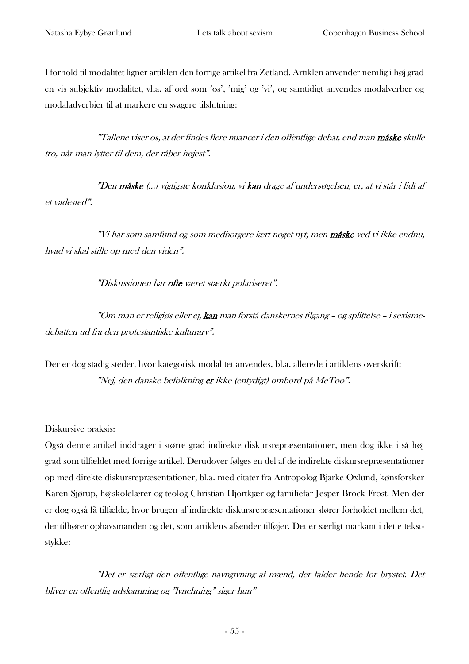I forhold til modalitet ligner artiklen den forrige artikel fra Zetland. Artiklen anvender nemlig i høj grad en vis subjektiv modalitet, vha. af ord som 'os', 'mig' og 'vi', og samtidigt anvendes modalverber og modaladverbier til at markere en svagere tilslutning:

"Tallene viser os, at der findes flere nuancer i den offentlige debat, end man **måske** skulle tro, når man lytter til dem, der råber højest".

"Den måske (…) vigtigste konklusion, vi kan drage af undersøgelsen, er, at vi står i lidt af et vadested".

"Vi har som samfund og som medborgere lært noget nyt, men måske ved vi ikke endnu, hvad vi skal stille op med den viden".

"Diskussionen har **ofte** været stærkt polariseret".

"Om man er religiøs eller ej, kan man forstå danskernes tilgang – og splittelse – i sexismedebatten ud fra den protestantiske kulturarv".

Der er dog stadig steder, hvor kategorisk modalitet anvendes, bl.a. allerede i artiklens overskrift: "Nej, den danske befolkning er ikke (entydigt) ombord på MeToo".

#### Diskursive praksis:

Også denne artikel inddrager i større grad indirekte diskursrepræsentationer, men dog ikke i så høj grad som tilfældet med forrige artikel. Derudover følges en del af de indirekte diskursrepræsentationer op med direkte diskursrepræsentationer, bl.a. med citater fra Antropolog Bjarke Oxlund, kønsforsker Karen Sjørup, højskolelærer og teolog Christian Hjortkjær og familiefar Jesper Brock Frost. Men der er dog også få tilfælde, hvor brugen af indirekte diskursrepræsentationer slører forholdet mellem det, der tilhører ophavsmanden og det, som artiklens afsender tilføjer. Det er særligt markant i dette tekststykke:

"Det er særligt den offentlige navngivning af mænd, der falder hende for brystet. Det bliver en offentlig udskamning og "lynchning" siger hun"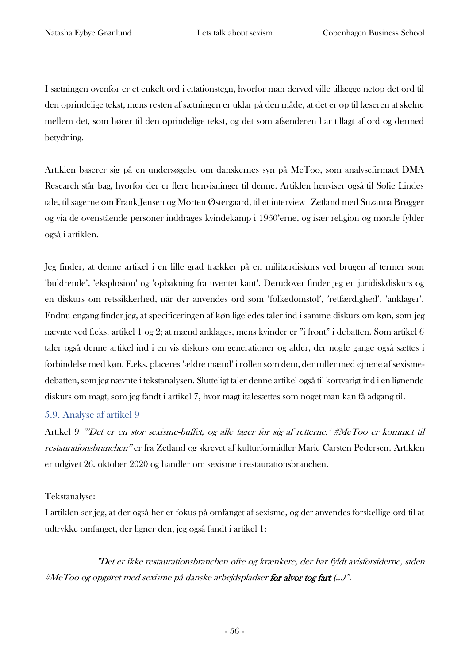I sætningen ovenfor er et enkelt ord i citationstegn, hvorfor man derved ville tillægge netop det ord til den oprindelige tekst, mens resten af sætningen er uklar på den måde, at det er op til læseren at skelne mellem det, som hører til den oprindelige tekst, og det som afsenderen har tillagt af ord og dermed betydning.

Artiklen baserer sig på en undersøgelse om danskernes syn på MeToo, som analysefirmaet DMA Research står bag, hvorfor der er flere henvisninger til denne. Artiklen henviser også til Sofie Lindes tale, til sagerne om Frank Jensen og Morten Østergaard, til et interview i Zetland med Suzanna Brøgger og via de ovenstående personer inddrages kvindekamp i 1950'erne, og især religion og morale fylder også i artiklen.

Jeg finder, at denne artikel i en lille grad trækker på en militærdiskurs ved brugen af termer som 'buldrende', 'eksplosion' og 'opbakning fra uventet kant'. Derudover finder jeg en juridiskdiskurs og en diskurs om retssikkerhed, når der anvendes ord som 'folkedomstol', 'retfærdighed', 'anklager'. Endnu engang finder jeg, at specificeringen af køn ligeledes taler ind i samme diskurs om køn, som jeg nævnte ved f.eks. artikel 1 og 2; at mænd anklages, mens kvinder er "i front" i debatten. Som artikel 6 taler også denne artikel ind i en vis diskurs om generationer og alder, der nogle gange også sættes i forbindelse med køn. F.eks. placeres 'ældre mænd' i rollen som dem, der ruller med øjnene af sexismedebatten, som jeg nævnte i tekstanalysen. Slutteligt taler denne artikel også til kortvarigt ind i en lignende diskurs om magt, som jeg fandt i artikel 7, hvor magt italesættes som noget man kan få adgang til.

#### 5.9. Analyse af artikel 9

Artikel 9 "'Det er en stor sexisme-buffet, og alle tager for sig af retterne.' #MeToo er kommet til restaurationsbranchen" er fra Zetland og skrevet af kulturformidler Marie Carsten Pedersen. Artiklen er udgivet 26. oktober 2020 og handler om sexisme i restaurationsbranchen.

#### Tekstanalyse:

I artiklen ser jeg, at der også her er fokus på omfanget af sexisme, og der anvendes forskellige ord til at udtrykke omfanget, der ligner den, jeg også fandt i artikel 1:

"Det er ikke restaurationsbranchen ofre o<sup>g</sup> krænkere, der har fyldt avisforsiderne, siden #MeToo og opgøret med sexisme på danske arbejdspladser for alvor tog fart (…)".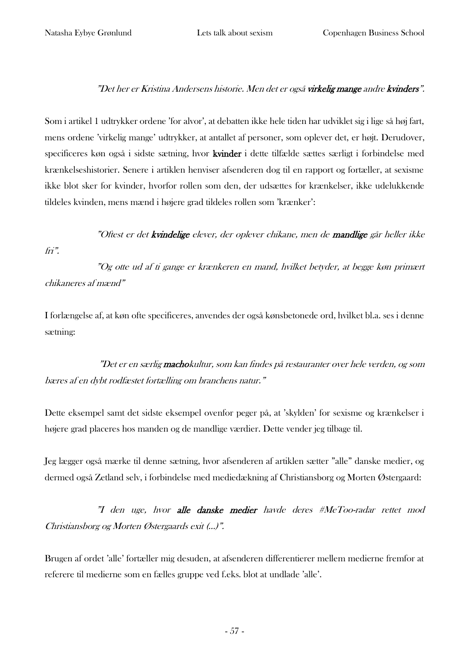#### "Det her er Kristina Andersens historie. Men det er også **virkelig mange** andre **kvinders**".

Som i artikel 1 udtrykker ordene 'for alvor', at debatten ikke hele tiden har udviklet sig i lige så høj fart, mens ordene 'virkelig mange' udtrykker, at antallet af personer, som oplever det, er højt. Derudover, specificeres køn også i sidste sætning, hvor kvinder i dette tilfælde sættes særligt i forbindelse med krænkelseshistorier. Senere i artiklen henviser afsenderen dog til en rapport og fortæller, at sexisme ikke blot sker for kvinder, hvorfor rollen som den, der udsættes for krænkelser, ikke udelukkende tildeles kvinden, mens mænd i højere grad tildeles rollen som 'krænker':

### "Oftest er det kvindelige elever, der oplever chikane, men de mandlige går heller ikke fri".

"Og otte ud af ti gange er krænkeren en mand, hvilket betyder, at begge køn primært chikaneres af mænd"

I forlængelse af, at køn ofte specificeres, anvendes der også kønsbetonede ord, hvilket bl.a. ses i denne sætning:

"Det er en særlig **macho**kultur, som kan findes på restauranter over hele verden, og som bæres af en dybt rodfæstet fortælling om branchens natur."

Dette eksempel samt det sidste eksempel ovenfor peger på, at 'skylden' for sexisme og krænkelser i højere grad placeres hos manden og de mandlige værdier. Dette vender jeg tilbage til.

Jeg lægger også mærke til denne sætning, hvor afsenderen af artiklen sætter "alle" danske medier, og dermed også Zetland selv, i forbindelse med mediedækning af Christiansborg og Morten Østergaard:

"I den uge, hvor alle danske medier havde deres #MeToo-radar rettet mod Christiansborg og Morten Østergaards exit (…)".

Brugen af ordet 'alle' fortæller mig desuden, at afsenderen differentierer mellem medierne fremfor at referere til medierne som en fælles gruppe ved f.eks. blot at undlade 'alle'.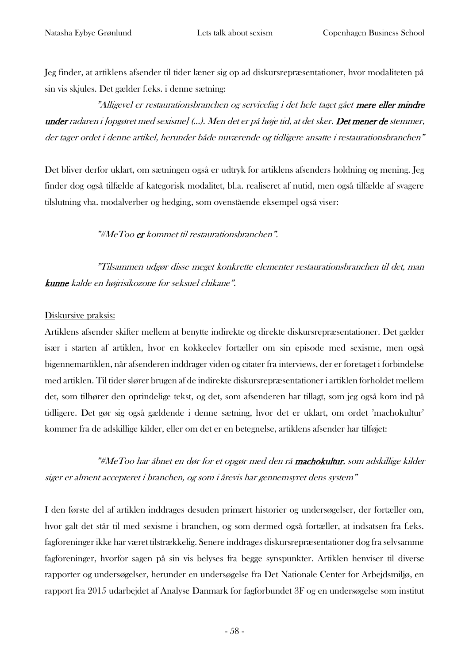Jeg finder, at artiklens afsender til tider læner sig op ad diskursrepræsentationer, hvor modaliteten på sin vis skjules. Det gælder f.eks. i denne sætning:

"Alligevel er restaurationsbranchen og servicefag i det hele taget gået mere eller mindre under radaren i *[opgøret med sexisme] (...). Men det er på høje tid, at det sker. Det mener de stemmer,* der tager ordet i denne artikel, herunder både nuværende og tidligere ansatte i restaurationsbranchen"

Det bliver derfor uklart, om sætningen også er udtryk for artiklens afsenders holdning og mening. Jeg finder dog også tilfælde af kategorisk modalitet, bl.a. realiseret af nutid, men også tilfælde af svagere tilslutning vha. modalverber og hedging, som ovenstående eksempel også viser:

#### "#MeToo er kommet til restaurationsbranchen".

"Tilsammen udgør disse meget konkrette elementer restaurationsbranchen til det, man kunne kalde en højrisikozone for seksuel chikane".

#### Diskursive praksis:

Artiklens afsender skifter mellem at benytte indirekte og direkte diskursrepræsentationer. Det gælder især i starten af artiklen, hvor en kokkeelev fortæller om sin episode med sexisme, men også bigennemartiklen, når afsenderen inddrager viden og citater fra interviews, der er foretaget i forbindelse med artiklen. Til tider slører brugen af de indirekte diskursrepræsentationer i artiklen forholdet mellem det, som tilhører den oprindelige tekst, og det, som afsenderen har tillagt, som jeg også kom ind på tidligere. Det gør sig også gældende i denne sætning, hvor det er uklart, om ordet 'machokultur' kommer fra de adskillige kilder, eller om det er en betegnelse, artiklens afsender har tilføjet:

"#MeToo har åbnet en dør for et opgør med den rå machokultur, som adskillige kilder siger er alment accepteret i branchen, og som i årevis har gennemsyret dens system"

I den første del af artiklen inddrages desuden primært historier og undersøgelser, der fortæller om, hvor galt det står til med sexisme i branchen, og som dermed også fortæller, at indsatsen fra f.eks. fagforeninger ikke har været tilstrækkelig. Senere inddrages diskursrepræsentationer dog fra selvsamme fagforeninger, hvorfor sagen på sin vis belyses fra begge synspunkter. Artiklen henviser til diverse rapporter og undersøgelser, herunder en undersøgelse fra Det Nationale Center for Arbejdsmiljø, en rapport fra 2015 udarbejdet af Analyse Danmark for fagforbundet 3F og en undersøgelse som institut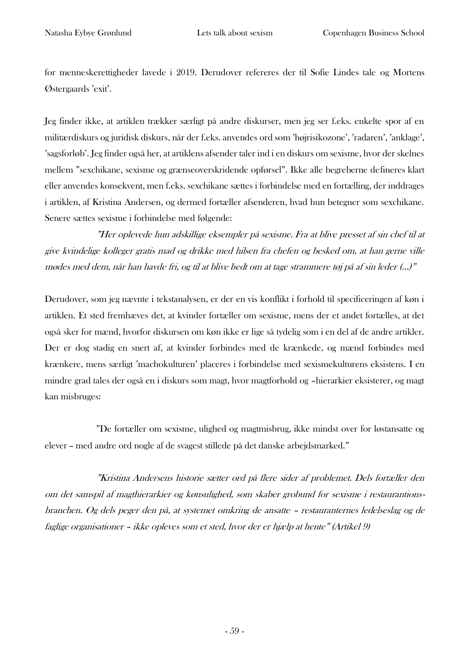for menneskerettigheder lavede i 2019. Derudover refereres der til Sofie Lindes tale og Mortens Østergaards 'exit'.

Jeg finder ikke, at artiklen trækker særligt på andre diskurser, men jeg ser f.eks. enkelte spor af en militærdiskurs og juridisk diskurs, når der f.eks. anvendes ord som 'højrisikozone', 'radaren', 'anklage', 'sagsforløb'. Jeg finder også her, at artiklens afsender taler ind i en diskurs om sexisme, hvor der skelnes mellem "sexchikane, sexisme og grænseoverskridende opførsel". Ikke alle begreberne defineres klart eller anvendes konsekvent, men f.eks. sexchikane sættes i forbindelse med en fortælling, der inddrages i artiklen, af Kristina Andersen, og dermed fortæller afsenderen, hvad hun betegner som sexchikane. Senere sættes sexisme i forbindelse med følgende:

"Her oplevede hun adskillige eksempler på sexisme. Fra at blive presset af sin chef til at give kvindelige kolleger gratis mad og drikke med hilsen fra chefen og besked om, at han gerne ville mødes med dem, når han havde fri, og til at blive bedt om at tage strammere tøj på af sin leder (…)"

Derudover, som jeg nævnte i tekstanalysen, er der en vis konflikt i forhold til specificeringen af køn i artiklen. Et sted fremhæves det, at kvinder fortæller om sexisme, mens der et andet fortælles, at det også sker for mænd, hvorfor diskursen om køn ikke er lige så tydelig som i en del af de andre artikler. Der er dog stadig en snert af, at kvinder forbindes med de krænkede, og mænd forbindes med krænkere, mens særligt 'machokulturen' placeres i forbindelse med sexismekulturens eksistens. I en mindre grad tales der også en i diskurs som magt, hvor magtforhold og –hierarkier eksisterer, og magt kan misbruges:

"De fortæller om sexisme, ulighed og magtmisbrug, ikke mindst over for løstansatte og elever – med andre ord nogle af de svagest stillede på det danske arbejdsmarked."

"Kristina Andersens historie sætter ord på flere sider af problemet. Dels fortæller den om det samspil af magthierarkier og kønsulighed, som skaber grobund for sexisme i restaurantionsbranchen. Og dels peger den på, at systemet omkring de ansatte – restauranternes ledelseslag og de faglige organisationer – ikke opleves som et sted, hvor der er hjælp at hente" (Artikel 9)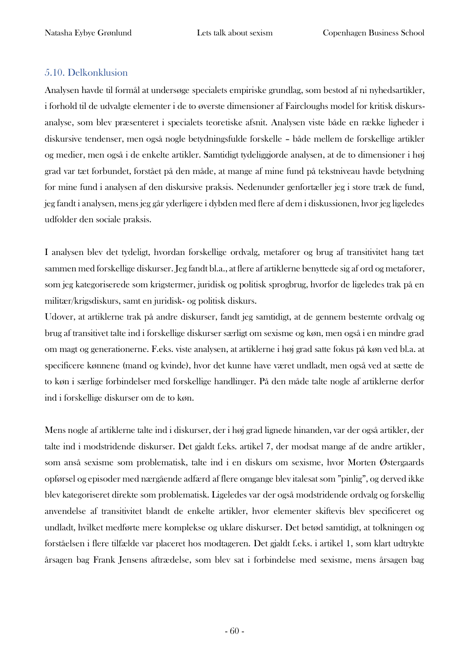#### 5.10. Delkonklusion

Analysen havde til formål at undersøge specialets empiriske grundlag, som bestod af ni nyhedsartikler, i forhold til de udvalgte elementer i de to øverste dimensioner af Faircloughs model for kritisk diskursanalyse, som blev præsenteret i specialets teoretiske afsnit. Analysen viste både en række ligheder i diskursive tendenser, men også nogle betydningsfulde forskelle – både mellem de forskellige artikler og medier, men også i de enkelte artikler. Samtidigt tydeliggjorde analysen, at de to dimensioner i høj grad var tæt forbundet, forstået på den måde, at mange af mine fund på tekstniveau havde betydning for mine fund i analysen af den diskursive praksis. Nedenunder genfortæller jeg i store træk de fund, jeg fandt i analysen, mens jeg går yderligere i dybden med flere af dem i diskussionen, hvor jeg ligeledes udfolder den sociale praksis.

I analysen blev det tydeligt, hvordan forskellige ordvalg, metaforer og brug af transitivitet hang tæt sammen med forskellige diskurser. Jeg fandt bl.a., at flere af artiklerne benyttede sig af ord og metaforer, som jeg kategoriserede som krigstermer, juridisk og politisk sprogbrug, hvorfor de ligeledes trak på en militær/krigsdiskurs, samt en juridisk- og politisk diskurs.

Udover, at artiklerne trak på andre diskurser, fandt jeg samtidigt, at de gennem bestemte ordvalg og brug af transitivet talte ind i forskellige diskurser særligt om sexisme og køn, men også i en mindre grad om magt og generationerne. F.eks. viste analysen, at artiklerne i høj grad satte fokus på køn ved bl.a. at specificere kønnene (mand og kvinde), hvor det kunne have været undladt, men også ved at sætte de to køn i særlige forbindelser med forskellige handlinger. På den måde talte nogle af artiklerne derfor ind i forskellige diskurser om de to køn.

Mens nogle af artiklerne talte ind i diskurser, der i høj grad lignede hinanden, var der også artikler, der talte ind i modstridende diskurser. Det gjaldt f.eks. artikel 7, der modsat mange af de andre artikler, som anså sexisme som problematisk, talte ind i en diskurs om sexisme, hvor Morten Østergaards opførsel og episoder med nærgående adfærd af flere omgange blev italesat som "pinlig", og derved ikke blev kategoriseret direkte som problematisk. Ligeledes var der også modstridende ordvalg og forskellig anvendelse af transitivitet blandt de enkelte artikler, hvor elementer skiftevis blev specificeret og undladt, hvilket medførte mere komplekse og uklare diskurser. Det betød samtidigt, at tolkningen og forståelsen i flere tilfælde var placeret hos modtageren. Det gjaldt f.eks. i artikel 1, som klart udtrykte årsagen bag Frank Jensens aftrædelse, som blev sat i forbindelse med sexisme, mens årsagen bag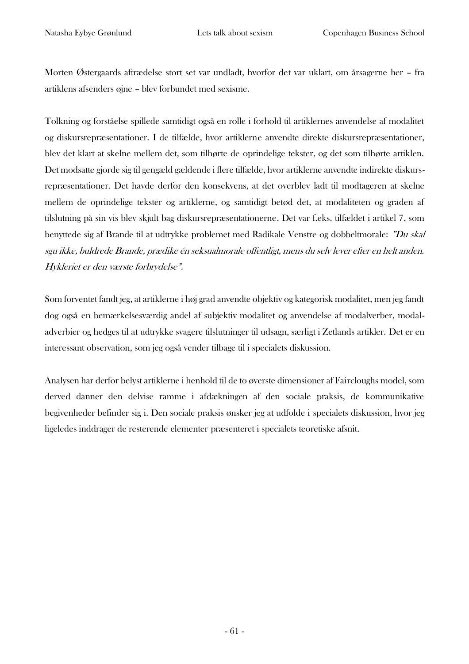Morten Østergaards aftrædelse stort set var undladt, hvorfor det var uklart, om årsagerne her – fra artiklens afsenders øjne – blev forbundet med sexisme.

Tolkning og forståelse spillede samtidigt også en rolle i forhold til artiklernes anvendelse af modalitet og diskursrepræsentationer. I de tilfælde, hvor artiklerne anvendte direkte diskursrepræsentationer, blev det klart at skelne mellem det, som tilhørte de oprindelige tekster, og det som tilhørte artiklen. Det modsatte gjorde sig til gengæld gældende i flere tilfælde, hvor artiklerne anvendte indirekte diskursrepræsentationer. Det havde derfor den konsekvens, at det overblev ladt til modtageren at skelne mellem de oprindelige tekster og artiklerne, og samtidigt betød det, at modaliteten og graden af tilslutning på sin vis blev skjult bag diskursrepræsentationerne. Det var f.eks. tilfældet i artikel 7, som benyttede sig af Brande til at udtrykke problemet med Radikale Venstre og dobbeltmorale: "Du skal sgu ikke, buldrede Brande, prædike én seksualmorale offentligt, mens du selv lever efter en helt anden. Hykleriet er den værste forbrydelse".

Som forventet fandt jeg, at artiklerne i høj grad anvendte objektiv og kategorisk modalitet, men jeg fandt dog også en bemærkelsesværdig andel af subjektiv modalitet og anvendelse af modalverber, modaladverbier og hedges til at udtrykke svagere tilslutninger til udsagn, særligt i Zetlands artikler. Det er en interessant observation, som jeg også vender tilbage til i specialets diskussion.

Analysen har derfor belyst artiklerne i henhold til de to øverste dimensioner af Faircloughs model, som derved danner den delvise ramme i afdækningen af den sociale praksis, de kommunikative begivenheder befinder sig i. Den sociale praksis ønsker jeg at udfolde i specialets diskussion, hvor jeg ligeledes inddrager de resterende elementer præsenteret i specialets teoretiske afsnit.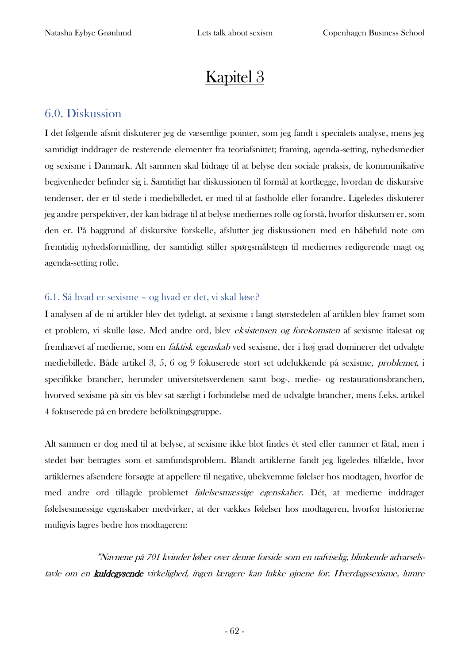# Kapitel 3

## 6.0. Diskussion

I det følgende afsnit diskuterer jeg de væsentlige pointer, som jeg fandt i specialets analyse, mens jeg samtidigt inddrager de resterende elementer fra teoriafsnittet; framing, agenda-setting, nyhedsmedier og sexisme i Danmark. Alt sammen skal bidrage til at belyse den sociale praksis, de kommunikative begivenheder befinder sig i. Samtidigt har diskussionen til formål at kortlægge, hvordan de diskursive tendenser, der er til stede i mediebilledet, er med til at fastholde eller forandre. Ligeledes diskuterer jeg andre perspektiver, der kan bidrage til at belyse mediernes rolle og forstå, hvorfor diskursen er, som den er. På baggrund af diskursive forskelle, afslutter jeg diskussionen med en håbefuld note om fremtidig nyhedsformidling, der samtidigt stiller spørgsmålstegn til mediernes redigerende magt og agenda-setting rolle.

#### 6.1. Så hvad er sexisme – og hvad er det, vi skal løse?

I analysen af de ni artikler blev det tydeligt, at sexisme i langt størstedelen af artiklen blev framet som et problem, vi skulle løse. Med andre ord, blev eksistensen og forekomsten af sexisme italesat og fremhævet af medierne, som en faktisk egenskab ved sexisme, der i høj grad dominerer det udvalgte mediebillede. Både artikel 3, 5, 6 og 9 fokuserede stort set udelukkende på sexisme, problemet, i specifikke brancher, herunder universitetsverdenen samt bog-, medie- og restaurationsbranchen, hvorved sexisme på sin vis blev sat særligt i forbindelse med de udvalgte brancher, mens f.eks. artikel 4 fokuserede på en bredere befolkningsgruppe.

Alt sammen er dog med til at belyse, at sexisme ikke blot findes ét sted eller rammer et fåtal, men i stedet bør betragtes som et samfundsproblem. Blandt artiklerne fandt jeg ligeledes tilfælde, hvor artiklernes afsendere forsøgte at appellere til negative, ubekvemme følelser hos modtagen, hvorfor de med andre ord tillagde problemet følelsesmæssige egenskaber. Dét, at medierne inddrager følelsesmæssige egenskaber medvirker, at der vækkes følelser hos modtageren, hvorfor historierne muligvis lagres bedre hos modtageren:

"Navnene på 701 kvinder løber over denne forside som en uafviselig, blinkende advarselstavle om en kuldegysende virkelighed, ingen længere kan lukke øjnene for. Hverdagssexisme, lumre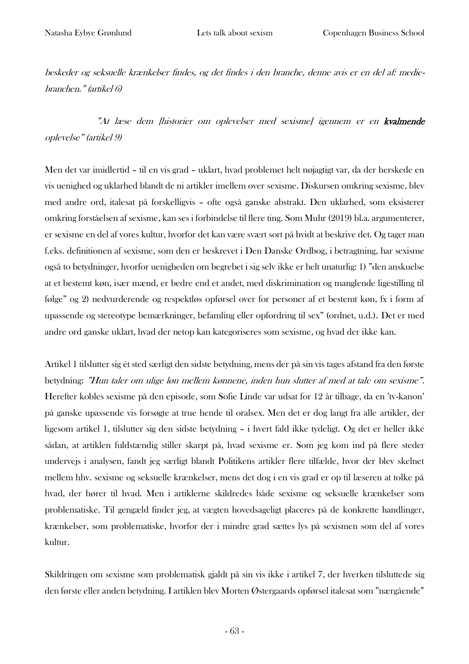beskeder og seksuelle krænkelser findes, og det findes i den branche, denne avis er en del af: mediebranchen." (artikel 6)

"At læse dem [historier om oplevelser med sexisme] igennem er en kvalmende oplevelse" (artikel 9)

Men det var imidlertid – til en vis grad – uklart, hvad problemet helt nøjagtigt var, da der herskede en vis uenighed og uklarhed blandt de ni artikler imellem over sexisme. Diskursen omkring sexisme, blev med andre ord, italesat på forskelligvis – ofte også ganske abstrakt. Den uklarhed, som eksisterer omkring forståelsen af sexisme, kan ses i forbindelse til flere ting. Som Muhr (2019) bl.a. argumenterer, er sexisme en del af vores kultur, hvorfor det kan være svært sort på hvidt at beskrive det. Og tager man f.eks. definitionen af sexisme, som den er beskrevet i Den Danske Ordbog, i betragtning, har sexisme også to betydninger, hvorfor uenigheden om begrebet i sig selv ikke er helt unaturlig: 1) "den anskuelse at et bestemt køn, især mænd, er bedre end et andet, med diskrimination og manglende ligestilling til følge" og 2) nedvurderende og respektløs opførsel over for personer af et bestemt køn, fx i form af upassende og stereotype bemærkninger, befamling eller opfordring til sex" (ordnet, u.d.). Det er med andre ord ganske uklart, hvad der netop kan kategoriseres som sexisme, og hvad der ikke kan.

Artikel 1 tilslutter sig ét sted særligt den sidste betydning, mens der på sin vis tages afstand fra den første betydning: "Hun taler om ulige løn mellem kønnene, inden hun slutter af med at tale om sexisme". Herefter kobles sexisme på den episode, som Sofie Linde var udsat for 12 år tilbage, da en 'tv-kanon' på ganske upassende vis forsøgte at true hende til oralsex. Men det er dog langt fra alle artikler, der ligesom artikel 1, tilslutter sig den sidste betydning – i hvert fald ikke tydeligt. Og det er heller ikke sådan, at artiklen fuldstændig stiller skarpt på, hvad sexisme er. Som jeg kom ind på flere steder undervejs i analysen, fandt jeg særligt blandt Politikens artikler flere tilfælde, hvor der blev skelnet mellem hhv. sexisme og seksuelle krænkelser, mens det dog i en vis grad er op til læseren at tolke på hvad, der hører til hvad. Men i artiklerne skildredes både sexisme og seksuelle krænkelser som problematiske. Til gengæld finder jeg, at vægten hovedsageligt placeres på de konkrette handlinger, krænkelser, som problematiske, hvorfor der i mindre grad sættes lys på sexismen som del af vores kultur.

Skildringen om sexisme som problematisk gjaldt på sin vis ikke i artikel 7, der hverken tilsluttede sig den første eller anden betydning. I artiklen blev Morten Østergaards opførsel italesat som "nærgående"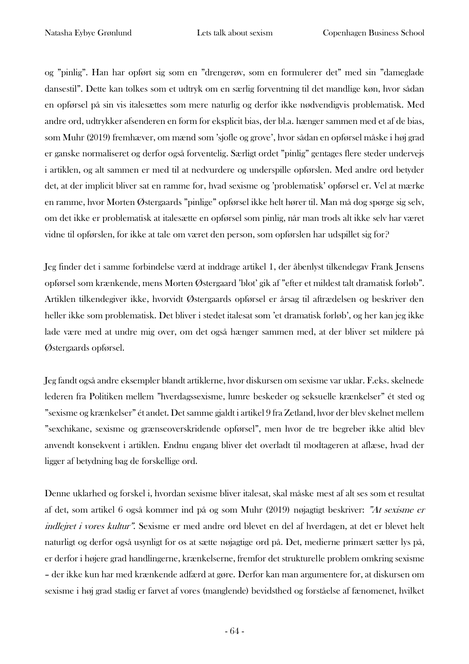og "pinlig". Han har opført sig som en "drengerøv, som en formulerer det" med sin "dameglade dansestil". Dette kan tolkes som et udtryk om en særlig forventning til det mandlige køn, hvor sådan en opførsel på sin vis italesættes som mere naturlig og derfor ikke nødvendigvis problematisk. Med andre ord, udtrykker afsenderen en form for eksplicit bias, der bl.a. hænger sammen med et af de bias, som Muhr (2019) fremhæver, om mænd som 'sjofle og grove', hvor sådan en opførsel måske i høj grad er ganske normaliseret og derfor også forventelig. Særligt ordet "pinlig" gentages flere steder undervejs i artiklen, og alt sammen er med til at nedvurdere og underspille opførslen. Med andre ord betyder det, at der implicit bliver sat en ramme for, hvad sexisme og 'problematisk' opførsel er. Vel at mærke en ramme, hvor Morten Østergaards "pinlige" opførsel ikke helt hører til. Man må dog spørge sig selv, om det ikke er problematisk at italesætte en opførsel som pinlig, når man trods alt ikke selv har været vidne til opførslen, for ikke at tale om været den person, som opførslen har udspillet sig for?

Jeg finder det i samme forbindelse værd at inddrage artikel 1, der åbenlyst tilkendegav Frank Jensens opførsel som krænkende, mens Morten Østergaard 'blot' gik af "efter et mildest talt dramatisk forløb". Artiklen tilkendegiver ikke, hvorvidt Østergaards opførsel er årsag til aftrædelsen og beskriver den heller ikke som problematisk. Det bliver i stedet italesat som 'et dramatisk forløb', og her kan jeg ikke lade være med at undre mig over, om det også hænger sammen med, at der bliver set mildere på Østergaards opførsel.

Jeg fandt også andre eksempler blandt artiklerne, hvor diskursen om sexisme var uklar. F.eks. skelnede lederen fra Politiken mellem "hverdagssexisme, lumre beskeder og seksuelle krænkelser" ét sted og "sexisme og krænkelser" ét andet. Det samme gjaldt i artikel 9 fra Zetland, hvor der blev skelnet mellem "sexchikane, sexisme og grænseoverskridende opførsel", men hvor de tre begreber ikke altid blev anvendt konsekvent i artiklen. Endnu engang bliver det overladt til modtageren at aflæse, hvad der ligger af betydning bag de forskellige ord.

Denne uklarhed og forskel i, hvordan sexisme bliver italesat, skal måske mest af alt ses som et resultat af det, som artikel 6 også kommer ind på og som Muhr (2019) nøjagtigt beskriver: "At sexisme er indlejret i vores kultur". Sexisme er med andre ord blevet en del af hverdagen, at det er blevet helt naturligt og derfor også usynligt for os at sætte nøjagtige ord på. Det, medierne primært sætter lys på, er derfor i højere grad handlingerne, krænkelserne, fremfor det strukturelle problem omkring sexisme – der ikke kun har med krænkende adfærd at gøre. Derfor kan man argumentere for, at diskursen om sexisme i høj grad stadig er farvet af vores (manglende) bevidsthed og forståelse af fænomenet, hvilket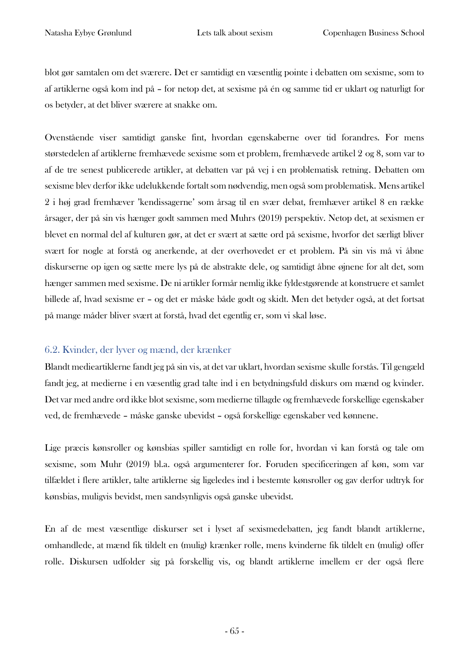blot gør samtalen om det sværere. Det er samtidigt en væsentlig pointe i debatten om sexisme, som to af artiklerne også kom ind på – for netop det, at sexisme på én og samme tid er uklart og naturligt for os betyder, at det bliver sværere at snakke om.

Ovenstående viser samtidigt ganske fint, hvordan egenskaberne over tid forandres. For mens størstedelen af artiklerne fremhævede sexisme som et problem, fremhævede artikel 2 og 8, som var to af de tre senest publicerede artikler, at debatten var på vej i en problematisk retning. Debatten om sexisme blev derfor ikke udelukkende fortalt som nødvendig, men også som problematisk. Mens artikel 2 i høj grad fremhæver 'kendissagerne' som årsag til en svær debat, fremhæver artikel 8 en række årsager, der på sin vis hænger godt sammen med Muhrs (2019) perspektiv. Netop det, at sexismen er blevet en normal del af kulturen gør, at det er svært at sætte ord på sexisme, hvorfor det særligt bliver svært for nogle at forstå og anerkende, at der overhovedet er et problem. På sin vis må vi åbne diskurserne op igen og sætte mere lys på de abstrakte dele, og samtidigt åbne øjnene for alt det, som hænger sammen med sexisme. De ni artikler formår nemlig ikke fyldestgørende at konstruere et samlet billede af, hvad sexisme er – og det er måske både godt og skidt. Men det betyder også, at det fortsat på mange måder bliver svært at forstå, hvad det egentlig er, som vi skal løse.

#### 6.2. Kvinder, der lyver og mænd, der krænker

Blandt medieartiklerne fandt jeg på sin vis, at det var uklart, hvordan sexisme skulle forstås. Til gengæld fandt jeg, at medierne i en væsentlig grad talte ind i en betydningsfuld diskurs om mænd og kvinder. Det var med andre ord ikke blot sexisme, som medierne tillagde og fremhævede forskellige egenskaber ved, de fremhævede – måske ganske ubevidst – også forskellige egenskaber ved kønnene.

Lige præcis kønsroller og kønsbias spiller samtidigt en rolle for, hvordan vi kan forstå og tale om sexisme, som Muhr (2019) bl.a. også argumenterer for. Foruden specificeringen af køn, som var tilfældet i flere artikler, talte artiklerne sig ligeledes ind i bestemte kønsroller og gav derfor udtryk for kønsbias, muligvis bevidst, men sandsynligvis også ganske ubevidst.

En af de mest væsentlige diskurser set i lyset af sexismedebatten, jeg fandt blandt artiklerne, omhandlede, at mænd fik tildelt en (mulig) krænker rolle, mens kvinderne fik tildelt en (mulig) offer rolle. Diskursen udfolder sig på forskellig vis, og blandt artiklerne imellem er der også flere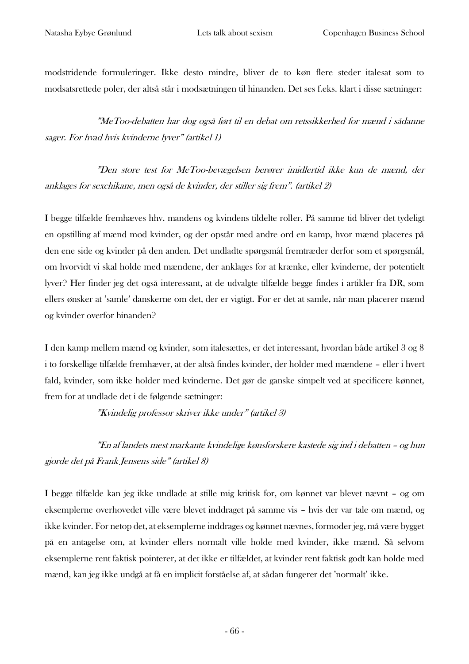modstridende formuleringer. Ikke desto mindre, bliver de to køn flere steder italesat som to modsatsrettede poler, der altså står i modsætningen til hinanden. Det ses f.eks. klart i disse sætninger:

"MeToo-debatten har dog også ført til en debat om retssikkerhed for mænd i sådanne sager. For hvad hvis kvinderne lyver" (artikel 1)

"Den store test for MeToo-bevægelsen berører imidlertid ikke kun de mænd, der anklages for sexchikane, men også de kvinder, der stiller sig frem". (artikel 2)

I begge tilfælde fremhæves hhv. mandens og kvindens tildelte roller. På samme tid bliver det tydeligt en opstilling af mænd mod kvinder, og der opstår med andre ord en kamp, hvor mænd placeres på den ene side og kvinder på den anden. Det undladte spørgsmål fremtræder derfor som et spørgsmål, om hvorvidt vi skal holde med mændene, der anklages for at krænke, eller kvinderne, der potentielt lyver? Her finder jeg det også interessant, at de udvalgte tilfælde begge findes i artikler fra DR, som ellers ønsker at 'samle' danskerne om det, der er vigtigt. For er det at samle, når man placerer mænd og kvinder overfor hinanden?

I den kamp mellem mænd og kvinder, som italesættes, er det interessant, hvordan både artikel 3 og 8 i to forskellige tilfælde fremhæver, at der altså findes kvinder, der holder med mændene – eller i hvert fald, kvinder, som ikke holder med kvinderne. Det gør de ganske simpelt ved at specificere kønnet, frem for at undlade det i de følgende sætninger:

"Kvindelig professor skriver ikke under" (artikel 3)

"En af landets mest markante kvindelige kønsforskere kastede sig ind i debatten – og hun gjorde det på Frank Jensens side" (artikel 8)

I begge tilfælde kan jeg ikke undlade at stille mig kritisk for, om kønnet var blevet nævnt – og om eksemplerne overhovedet ville være blevet inddraget på samme vis – hvis der var tale om mænd, og ikke kvinder. For netop det, at eksemplerne inddrages og kønnet nævnes, formoder jeg, må være bygget på en antagelse om, at kvinder ellers normalt ville holde med kvinder, ikke mænd. Så selvom eksemplerne rent faktisk pointerer, at det ikke er tilfældet, at kvinder rent faktisk godt kan holde med mænd, kan jeg ikke undgå at få en implicit forståelse af, at sådan fungerer det 'normalt' ikke.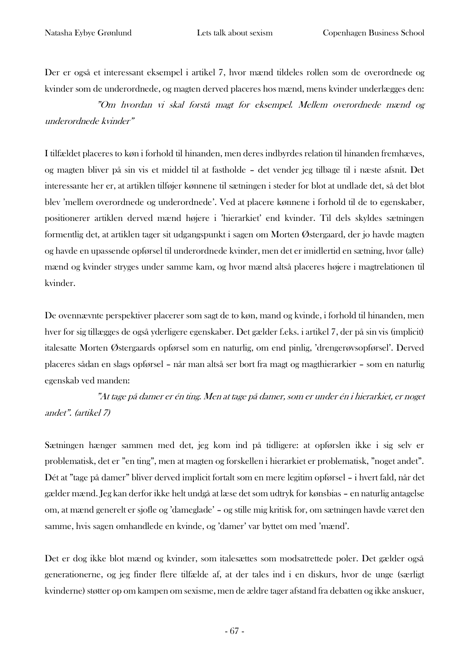Der er også et interessant eksempel i artikel 7, hvor mænd tildeles rollen som de overordnede og kvinder som de underordnede, og magten derved placeres hos mænd, mens kvinder underlægges den:

"Om hvordan vi skal forstå magt for eksempel. Mellem overordnede mænd og underordnede kvinder"

I tilfældet placeres to køn i forhold til hinanden, men deres indbyrdes relation til hinanden fremhæves, og magten bliver på sin vis et middel til at fastholde – det vender jeg tilbage til i næste afsnit. Det interessante her er, at artiklen tilføjer kønnene til sætningen i steder for blot at undlade det, så det blot blev 'mellem overordnede og underordnede'. Ved at placere kønnene i forhold til de to egenskaber, positionerer artiklen derved mænd højere i 'hierarkiet' end kvinder. Til dels skyldes sætningen formentlig det, at artiklen tager sit udgangspunkt i sagen om Morten Østergaard, der jo havde magten og havde en upassende opførsel til underordnede kvinder, men det er imidlertid en sætning, hvor (alle) mænd og kvinder stryges under samme kam, og hvor mænd altså placeres højere i magtrelationen til kvinder.

De ovennævnte perspektiver placerer som sagt de to køn, mand og kvinde, i forhold til hinanden, men hver for sig tillægges de også yderligere egenskaber. Det gælder f.eks. i artikel 7, der på sin vis (implicit) italesatte Morten Østergaards opførsel som en naturlig, om end pinlig, 'drengerøvsopførsel'. Derved placeres sådan en slags opførsel – når man altså ser bort fra magt og magthierarkier – som en naturlig egenskab ved manden:

"At tage på damer er én ting. Men at tage på damer, som er under én i hierarkiet, er noget andet". (artikel 7)

Sætningen hænger sammen med det, jeg kom ind på tidligere: at opførslen ikke i sig selv er problematisk, det er "en ting", men at magten og forskellen i hierarkiet er problematisk, "noget andet". Dét at "tage på damer" bliver derved implicit fortalt som en mere legitim opførsel – i hvert fald, når det gælder mænd. Jeg kan derfor ikke helt undgå at læse det som udtryk for kønsbias – en naturlig antagelse om, at mænd generelt er sjofle og 'dameglade' – og stille mig kritisk for, om sætningen havde været den samme, hvis sagen omhandlede en kvinde, og 'damer' var byttet om med 'mænd'.

Det er dog ikke blot mænd og kvinder, som italesættes som modsatrettede poler. Det gælder også generationerne, og jeg finder flere tilfælde af, at der tales ind i en diskurs, hvor de unge (særligt kvinderne) støtter op om kampen om sexisme, men de ældre tager afstand fra debatten og ikke anskuer,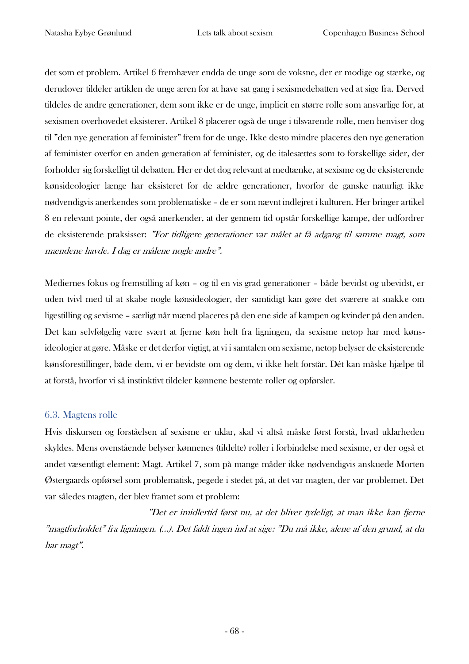det som et problem. Artikel 6 fremhæver endda de unge som de voksne, der er modige og stærke, og derudover tildeler artiklen de unge æren for at have sat gang i sexismedebatten ved at sige fra. Derved tildeles de andre generationer, dem som ikke er de unge, implicit en større rolle som ansvarlige for, at sexismen overhovedet eksisterer. Artikel 8 placerer også de unge i tilsvarende rolle, men henviser dog til "den nye generation af feminister" frem for de unge. Ikke desto mindre placeres den nye generation af feminister overfor en anden generation af feminister, og de italesættes som to forskellige sider, der forholder sig forskelligt til debatten. Her er det dog relevant at medtænke, at sexisme og de eksisterende kønsideologier længe har eksisteret for de ældre generationer, hvorfor de ganske naturligt ikke nødvendigvis anerkendes som problematiske – de er som nævnt indlejret i kulturen. Her bringer artikel 8 en relevant pointe, der også anerkender, at der gennem tid opstår forskellige kampe, der udfordrer de eksisterende praksisser: "For tidligere generationer var målet at få adgang til samme magt, som mændene havde. I dag er målene nogle andre".

Mediernes fokus og fremstilling af køn – og til en vis grad generationer – både bevidst og ubevidst, er uden tvivl med til at skabe nogle kønsideologier, der samtidigt kan gøre det sværere at snakke om ligestilling og sexisme – særligt når mænd placeres på den ene side af kampen og kvinder på den anden. Det kan selvfølgelig være svært at fjerne køn helt fra ligningen, da sexisme netop har med kønsideologier at gøre. Måske er det derfor vigtigt, at vi i samtalen om sexisme, netop belyser de eksisterende kønsforestillinger, både dem, vi er bevidste om og dem, vi ikke helt forstår. Dét kan måske hjælpe til at forstå, hvorfor vi så instinktivt tildeler kønnene bestemte roller og opførsler.

#### 6.3. Magtens rolle

Hvis diskursen og forståelsen af sexisme er uklar, skal vi altså måske først forstå, hvad uklarheden skyldes. Mens ovenstående belyser kønnenes (tildelte) roller i forbindelse med sexisme, er der også et andet væsentligt element: Magt. Artikel 7, som på mange måder ikke nødvendigvis anskuede Morten Østergaards opførsel som problematisk, pegede i stedet på, at det var magten, der var problemet. Det var således magten, der blev framet som et problem:

"Det er imidlertid først nu, at det bliver tydeligt, at man ikke kan fjerne "magtforholdet" fra ligningen. (…). Det faldt ingen ind at sige: "Du må ikke, alene af den grund, at du har magt".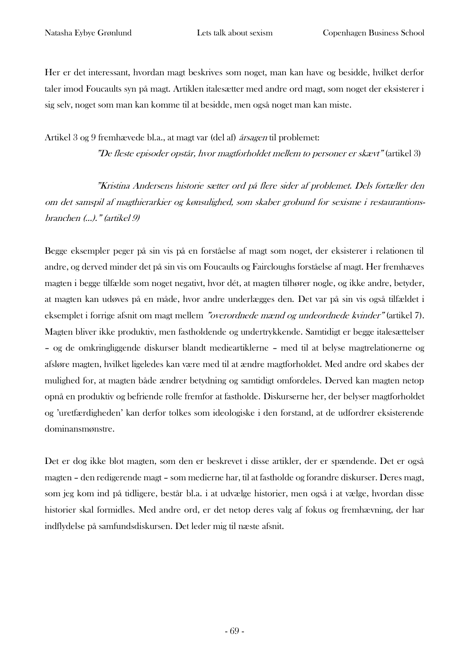Her er det interessant, hvordan magt beskrives som noget, man kan have og besidde, hvilket derfor taler imod Foucaults syn på magt. Artiklen italesætter med andre ord magt, som noget der eksisterer i sig selv, noget som man kan komme til at besidde, men også noget man kan miste.

Artikel 3 og 9 fremhævede bl.a., at magt var (del af) årsagen til problemet:

"De fleste episoder opstår, hvor magtforholdet mellem to personer er skævt" (artikel 3)

"Kristina Andersens historie sætter ord på flere sider af problemet. Dels fortæller den om det samspil af magthierarkier og kønsulighed, som skaber grobund for sexisme i restaurantionsbranchen (…)." (artikel 9)

Begge eksempler peger på sin vis på en forståelse af magt som noget, der eksisterer i relationen til andre, og derved minder det på sin vis om Foucaults og Faircloughs forståelse af magt. Her fremhæves magten i begge tilfælde som noget negativt, hvor dét, at magten tilhører nogle, og ikke andre, betyder, at magten kan udøves på en måde, hvor andre underlægges den. Det var på sin vis også tilfældet i eksemplet i forrige afsnit om magt mellem "overordnede mænd og undeordnede kvinder" (artikel 7). Magten bliver ikke produktiv, men fastholdende og undertrykkende. Samtidigt er begge italesættelser – og de omkringliggende diskurser blandt medieartiklerne – med til at belyse magtrelationerne og afsløre magten, hvilket ligeledes kan være med til at ændre magtforholdet. Med andre ord skabes der mulighed for, at magten både ændrer betydning og samtidigt omfordeles. Derved kan magten netop opnå en produktiv og befriende rolle fremfor at fastholde. Diskurserne her, der belyser magtforholdet og 'uretfærdigheden' kan derfor tolkes som ideologiske i den forstand, at de udfordrer eksisterende dominansmønstre.

Det er dog ikke blot magten, som den er beskrevet i disse artikler, der er spændende. Det er også magten – den redigerende magt – som medierne har, til at fastholde og forandre diskurser. Deres magt, som jeg kom ind på tidligere, består bl.a. i at udvælge historier, men også i at vælge, hvordan disse historier skal formidles. Med andre ord, er det netop deres valg af fokus og fremhævning, der har indflydelse på samfundsdiskursen. Det leder mig til næste afsnit.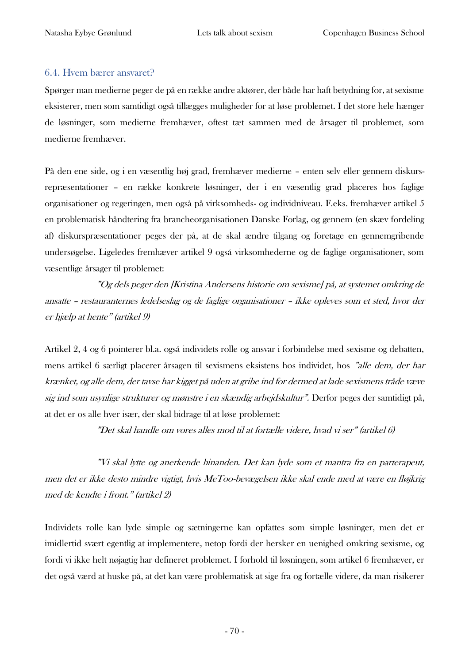#### 6.4. Hvem bærer ansvaret?

Spørger man medierne peger de på en række andre aktører, der både har haft betydning for, at sexisme eksisterer, men som samtidigt også tillægges muligheder for at løse problemet. I det store hele hænger de løsninger, som medierne fremhæver, oftest tæt sammen med de årsager til problemet, som medierne fremhæver.

På den ene side, og i en væsentlig høj grad, fremhæver medierne – enten selv eller gennem diskursrepræsentationer – en række konkrete løsninger, der i en væsentlig grad placeres hos faglige organisationer og regeringen, men også på virksomheds- og individniveau. F.eks. fremhæver artikel 5 en problematisk håndtering fra brancheorganisationen Danske Forlag, og gennem (en skæv fordeling af) diskurspræsentationer peges der på, at de skal ændre tilgang og foretage en gennemgribende undersøgelse. Ligeledes fremhæver artikel 9 også virksomhederne og de faglige organisationer, som væsentlige årsager til problemet:

"Og dels peger den [Kristina Andersens historie om sexisme] på, at systemet omkring de ansatte – restauranternes ledelseslag og de faglige organisationer – ikke opleves som et sted, hvor der er hjælp at hente" (artikel 9)

Artikel 2, 4 og 6 pointerer bl.a. også individets rolle og ansvar i forbindelse med sexisme og debatten, mens artikel 6 særligt placerer årsagen til sexismens eksistens hos individet, hos "alle dem, der har krænket, og alle dem, der tavse har kigget på uden at gribe ind for dermed at lade sexismens tråde væve sig ind som usynlige strukturer og mønstre i en skændig arbejdskultur". Derfor peges der samtidigt på, at det er os alle hver især, der skal bidrage til at løse problemet:

"Det skal handle om vores alles mod til at fortælle videre, hvad vi ser" (artikel 6)

"Vi skal lytte og anerkende hinanden. Det kan lyde som et mantra fra en parterapeut, men det er ikke desto mindre vigtigt, hvis MeToo-bevægelsen ikke skal ende med at være en fløjkrig med de kendte i front." (artikel 2)

Individets rolle kan lyde simple og sætningerne kan opfattes som simple løsninger, men det er imidlertid svært egentlig at implementere, netop fordi der hersker en uenighed omkring sexisme, og fordi vi ikke helt nøjagtig har defineret problemet. I forhold til løsningen, som artikel 6 fremhæver, er det også værd at huske på, at det kan være problematisk at sige fra og fortælle videre, da man risikerer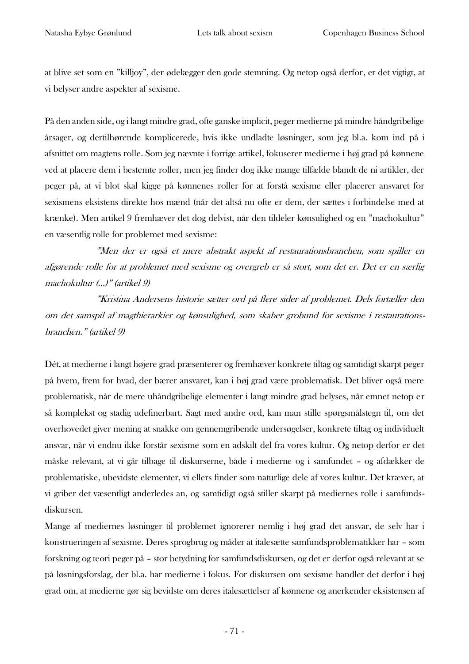at blive set som en "killjoy", der ødelægger den gode stemning. Og netop også derfor, er det vigtigt, at vi belyser andre aspekter af sexisme.

På den anden side, og i langt mindre grad, ofte ganske implicit, peger medierne på mindre håndgribelige årsager, og dertilhørende komplicerede, hvis ikke undladte løsninger, som jeg bl.a. kom ind på i afsnittet om magtens rolle. Som jeg nævnte i forrige artikel, fokuserer medierne i høj grad på kønnene ved at placere dem i bestemte roller, men jeg finder dog ikke mange tilfælde blandt de ni artikler, der peger på, at vi blot skal kigge på kønnenes roller for at forstå sexisme eller placerer ansvaret for sexismens eksistens direkte hos mænd (når det altså nu ofte er dem, der sættes i forbindelse med at krænke). Men artikel 9 fremhæver det dog delvist, når den tildeler kønsulighed og en "machokultur" en væsentlig rolle for problemet med sexisme:

"Men der er også et mere abstrakt aspekt af restaurationsbranchen, som spiller en afgørende rolle for at problemet med sexisme og overgreb er så stort, som det er. Det er en særlig machokultur (…)" (artikel 9)

"Kristina Andersens historie sætter ord på flere sider af problemet. Dels fortæller den om det samspil af magthierarkier og kønsulighed, som skaber grobund for sexisme i restaurationsbranchen." (artikel 9)

Dét, at medierne i langt højere grad præsenterer og fremhæver konkrete tiltag og samtidigt skarpt peger på hvem, frem for hvad, der bærer ansvaret, kan i høj grad være problematisk. Det bliver også mere problematisk, når de mere uhåndgribelige elementer i langt mindre grad belyses, når emnet netop er så komplekst og stadig udefinerbart. Sagt med andre ord, kan man stille spørgsmålstegn til, om det overhovedet giver mening at snakke om gennemgribende undersøgelser, konkrete tiltag og individuelt ansvar, når vi endnu ikke forstår sexisme som en adskilt del fra vores kultur. Og netop derfor er det måske relevant, at vi går tilbage til diskurserne, både i medierne og i samfundet – og afdækker de problematiske, ubevidste elementer, vi ellers finder som naturlige dele af vores kultur. Det kræver, at vi griber det væsentligt anderledes an, og samtidigt også stiller skarpt på mediernes rolle i samfundsdiskursen.

Mange af mediernes løsninger til problemet ignorerer nemlig i høj grad det ansvar, de selv har i konstrueringen af sexisme. Deres sprogbrug og måder at italesætte samfundsproblematikker har – som forskning og teori peger på – stor betydning for samfundsdiskursen, og det er derfor også relevant at se på løsningsforslag, der bl.a. har medierne i fokus. For diskursen om sexisme handler det derfor i høj grad om, at medierne gør sig bevidste om deres italesættelser af kønnene og anerkender eksistensen af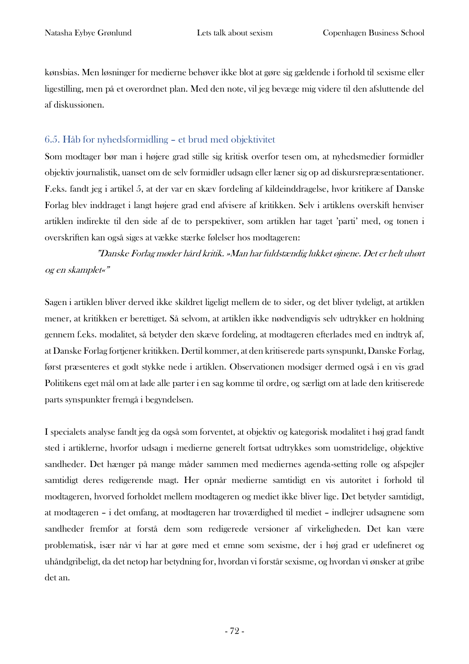kønsbias. Men løsninger for medierne behøver ikke blot at gøre sig gældende i forhold til sexisme eller ligestilling, men på et overordnet plan. Med den note, vil jeg bevæge mig videre til den afsluttende del af diskussionen.

## 6.5. Håb for nyhedsformidling – et brud med objektivitet

Som modtager bør man i højere grad stille sig kritisk overfor tesen om, at nyhedsmedier formidler objektiv journalistik, uanset om de selv formidler udsagn eller læner sig op ad diskursrepræsentationer. F.eks. fandt jeg i artikel 5, at der var en skæv fordeling af kildeinddragelse, hvor kritikere af Danske Forlag blev inddraget i langt højere grad end afvisere af kritikken. Selv i artiklens overskift henviser artiklen indirekte til den side af de to perspektiver, som artiklen har taget 'parti' med, og tonen i overskriften kan også siges at vække stærke følelser hos modtageren:

"Danske Forlag møder hård kritik. »Man har fuldstændig lukket øjnene. Det er helt uhørt og en skamplet«"

Sagen i artiklen bliver derved ikke skildret ligeligt mellem de to sider, og det bliver tydeligt, at artiklen mener, at kritikken er berettiget. Så selvom, at artiklen ikke nødvendigvis selv udtrykker en holdning gennem f.eks. modalitet, så betyder den skæve fordeling, at modtageren efterlades med en indtryk af, at Danske Forlag fortjener kritikken. Dertil kommer, at den kritiserede parts synspunkt, Danske Forlag, først præsenteres et godt stykke nede i artiklen. Observationen modsiger dermed også i en vis grad Politikens eget mål om at lade alle parter i en sag komme til ordre, og særligt om at lade den kritiserede parts synspunkter fremgå i begyndelsen.

I specialets analyse fandt jeg da også som forventet, at objektiv og kategorisk modalitet i høj grad fandt sted i artiklerne, hvorfor udsagn i medierne generelt fortsat udtrykkes som uomstridelige, objektive sandheder. Det hænger på mange måder sammen med mediernes agenda-setting rolle og afspejler samtidigt deres redigerende magt. Her opnår medierne samtidigt en vis autoritet i forhold til modtageren, hvorved forholdet mellem modtageren og mediet ikke bliver lige. Det betyder samtidigt, at modtageren – i det omfang, at modtageren har troværdighed til mediet – indlejrer udsagnene som sandheder fremfor at forstå dem som redigerede versioner af virkeligheden. Det kan være problematisk, især når vi har at gøre med et emne som sexisme, der i høj grad er udefineret og uhåndgribeligt, da det netop har betydning for, hvordan vi forstår sexisme, og hvordan vi ønsker at gribe det an.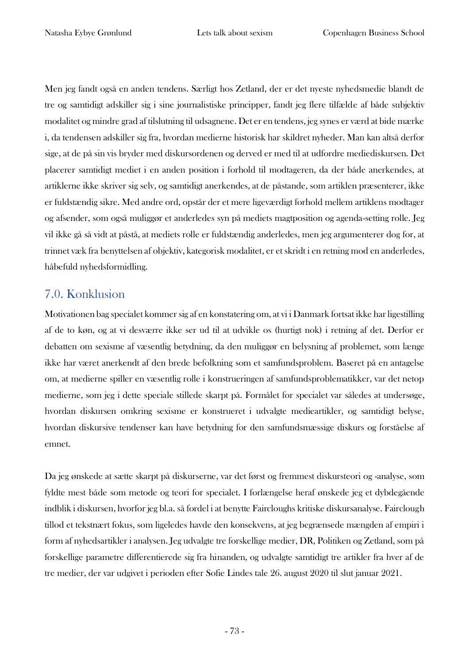Men jeg fandt også en anden tendens. Særligt hos Zetland, der er det nyeste nyhedsmedie blandt de tre og samtidigt adskiller sig i sine journalistiske principper, fandt jeg flere tilfælde af både subjektiv modalitet og mindre grad af tilslutning til udsagnene. Det er en tendens, jeg synes er værd at bide mærke i, da tendensen adskiller sig fra, hvordan medierne historisk har skildret nyheder. Man kan altså derfor sige, at de på sin vis bryder med diskursordenen og derved er med til at udfordre mediediskursen. Det placerer samtidigt mediet i en anden position i forhold til modtageren, da der både anerkendes, at artiklerne ikke skriver sig selv, og samtidigt anerkendes, at de påstande, som artiklen præsenterer, ikke er fuldstændig sikre. Med andre ord, opstår der et mere ligeværdigt forhold mellem artiklens modtager og afsender, som også muliggør et anderledes syn på mediets magtposition og agenda-setting rolle. Jeg vil ikke gå så vidt at påstå, at mediets rolle er fuldstændig anderledes, men jeg argumenterer dog for, at trinnet væk fra benyttelsen af objektiv, kategorisk modalitet, er et skridt i en retning mod en anderledes, håbefuld nyhedsformidling.

## 7.0. Konklusion

Motivationen bag specialet kommer sig af en konstatering om, at vi i Danmark fortsat ikke har ligestilling af de to køn, og at vi desværre ikke ser ud til at udvikle os (hurtigt nok) i retning af det. Derfor er debatten om sexisme af væsentlig betydning, da den muliggør en belysning af problemet, som længe ikke har været anerkendt af den brede befolkning som et samfundsproblem. Baseret på en antagelse om, at medierne spiller en væsentlig rolle i konstrueringen af samfundsproblematikker, var det netop medierne, som jeg i dette speciale stillede skarpt på. Formålet for specialet var således at undersøge, hvordan diskursen omkring sexisme er konstrueret i udvalgte medieartikler, og samtidigt belyse, hvordan diskursive tendenser kan have betydning for den samfundsmæssige diskurs og forståelse af emnet.

Da jeg ønskede at sætte skarpt på diskurserne, var det først og fremmest diskursteori og -analyse, som fyldte mest både som metode og teori for specialet. I forlængelse heraf ønskede jeg et dybdegående indblik i diskursen, hvorfor jeg bl.a. så fordel i at benytte Faircloughs kritiske diskursanalyse. Fairclough tillod et tekstnært fokus, som ligeledes havde den konsekvens, at jeg begrænsede mængden af empiri i form af nyhedsartikler i analysen. Jeg udvalgte tre forskellige medier, DR, Politiken og Zetland, som på forskellige parametre differentierede sig fra hinanden, og udvalgte samtidigt tre artikler fra hver af de tre medier, der var udgivet i perioden efter Sofie Lindes tale 26. august 2020 til slut januar 2021.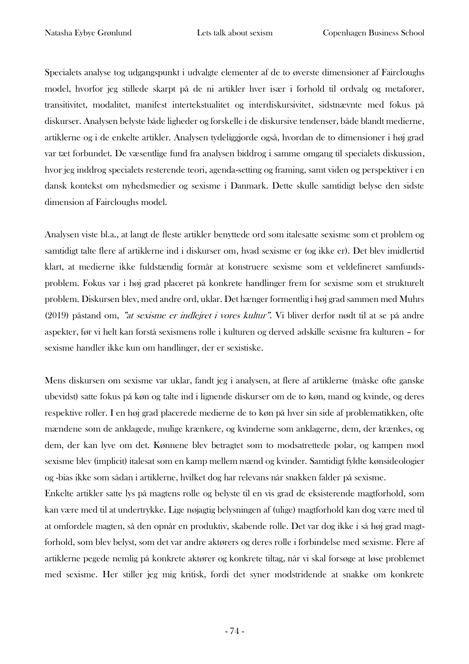Specialets analyse tog udgangspunkt i udvalgte elementer af de to øverste dimensioner af Faircloughs model, hvorfor jeg stillede skarpt på de ni artikler hver især i forhold til ordvalg og metaforer, transitivitet, modalitet, manifest intertekstualitet og interdiskursivitet, sidstnævnte med fokus på diskurser. Analysen belyste både ligheder og forskelle i de diskursive tendenser, både blandt medierne, artiklerne og i de enkelte artikler. Analysen tydeliggjorde også, hvordan de to dimensioner i høj grad var tæt forbundet. De væsentlige fund fra analysen biddrog i samme omgang til specialets diskussion, hvor jeg inddrog specialets resterende teori, agenda-setting og framing, samt viden og perspektiver i en dansk kontekst om nyhedsmedier og sexisme i Danmark. Dette skulle samtidigt belyse den sidste dimension af Faircloughs model.

Analysen viste bl.a., at langt de fleste artikler benyttede ord som italesatte sexisme som et problem og samtidigt talte flere af artiklerne ind i diskurser om, hvad sexisme er (og ikke er). Det blev imidlertid klart, at medierne ikke fuldstændig formår at konstruere sexisme som et veldefineret samfundsproblem. Fokus var i høj grad placeret på konkrete handlinger frem for sexisme som et strukturelt problem. Diskursen blev, med andre ord, uklar. Det hænger formentlig i høj grad sammen med Muhrs (2019) påstand om, "at sexisme er indlejret i vores kultur". Vi bliver derfor nødt til at se på andre aspekter, før vi helt kan forstå sexismens rolle i kulturen og derved adskille sexisme fra kulturen – for sexisme handler ikke kun om handlinger, der er sexistiske.

Mens diskursen om sexisme var uklar, fandt jeg i analysen, at flere af artiklerne (måske ofte ganske ubevidst) satte fokus på køn og talte ind i lignende diskurser om de to køn, mand og kvinde, og deres respektive roller. I en høj grad placerede medierne de to køn på hver sin side af problematikken, ofte mændene som de anklagede, mulige krænkere, og kvinderne som anklagerne, dem, der krænkes, og dem, der kan lyve om det. Kønnene blev betragtet som to modsatrettede polar, og kampen mod sexisme blev (implicit) italesat som en kamp mellem mænd og kvinder. Samtidigt fyldte kønsideologier og -bias ikke som sådan i artiklerne, hvilket dog har relevans når snakken falder på sexisme.

Enkelte artikler satte lys på magtens rolle og belyste til en vis grad de eksisterende magtforhold, som kan være med til at undertrykke. Lige nøjagtig belysningen af (ulige) magtforhold kan dog være med til at omfordele magten, så den opnår en produktiv, skabende rolle. Det var dog ikke i så høj grad magtforhold, som blev belyst, som det var andre aktørers og deres rolle i forbindelse med sexisme. Flere af artiklerne pegede nemlig på konkrete aktører og konkrete tiltag, når vi skal forsøge at løse problemet med sexisme. Her stiller jeg mig kritisk, fordi det syner modstridende at snakke om konkrete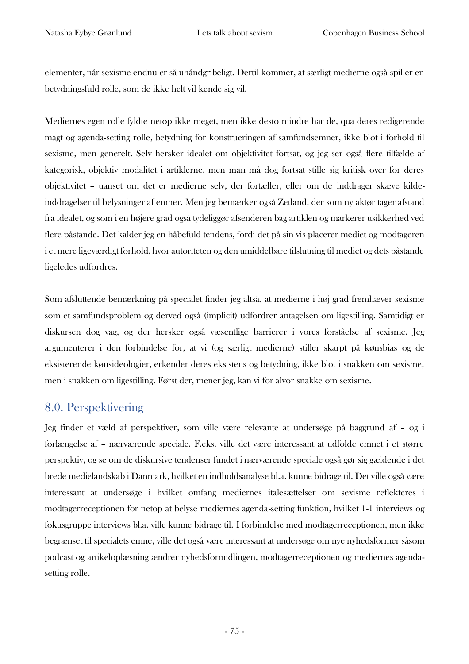elementer, når sexisme endnu er så uhåndgribeligt. Dertil kommer, at særligt medierne også spiller en betydningsfuld rolle, som de ikke helt vil kende sig vil.

Mediernes egen rolle fyldte netop ikke meget, men ikke desto mindre har de, qua deres redigerende magt og agenda-setting rolle, betydning for konstrueringen af samfundsemner, ikke blot i forhold til sexisme, men generelt. Selv hersker idealet om objektivitet fortsat, og jeg ser også flere tilfælde af kategorisk, objektiv modalitet i artiklerne, men man må dog fortsat stille sig kritisk over for deres objektivitet – uanset om det er medierne selv, der fortæller, eller om de inddrager skæve kildeinddragelser til belysninger af emner. Men jeg bemærker også Zetland, der som ny aktør tager afstand fra idealet, og som i en højere grad også tydeliggør afsenderen bag artiklen og markerer usikkerhed ved flere påstande. Det kalder jeg en håbefuld tendens, fordi det på sin vis placerer mediet og modtageren i et mere ligeværdigt forhold, hvor autoriteten og den umiddelbare tilslutning til mediet og dets påstande ligeledes udfordres.

Som afsluttende bemærkning på specialet finder jeg altså, at medierne i høj grad fremhæver sexisme som et samfundsproblem og derved også (implicit) udfordrer antagelsen om ligestilling. Samtidigt er diskursen dog vag, og der hersker også væsentlige barrierer i vores forståelse af sexisme. Jeg argumenterer i den forbindelse for, at vi (og særligt medierne) stiller skarpt på kønsbias og de eksisterende kønsideologier, erkender deres eksistens og betydning, ikke blot i snakken om sexisme, men i snakken om ligestilling. Først der, mener jeg, kan vi for alvor snakke om sexisme.

## 8.0. Perspektivering

Jeg finder et væld af perspektiver, som ville være relevante at undersøge på baggrund af – og i forlængelse af – nærværende speciale. F.eks. ville det være interessant at udfolde emnet i et større perspektiv, og se om de diskursive tendenser fundet i nærværende speciale også gør sig gældende i det brede medielandskab i Danmark, hvilket en indholdsanalyse bl.a. kunne bidrage til. Det ville også være interessant at undersøge i hvilket omfang mediernes italesættelser om sexisme reflekteres i modtagerreceptionen for netop at belyse mediernes agenda-setting funktion, hvilket 1-1 interviews og fokusgruppe interviews bl.a. ville kunne bidrage til. I forbindelse med modtagerreceptionen, men ikke begrænset til specialets emne, ville det også være interessant at undersøge om nye nyhedsformer såsom podcast og artikeloplæsning ændrer nyhedsformidlingen, modtagerreceptionen og mediernes agendasetting rolle.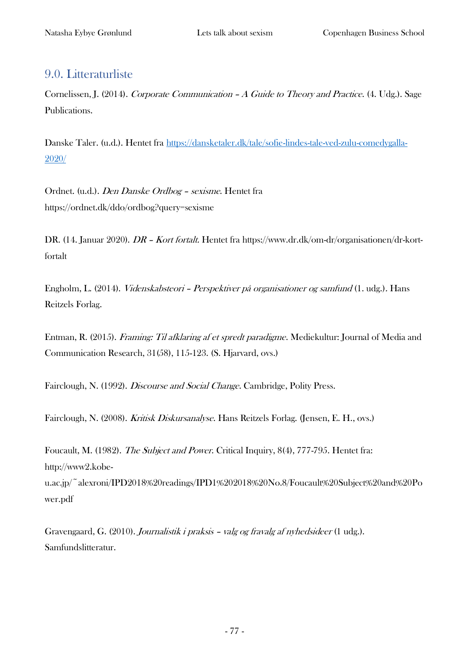## 9.0. Litteraturliste

Cornelissen, J. (2014). Corporate Communication – A Guide to Theory and Practice. (4. Udg.). Sage Publications.

Danske Taler. (u.d.). Hentet fra [https://dansketaler.dk/tale/sofie-lindes-tale-ved-zulu-comedygalla-](https://dansketaler.dk/tale/sofie-lindes-tale-ved-zulu-comedygalla-2020/)[2020/](https://dansketaler.dk/tale/sofie-lindes-tale-ved-zulu-comedygalla-2020/)

Ordnet. (u.d.). Den Danske Ordbog – sexisme. Hentet fra https://ordnet.dk/ddo/ordbog?query=sexisme

DR. (14. Januar 2020). DR – Kort fortalt. Hentet fra https://www.dr.dk/om-dr/organisationen/dr-kortfortalt

Engholm, L. (2014). Videnskabsteori – Perspektiver på organisationer og samfund (1. udg.). Hans Reitzels Forlag.

Entman, R. (2015). Framing: Til afklaring af et spredt paradigme. Mediekultur: Journal of Media and Communication Research, 31(58), 115-123. (S. Hjarvard, ovs.)

Fairclough, N. (1992). Discourse and Social Change. Cambridge, Polity Press.

Fairclough, N. (2008). Kritisk Diskursanalyse. Hans Reitzels Forlag. (Jensen, E. H., ovs.)

Foucault, M. (1982). The Subject and Power. Critical Inquiry, 8(4), 777-795. Hentet fra: http://www2.kobe-

u.ac.jp/~alexroni/IPD2018%20readings/IPD1%202018%20No.8/Foucault%20Subject%20and%20Po wer.pdf

Gravengaard, G. (2010). Journalistik i praksis – valg og fravalg af nyhedsideer (1 udg.). Samfundslitteratur.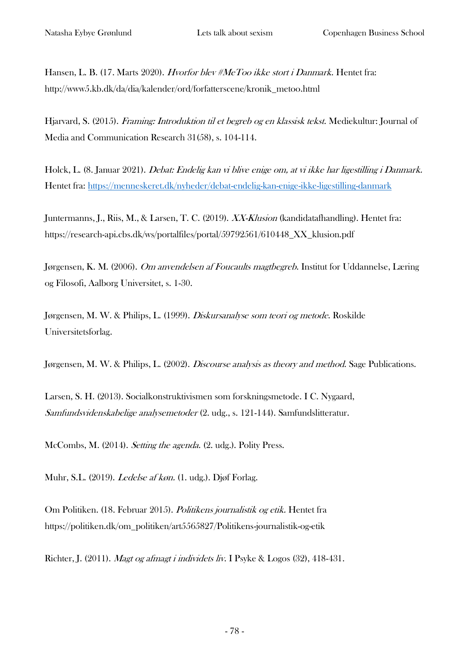Hansen, L. B. (17. Marts 2020). Hvorfor blev #MeToo ikke stort i Danmark. Hentet fra: http://www5.kb.dk/da/dia/kalender/ord/forfatterscene/kronik\_metoo.html

Hjarvard, S. (2015). Framing: Introduktion til et begreb og en klassisk tekst. Mediekultur: Journal of Media and Communication Research 31(58), s. 104-114.

Holck, L. (8. Januar 2021). Debat: Endelig kan vi blive enige om, at vi ikke har ligestilling i Danmark. Hentet fra:<https://menneskeret.dk/nyheder/debat-endelig-kan-enige-ikke-ligestilling-danmark>

Juntermanns, J., Riis, M., & Larsen, T. C. (2019). XX-Klusion (kandidatafhandling). Hentet fra: https://research-api.cbs.dk/ws/portalfiles/portal/59792561/610448\_XX\_klusion.pdf

Jørgensen, K. M. (2006). *Om anvendelsen af Foucaults magtbegreb*. Institut for Uddannelse, Læring og Filosofi, Aalborg Universitet, s. 1-30.

Jørgensen, M. W. & Philips, L. (1999). Diskursanalyse som teori og metode. Roskilde Universitetsforlag.

Jørgensen, M. W. & Philips, L. (2002). *Discourse analysis as theory and method*. Sage Publications.

Larsen, S. H. (2013). Socialkonstruktivismen som forskningsmetode. I C. Nygaard, Samfundsvidenskabelige analysemetoder (2. udg., s. 121-144). Samfundslitteratur.

McCombs, M. (2014). Setting the agenda. (2. udg.). Polity Press.

Muhr, S.L. (2019). Ledelse af køn. (1. udg.). Djøf Forlag.

Om Politiken. (18. Februar 2015). Politikens journalistik og etik. Hentet fra https://politiken.dk/om\_politiken/art5565827/Politikens-journalistik-og-etik

Richter, J. (2011). Magt og afmagt i individets liv. I Psyke & Logos (32), 418-431.